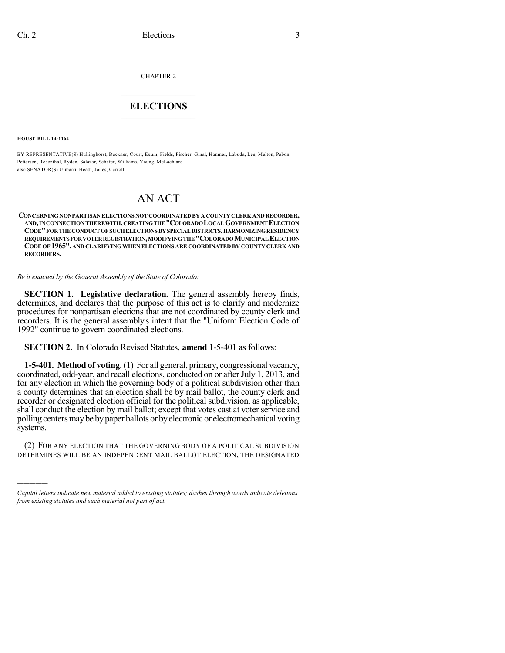CHAPTER 2

# $\mathcal{L}_\text{max}$  . The set of the set of the set of the set of the set of the set of the set of the set of the set of the set of the set of the set of the set of the set of the set of the set of the set of the set of the set **ELECTIONS**  $\_$

**HOUSE BILL 14-1164**

)))))

BY REPRESENTATIVE(S) Hullinghorst, Buckner, Court, Exum, Fields, Fischer, Ginal, Hamner, Labuda, Lee, Melton, Pabon, Pettersen, Rosenthal, Ryden, Salazar, Schafer, Williams, Young, McLachlan; also SENATOR(S) Ulibarri, Heath, Jones, Carroll.

# AN ACT

**CONCERNINGNONPARTISAN ELECTIONS NOT COORDINATEDBY A COUNTY CLERK AND RECORDER, AND,INCONNECTIONTHEREWITH,CREATINGTHE"COLORADOLOCALGOVERNMENTELECTION CODE"FORTHECONDUCTOFSUCHELECTIONSBYSPECIALDISTRICTS,HARMONIZINGRESIDENCY REQUIREMENTSFORVOTERREGISTRATION,MODIFYINGTHE"COLORADOMUNICIPALELECTION CODE OF 1965", AND CLARIFYINGWHEN ELECTIONS ARE COORDINATED BY COUNTY CLERK AND RECORDERS.**

*Be it enacted by the General Assembly of the State of Colorado:*

**SECTION 1. Legislative declaration.** The general assembly hereby finds, determines, and declares that the purpose of this act is to clarify and modernize procedures for nonpartisan elections that are not coordinated by county clerk and recorders. It is the general assembly's intent that the "Uniform Election Code of 1992" continue to govern coordinated elections.

**SECTION 2.** In Colorado Revised Statutes, **amend** 1-5-401 as follows:

**1-5-401. Method of voting.**(1) For all general, primary, congressional vacancy, coordinated, odd-year, and recall elections, conducted on or after July 1, 2013, and for any election in which the governing body of a political subdivision other than a county determines that an election shall be by mail ballot, the county clerk and recorder or designated election official for the political subdivision, as applicable, shall conduct the election by mail ballot; except that votes cast at voter service and polling centersmaybe bypaper ballots or byelectronic or electromechanical voting systems.

(2) FOR ANY ELECTION THAT THE GOVERNING BODY OF A POLITICAL SUBDIVISION DETERMINES WILL BE AN INDEPENDENT MAIL BALLOT ELECTION, THE DESIGNATED

*Capital letters indicate new material added to existing statutes; dashes through words indicate deletions from existing statutes and such material not part of act.*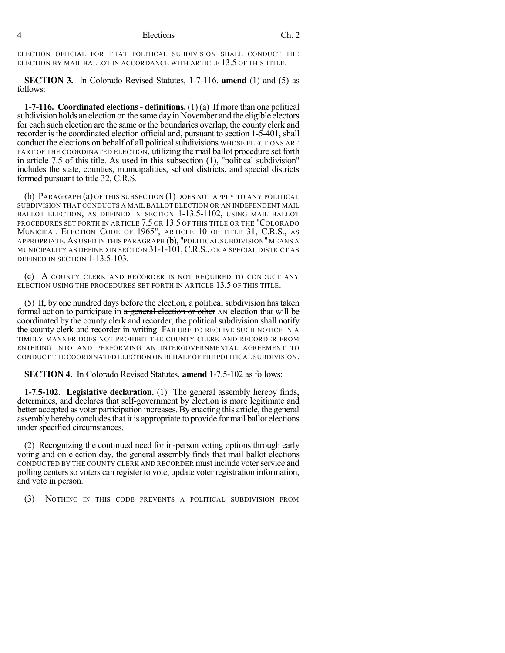ELECTION OFFICIAL FOR THAT POLITICAL SUBDIVISION SHALL CONDUCT THE ELECTION BY MAIL BALLOT IN ACCORDANCE WITH ARTICLE 13.5 OF THIS TITLE.

**SECTION 3.** In Colorado Revised Statutes, 1-7-116, **amend** (1) and (5) as follows:

**1-7-116. Coordinated elections- definitions.** (1) (a) If more than one political subdivision holds an election on the same day in November and the eligible electors for each such election are the same or the boundaries overlap, the county clerk and recorder is the coordinated election official and, pursuant to section 1-5-401, shall conduct the elections on behalf of all politicalsubdivisions WHOSE ELECTIONS ARE PART OF THE COORDINATED ELECTION, utilizing the mail ballot procedure set forth in article 7.5 of this title. As used in this subsection (1), "political subdivision" includes the state, counties, municipalities, school districts, and special districts formed pursuant to title 32, C.R.S.

(b) PARAGRAPH (a) OF THIS SUBSECTION (1) DOES NOT APPLY TO ANY POLITICAL SUBDIVISION THAT CONDUCTS A MAIL BALLOT ELECTION OR AN INDEPENDENT MAIL BALLOT ELECTION, AS DEFINED IN SECTION 1-13.5-1102, USING MAIL BALLOT PROCEDURES SET FORTH IN ARTICLE 7.5 OR 13.5 OF THIS TITLE OR THE "COLORADO MUNICIPAL ELECTION CODE OF 1965", ARTICLE 10 OF TITLE 31, C.R.S., AS APPROPRIATE. AS USED IN THIS PARAGRAPH (b), "POLITICAL SUBDIVISION" MEANS A MUNICIPALITY AS DEFINED IN SECTION  $31$ -1- $101$ , C.R.S., or a special district as DEFINED IN SECTION 1-13.5-103.

(c) A COUNTY CLERK AND RECORDER IS NOT REQUIRED TO CONDUCT ANY ELECTION USING THE PROCEDURES SET FORTH IN ARTICLE 13.5 OF THIS TITLE.

(5) If, by one hundred days before the election, a political subdivision has taken formal action to participate in  $a$  general election or other AN election that will be coordinated by the county clerk and recorder, the political subdivision shall notify the county clerk and recorder in writing. FAILURE TO RECEIVE SUCH NOTICE IN A TIMELY MANNER DOES NOT PROHIBIT THE COUNTY CLERK AND RECORDER FROM ENTERING INTO AND PERFORMING AN INTERGOVERNMENTAL AGREEMENT TO CONDUCT THE COORDINATED ELECTION ON BEHALF OF THE POLITICAL SUBDIVISION.

**SECTION 4.** In Colorado Revised Statutes, **amend** 1-7.5-102 as follows:

**1-7.5-102. Legislative declaration.** (1) The general assembly hereby finds, determines, and declares that self-government by election is more legitimate and better accepted as voter participation increases. By enacting this article, the general assembly hereby concludes that it is appropriate to provide for mail ballot elections under specified circumstances.

(2) Recognizing the continued need for in-person voting options through early voting and on election day, the general assembly finds that mail ballot elections CONDUCTED BY THE COUNTY CLERK AND RECORDER must include voterservice and polling centers so voters can register to vote, update voter registration information, and vote in person.

(3) NOTHING IN THIS CODE PREVENTS A POLITICAL SUBDIVISION FROM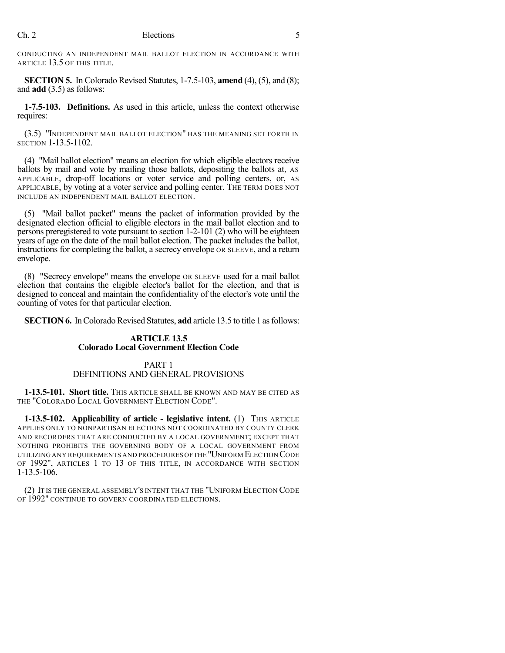CONDUCTING AN INDEPENDENT MAIL BALLOT ELECTION IN ACCORDANCE WITH ARTICLE 13.5 OF THIS TITLE.

**SECTION 5.** In Colorado Revised Statutes, 1-7.5-103, **amend** (4), (5), and (8); and **add** (3.5) as follows:

**1-7.5-103. Definitions.** As used in this article, unless the context otherwise requires:

(3.5) "INDEPENDENT MAIL BALLOT ELECTION" HAS THE MEANING SET FORTH IN SECTION 1-13.5-1102.

(4) "Mail ballot election" means an election for which eligible electors receive ballots by mail and vote by mailing those ballots, depositing the ballots at, AS APPLICABLE, drop-off locations or voter service and polling centers, or, AS APPLICABLE, by voting at a voter service and polling center. THE TERM DOES NOT INCLUDE AN INDEPENDENT MAIL BALLOT ELECTION.

(5) "Mail ballot packet" means the packet of information provided by the designated election official to eligible electors in the mail ballot election and to persons preregistered to vote pursuant to section 1-2-101 (2) who will be eighteen years of age on the date of the mail ballot election. The packet includes the ballot, instructions for completing the ballot, a secrecy envelope OR SLEEVE, and a return envelope.

(8) "Secrecy envelope" means the envelope OR SLEEVE used for a mail ballot election that contains the eligible elector's ballot for the election, and that is designed to conceal and maintain the confidentiality of the elector's vote until the counting of votes for that particular election.

**SECTION 6.** In Colorado Revised Statutes, **add** article 13.5 to title 1 as follows:

## **ARTICLE 13.5 Colorado Local Government Election Code**

#### PART 1 DEFINITIONS AND GENERAL PROVISIONS

**1-13.5-101. Short title.** THIS ARTICLE SHALL BE KNOWN AND MAY BE CITED AS THE "COLORADO LOCAL GOVERNMENT ELECTION CODE".

**1-13.5-102. Applicability of article - legislative intent.** (1) THIS ARTICLE APPLIES ONLY TO NONPARTISAN ELECTIONS NOT COORDINATED BY COUNTY CLERK AND RECORDERS THAT ARE CONDUCTED BY A LOCAL GOVERNMENT; EXCEPT THAT NOTHING PROHIBITS THE GOVERNING BODY OF A LOCAL GOVERNMENT FROM UTILIZING ANY REQUIREMENTS AND PROCEDURES OFTHE "UNIFORM ELECTION CODE OF 1992", ARTICLES 1 TO 13 OF THIS TITLE, IN ACCORDANCE WITH SECTION 1-13.5-106.

(2) IT IS THE GENERAL ASSEMBLY'S INTENT THAT THE "UNIFORM ELECTION CODE OF 1992" CONTINUE TO GOVERN COORDINATED ELECTIONS.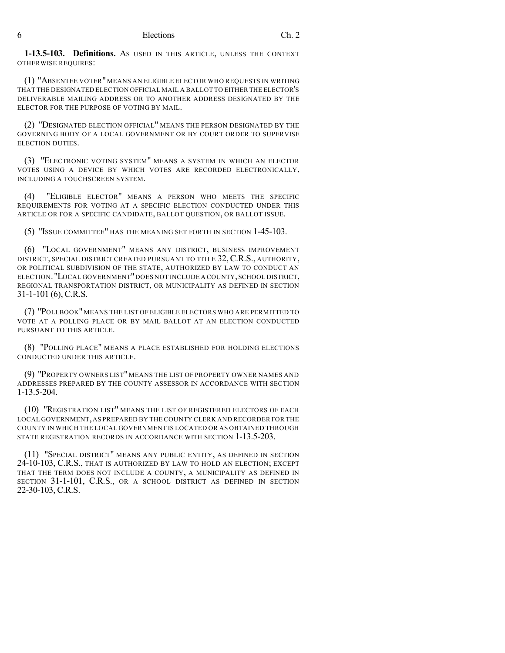**1-13.5-103. Definitions.** AS USED IN THIS ARTICLE, UNLESS THE CONTEXT OTHERWISE REQUIRES:

(1) "ABSENTEE VOTER"MEANS AN ELIGIBLE ELECTOR WHO REQUESTS IN WRITING THAT THE DESIGNATED ELECTION OFFICIAL MAIL A BALLOT TO EITHER THE ELECTOR'S DELIVERABLE MAILING ADDRESS OR TO ANOTHER ADDRESS DESIGNATED BY THE ELECTOR FOR THE PURPOSE OF VOTING BY MAIL.

(2) "DESIGNATED ELECTION OFFICIAL" MEANS THE PERSON DESIGNATED BY THE GOVERNING BODY OF A LOCAL GOVERNMENT OR BY COURT ORDER TO SUPERVISE ELECTION DUTIES.

(3) "ELECTRONIC VOTING SYSTEM" MEANS A SYSTEM IN WHICH AN ELECTOR VOTES USING A DEVICE BY WHICH VOTES ARE RECORDED ELECTRONICALLY, INCLUDING A TOUCHSCREEN SYSTEM.

(4) "ELIGIBLE ELECTOR" MEANS A PERSON WHO MEETS THE SPECIFIC REQUIREMENTS FOR VOTING AT A SPECIFIC ELECTION CONDUCTED UNDER THIS ARTICLE OR FOR A SPECIFIC CANDIDATE, BALLOT QUESTION, OR BALLOT ISSUE.

(5) "ISSUE COMMITTEE" HAS THE MEANING SET FORTH IN SECTION 1-45-103.

(6) "LOCAL GOVERNMENT" MEANS ANY DISTRICT, BUSINESS IMPROVEMENT DISTRICT, SPECIAL DISTRICT CREATED PURSUANT TO TITLE 32, C.R.S., AUTHORITY, OR POLITICAL SUBDIVISION OF THE STATE, AUTHORIZED BY LAW TO CONDUCT AN ELECTION."LOCAL GOVERNMENT"DOES NOT INCLUDE A COUNTY,SCHOOL DISTRICT, REGIONAL TRANSPORTATION DISTRICT, OR MUNICIPALITY AS DEFINED IN SECTION 31-1-101 (6), C.R.S.

(7) "POLLBOOK" MEANS THE LIST OF ELIGIBLE ELECTORS WHO ARE PERMITTED TO VOTE AT A POLLING PLACE OR BY MAIL BALLOT AT AN ELECTION CONDUCTED PURSUANT TO THIS ARTICLE.

(8) "POLLING PLACE" MEANS A PLACE ESTABLISHED FOR HOLDING ELECTIONS CONDUCTED UNDER THIS ARTICLE.

(9) "PROPERTY OWNERS LIST" MEANS THE LIST OF PROPERTY OWNER NAMES AND ADDRESSES PREPARED BY THE COUNTY ASSESSOR IN ACCORDANCE WITH SECTION 1-13.5-204.

(10) "REGISTRATION LIST" MEANS THE LIST OF REGISTERED ELECTORS OF EACH LOCAL GOVERNMENT,AS PREPARED BY THE COUNTY CLERK AND RECORDER FOR THE COUNTY IN WHICH THE LOCAL GOVERNMENT IS LOCATED OR AS OBTAINED THROUGH STATE REGISTRATION RECORDS IN ACCORDANCE WITH SECTION 1-13.5-203.

(11) "SPECIAL DISTRICT" MEANS ANY PUBLIC ENTITY, AS DEFINED IN SECTION 24-10-103, C.R.S., THAT IS AUTHORIZED BY LAW TO HOLD AN ELECTION; EXCEPT THAT THE TERM DOES NOT INCLUDE A COUNTY, A MUNICIPALITY AS DEFINED IN SECTION 31-1-101, C.R.S., OR A SCHOOL DISTRICT AS DEFINED IN SECTION 22-30-103, C.R.S.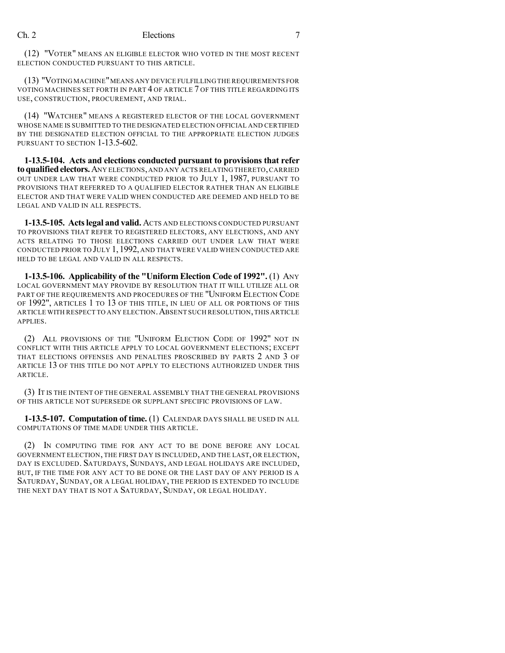(12) "VOTER" MEANS AN ELIGIBLE ELECTOR WHO VOTED IN THE MOST RECENT ELECTION CONDUCTED PURSUANT TO THIS ARTICLE.

(13) "VOTING MACHINE"MEANS ANY DEVICE FULFILLING THE REQUIREMENTS FOR VOTING MACHINES SET FORTH IN PART 4 OF ARTICLE 7 OF THIS TITLE REGARDING ITS USE, CONSTRUCTION, PROCUREMENT, AND TRIAL.

(14) "WATCHER" MEANS A REGISTERED ELECTOR OF THE LOCAL GOVERNMENT WHOSE NAME IS SUBMITTED TO THE DESIGNATED ELECTION OFFICIAL AND CERTIFIED BY THE DESIGNATED ELECTION OFFICIAL TO THE APPROPRIATE ELECTION JUDGES PURSUANT TO SECTION 1-13.5-602.

**1-13.5-104. Acts and elections conducted pursuant to provisions that refer toqualifiedelectors.**ANY ELECTIONS,AND ANY ACTS RELATING THERETO,CARRIED OUT UNDER LAW THAT WERE CONDUCTED PRIOR TO JULY 1, 1987, PURSUANT TO PROVISIONS THAT REFERRED TO A QUALIFIED ELECTOR RATHER THAN AN ELIGIBLE ELECTOR AND THAT WERE VALID WHEN CONDUCTED ARE DEEMED AND HELD TO BE LEGAL AND VALID IN ALL RESPECTS.

**1-13.5-105. Actslegal and valid.** ACTS AND ELECTIONS CONDUCTED PURSUANT TO PROVISIONS THAT REFER TO REGISTERED ELECTORS, ANY ELECTIONS, AND ANY ACTS RELATING TO THOSE ELECTIONS CARRIED OUT UNDER LAW THAT WERE CONDUCTED PRIOR TO JULY 1,1992, AND THAT WERE VALID WHEN CONDUCTED ARE HELD TO BE LEGAL AND VALID IN ALL RESPECTS.

**1-13.5-106. Applicability of the "Uniform Election Code of 1992".** (1) ANY LOCAL GOVERNMENT MAY PROVIDE BY RESOLUTION THAT IT WILL UTILIZE ALL OR PART OF THE REQUIREMENTS AND PROCEDURES OF THE "UNIFORM ELECTION CODE OF 1992", ARTICLES 1 TO 13 OF THIS TITLE, IN LIEU OF ALL OR PORTIONS OF THIS ARTICLE WITH RESPECT TO ANY ELECTION. ABSENT SUCH RESOLUTION, THIS ARTICLE APPLIES.

(2) ALL PROVISIONS OF THE "UNIFORM ELECTION CODE OF 1992" NOT IN CONFLICT WITH THIS ARTICLE APPLY TO LOCAL GOVERNMENT ELECTIONS; EXCEPT THAT ELECTIONS OFFENSES AND PENALTIES PROSCRIBED BY PARTS 2 AND 3 OF ARTICLE 13 OF THIS TITLE DO NOT APPLY TO ELECTIONS AUTHORIZED UNDER THIS ARTICLE.

(3) IT IS THE INTENT OF THE GENERAL ASSEMBLY THAT THE GENERAL PROVISIONS OF THIS ARTICLE NOT SUPERSEDE OR SUPPLANT SPECIFIC PROVISIONS OF LAW.

**1-13.5-107. Computation of time.** (1) CALENDAR DAYS SHALL BE USED IN ALL COMPUTATIONS OF TIME MADE UNDER THIS ARTICLE.

(2) IN COMPUTING TIME FOR ANY ACT TO BE DONE BEFORE ANY LOCAL GOVERNMENT ELECTION, THE FIRST DAY IS INCLUDED, AND THE LAST, OR ELECTION, DAY IS EXCLUDED. SATURDAYS, SUNDAYS, AND LEGAL HOLIDAYS ARE INCLUDED, BUT, IF THE TIME FOR ANY ACT TO BE DONE OR THE LAST DAY OF ANY PERIOD IS A SATURDAY, SUNDAY, OR A LEGAL HOLIDAY, THE PERIOD IS EXTENDED TO INCLUDE THE NEXT DAY THAT IS NOT A SATURDAY, SUNDAY, OR LEGAL HOLIDAY.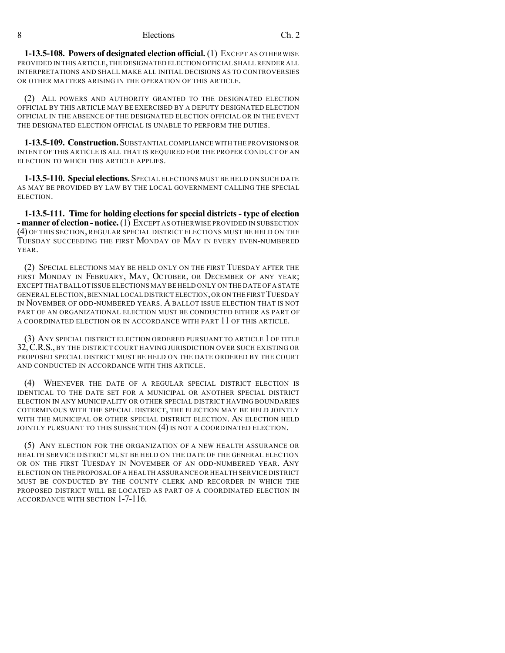**1-13.5-108. Powers of designated election official.** (1) EXCEPT AS OTHERWISE PROVIDED IN THIS ARTICLE, THE DESIGNATED ELECTION OFFICIAL SHALL RENDER ALL INTERPRETATIONS AND SHALL MAKE ALL INITIAL DECISIONS AS TO CONTROVERSIES OR OTHER MATTERS ARISING IN THE OPERATION OF THIS ARTICLE.

(2) ALL POWERS AND AUTHORITY GRANTED TO THE DESIGNATED ELECTION OFFICIAL BY THIS ARTICLE MAY BE EXERCISED BY A DEPUTY DESIGNATED ELECTION OFFICIAL IN THE ABSENCE OF THE DESIGNATED ELECTION OFFICIAL OR IN THE EVENT THE DESIGNATED ELECTION OFFICIAL IS UNABLE TO PERFORM THE DUTIES.

**1-13.5-109. Construction.**SUBSTANTIAL COMPLIANCE WITH THE PROVISIONS OR INTENT OF THIS ARTICLE IS ALL THAT IS REQUIRED FOR THE PROPER CONDUCT OF AN ELECTION TO WHICH THIS ARTICLE APPLIES.

**1-13.5-110. Special elections.** SPECIAL ELECTIONS MUST BE HELD ON SUCH DATE AS MAY BE PROVIDED BY LAW BY THE LOCAL GOVERNMENT CALLING THE SPECIAL ELECTION.

**1-13.5-111. Time for holding elections for special districts - type of election -manner of election- notice.**(1) EXCEPT AS OTHERWISE PROVIDED IN SUBSECTION (4) OF THIS SECTION, REGULAR SPECIAL DISTRICT ELECTIONS MUST BE HELD ON THE TUESDAY SUCCEEDING THE FIRST MONDAY OF MAY IN EVERY EVEN-NUMBERED YEAR.

(2) SPECIAL ELECTIONS MAY BE HELD ONLY ON THE FIRST TUESDAY AFTER THE FIRST MONDAY IN FEBRUARY, MAY, OCTOBER, OR DECEMBER OF ANY YEAR; EXCEPT THAT BALLOT ISSUE ELECTIONS MAY BE HELD ONLY ON THE DATE OFA STATE GENERAL ELECTION,BIENNIAL LOCAL DISTRICT ELECTION,OR ON THE FIRST TUESDAY IN NOVEMBER OF ODD-NUMBERED YEARS. A BALLOT ISSUE ELECTION THAT IS NOT PART OF AN ORGANIZATIONAL ELECTION MUST BE CONDUCTED EITHER AS PART OF A COORDINATED ELECTION OR IN ACCORDANCE WITH PART 11 OF THIS ARTICLE.

(3) ANY SPECIAL DISTRICT ELECTION ORDERED PURSUANT TO ARTICLE 1 OF TITLE 32,C.R.S., BY THE DISTRICT COURT HAVING JURISDICTION OVER SUCH EXISTING OR PROPOSED SPECIAL DISTRICT MUST BE HELD ON THE DATE ORDERED BY THE COURT AND CONDUCTED IN ACCORDANCE WITH THIS ARTICLE.

(4) WHENEVER THE DATE OF A REGULAR SPECIAL DISTRICT ELECTION IS IDENTICAL TO THE DATE SET FOR A MUNICIPAL OR ANOTHER SPECIAL DISTRICT ELECTION IN ANY MUNICIPALITY OR OTHER SPECIAL DISTRICT HAVING BOUNDARIES COTERMINOUS WITH THE SPECIAL DISTRICT, THE ELECTION MAY BE HELD JOINTLY WITH THE MUNICIPAL OR OTHER SPECIAL DISTRICT ELECTION. AN ELECTION HELD JOINTLY PURSUANT TO THIS SUBSECTION (4) IS NOT A COORDINATED ELECTION.

(5) ANY ELECTION FOR THE ORGANIZATION OF A NEW HEALTH ASSURANCE OR HEALTH SERVICE DISTRICT MUST BE HELD ON THE DATE OF THE GENERAL ELECTION OR ON THE FIRST TUESDAY IN NOVEMBER OF AN ODD-NUMBERED YEAR. ANY ELECTION ON THE PROPOSAL OF A HEALTH ASSURANCE OR HEALTH SERVICE DISTRICT MUST BE CONDUCTED BY THE COUNTY CLERK AND RECORDER IN WHICH THE PROPOSED DISTRICT WILL BE LOCATED AS PART OF A COORDINATED ELECTION IN ACCORDANCE WITH SECTION 1-7-116.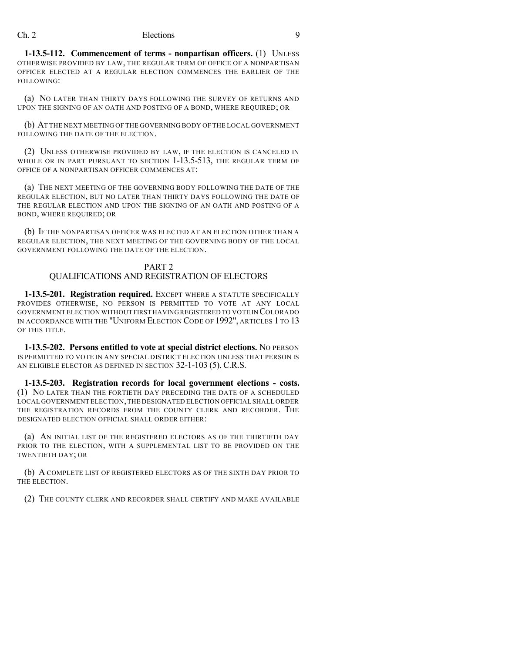**1-13.5-112. Commencement of terms - nonpartisan officers.** (1) UNLESS OTHERWISE PROVIDED BY LAW, THE REGULAR TERM OF OFFICE OF A NONPARTISAN OFFICER ELECTED AT A REGULAR ELECTION COMMENCES THE EARLIER OF THE FOLLOWING:

(a) NO LATER THAN THIRTY DAYS FOLLOWING THE SURVEY OF RETURNS AND UPON THE SIGNING OF AN OATH AND POSTING OF A BOND, WHERE REQUIRED; OR

(b) AT THE NEXT MEETING OF THE GOVERNING BODY OF THE LOCAL GOVERNMENT FOLLOWING THE DATE OF THE ELECTION.

(2) UNLESS OTHERWISE PROVIDED BY LAW, IF THE ELECTION IS CANCELED IN WHOLE OR IN PART PURSUANT TO SECTION 1-13.5-513, THE REGULAR TERM OF OFFICE OF A NONPARTISAN OFFICER COMMENCES AT:

(a) THE NEXT MEETING OF THE GOVERNING BODY FOLLOWING THE DATE OF THE REGULAR ELECTION, BUT NO LATER THAN THIRTY DAYS FOLLOWING THE DATE OF THE REGULAR ELECTION AND UPON THE SIGNING OF AN OATH AND POSTING OF A BOND, WHERE REQUIRED; OR

(b) IF THE NONPARTISAN OFFICER WAS ELECTED AT AN ELECTION OTHER THAN A REGULAR ELECTION, THE NEXT MEETING OF THE GOVERNING BODY OF THE LOCAL GOVERNMENT FOLLOWING THE DATE OF THE ELECTION.

#### PART 2 QUALIFICATIONS AND REGISTRATION OF ELECTORS

**1-13.5-201. Registration required.** EXCEPT WHERE A STATUTE SPECIFICALLY PROVIDES OTHERWISE, NO PERSON IS PERMITTED TO VOTE AT ANY LOCAL GOVERNMENT ELECTION WITHOUT FIRST HAVINGREGISTERED TO VOTE IN COLORADO IN ACCORDANCE WITH THE "UNIFORM ELECTION CODE OF 1992", ARTICLES 1 TO 13 OF THIS TITLE.

**1-13.5-202. Persons entitled to vote at special district elections.** NO PERSON IS PERMITTED TO VOTE IN ANY SPECIAL DISTRICT ELECTION UNLESS THAT PERSON IS AN ELIGIBLE ELECTOR AS DEFINED IN SECTION 32-1-103 (5), C.R.S.

**1-13.5-203. Registration records for local government elections - costs.** (1) NO LATER THAN THE FORTIETH DAY PRECEDING THE DATE OF A SCHEDULED LOCAL GOVERNMENT ELECTION,THE DESIGNATED ELECTION OFFICIAL SHALL ORDER THE REGISTRATION RECORDS FROM THE COUNTY CLERK AND RECORDER. THE DESIGNATED ELECTION OFFICIAL SHALL ORDER EITHER:

(a) AN INITIAL LIST OF THE REGISTERED ELECTORS AS OF THE THIRTIETH DAY PRIOR TO THE ELECTION, WITH A SUPPLEMENTAL LIST TO BE PROVIDED ON THE TWENTIETH DAY; OR

(b) A COMPLETE LIST OF REGISTERED ELECTORS AS OF THE SIXTH DAY PRIOR TO THE ELECTION.

(2) THE COUNTY CLERK AND RECORDER SHALL CERTIFY AND MAKE AVAILABLE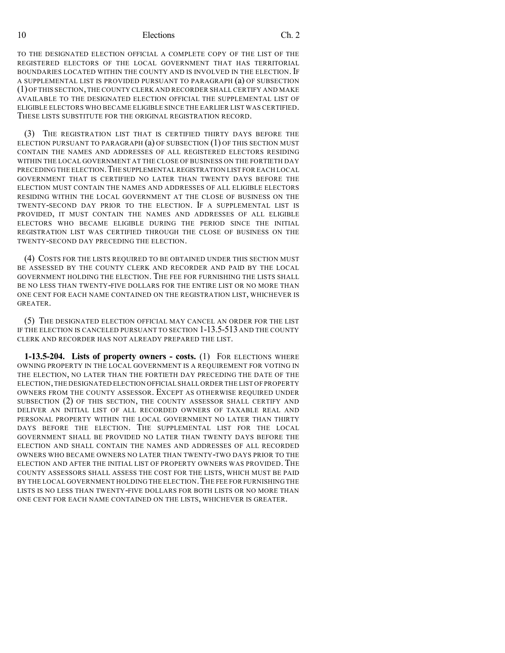TO THE DESIGNATED ELECTION OFFICIAL A COMPLETE COPY OF THE LIST OF THE REGISTERED ELECTORS OF THE LOCAL GOVERNMENT THAT HAS TERRITORIAL BOUNDARIES LOCATED WITHIN THE COUNTY AND IS INVOLVED IN THE ELECTION. IF A SUPPLEMENTAL LIST IS PROVIDED PURSUANT TO PARAGRAPH (a) OF SUBSECTION (1) OF THIS SECTION,THE COUNTY CLERK AND RECORDER SHALL CERTIFY AND MAKE AVAILABLE TO THE DESIGNATED ELECTION OFFICIAL THE SUPPLEMENTAL LIST OF ELIGIBLE ELECTORS WHO BECAME ELIGIBLE SINCE THE EARLIER LIST WAS CERTIFIED. THESE LISTS SUBSTITUTE FOR THE ORIGINAL REGISTRATION RECORD.

(3) THE REGISTRATION LIST THAT IS CERTIFIED THIRTY DAYS BEFORE THE ELECTION PURSUANT TO PARAGRAPH  $(a)$  of subsection  $(1)$  of this section must CONTAIN THE NAMES AND ADDRESSES OF ALL REGISTERED ELECTORS RESIDING WITHIN THE LOCAL GOVERNMENT AT THE CLOSE OF BUSINESS ON THE FORTIETH DAY PRECEDING THE ELECTION.THE SUPPLEMENTAL REGISTRATION LIST FOR EACH LOCAL GOVERNMENT THAT IS CERTIFIED NO LATER THAN TWENTY DAYS BEFORE THE ELECTION MUST CONTAIN THE NAMES AND ADDRESSES OF ALL ELIGIBLE ELECTORS RESIDING WITHIN THE LOCAL GOVERNMENT AT THE CLOSE OF BUSINESS ON THE TWENTY-SECOND DAY PRIOR TO THE ELECTION. IF A SUPPLEMENTAL LIST IS PROVIDED, IT MUST CONTAIN THE NAMES AND ADDRESSES OF ALL ELIGIBLE ELECTORS WHO BECAME ELIGIBLE DURING THE PERIOD SINCE THE INITIAL REGISTRATION LIST WAS CERTIFIED THROUGH THE CLOSE OF BUSINESS ON THE TWENTY-SECOND DAY PRECEDING THE ELECTION.

(4) COSTS FOR THE LISTS REQUIRED TO BE OBTAINED UNDER THIS SECTION MUST BE ASSESSED BY THE COUNTY CLERK AND RECORDER AND PAID BY THE LOCAL GOVERNMENT HOLDING THE ELECTION. THE FEE FOR FURNISHING THE LISTS SHALL BE NO LESS THAN TWENTY-FIVE DOLLARS FOR THE ENTIRE LIST OR NO MORE THAN ONE CENT FOR EACH NAME CONTAINED ON THE REGISTRATION LIST, WHICHEVER IS GREATER.

(5) THE DESIGNATED ELECTION OFFICIAL MAY CANCEL AN ORDER FOR THE LIST IF THE ELECTION IS CANCELED PURSUANT TO SECTION 1-13.5-513 AND THE COUNTY CLERK AND RECORDER HAS NOT ALREADY PREPARED THE LIST.

**1-13.5-204. Lists of property owners - costs.** (1) FOR ELECTIONS WHERE OWNING PROPERTY IN THE LOCAL GOVERNMENT IS A REQUIREMENT FOR VOTING IN THE ELECTION, NO LATER THAN THE FORTIETH DAY PRECEDING THE DATE OF THE ELECTION,THE DESIGNATED ELECTION OFFICIAL SHALL ORDER THE LIST OF PROPERTY OWNERS FROM THE COUNTY ASSESSOR. EXCEPT AS OTHERWISE REQUIRED UNDER SUBSECTION (2) OF THIS SECTION, THE COUNTY ASSESSOR SHALL CERTIFY AND DELIVER AN INITIAL LIST OF ALL RECORDED OWNERS OF TAXABLE REAL AND PERSONAL PROPERTY WITHIN THE LOCAL GOVERNMENT NO LATER THAN THIRTY DAYS BEFORE THE ELECTION. THE SUPPLEMENTAL LIST FOR THE LOCAL GOVERNMENT SHALL BE PROVIDED NO LATER THAN TWENTY DAYS BEFORE THE ELECTION AND SHALL CONTAIN THE NAMES AND ADDRESSES OF ALL RECORDED OWNERS WHO BECAME OWNERS NO LATER THAN TWENTY-TWO DAYS PRIOR TO THE ELECTION AND AFTER THE INITIAL LIST OF PROPERTY OWNERS WAS PROVIDED. THE COUNTY ASSESSORS SHALL ASSESS THE COST FOR THE LISTS, WHICH MUST BE PAID BY THE LOCAL GOVERNMENT HOLDING THE ELECTION. THE FEE FOR FURNISHING THE LISTS IS NO LESS THAN TWENTY-FIVE DOLLARS FOR BOTH LISTS OR NO MORE THAN ONE CENT FOR EACH NAME CONTAINED ON THE LISTS, WHICHEVER IS GREATER.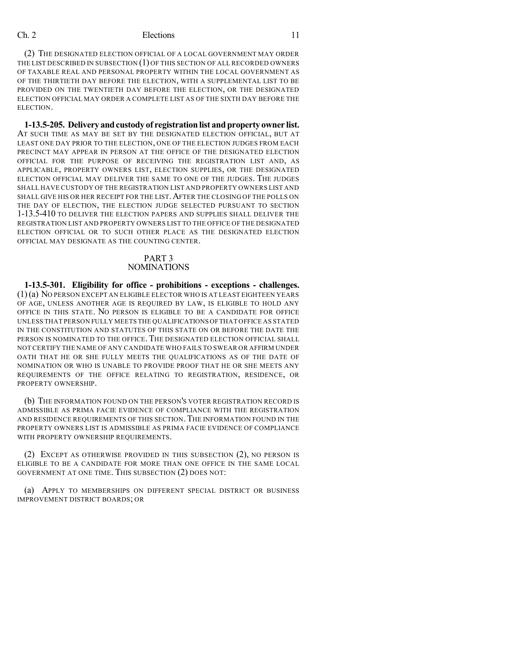(2) THE DESIGNATED ELECTION OFFICIAL OF A LOCAL GOVERNMENT MAY ORDER THE LIST DESCRIBED IN SUBSECTION (1) OF THIS SECTION OF ALL RECORDED OWNERS OF TAXABLE REAL AND PERSONAL PROPERTY WITHIN THE LOCAL GOVERNMENT AS OF THE THIRTIETH DAY BEFORE THE ELECTION, WITH A SUPPLEMENTAL LIST TO BE PROVIDED ON THE TWENTIETH DAY BEFORE THE ELECTION, OR THE DESIGNATED ELECTION OFFICIAL MAY ORDER A COMPLETE LIST AS OF THE SIXTH DAY BEFORE THE ELECTION.

**1-13.5-205. Delivery andcustody of registration list and property owner list.** AT SUCH TIME AS MAY BE SET BY THE DESIGNATED ELECTION OFFICIAL, BUT AT LEAST ONE DAY PRIOR TO THE ELECTION, ONE OF THE ELECTION JUDGES FROM EACH PRECINCT MAY APPEAR IN PERSON AT THE OFFICE OF THE DESIGNATED ELECTION OFFICIAL FOR THE PURPOSE OF RECEIVING THE REGISTRATION LIST AND, AS APPLICABLE, PROPERTY OWNERS LIST, ELECTION SUPPLIES, OR THE DESIGNATED ELECTION OFFICIAL MAY DELIVER THE SAME TO ONE OF THE JUDGES. THE JUDGES SHALL HAVE CUSTODY OF THE REGISTRATION LIST AND PROPERTY OWNERS LIST AND SHALL GIVE HIS OR HER RECEIPT FOR THE LIST. AFTER THE CLOSING OF THE POLLS ON THE DAY OF ELECTION, THE ELECTION JUDGE SELECTED PURSUANT TO SECTION 1-13.5-410 TO DELIVER THE ELECTION PAPERS AND SUPPLIES SHALL DELIVER THE REGISTRATION LIST AND PROPERTY OWNERS LIST TO THE OFFICE OF THE DESIGNATED ELECTION OFFICIAL OR TO SUCH OTHER PLACE AS THE DESIGNATED ELECTION OFFICIAL MAY DESIGNATE AS THE COUNTING CENTER.

#### PART 3 NOMINATIONS

**1-13.5-301. Eligibility for office - prohibitions - exceptions - challenges.** (1)(a) NO PERSON EXCEPT AN ELIGIBLE ELECTOR WHO IS AT LEAST EIGHTEEN YEARS OF AGE, UNLESS ANOTHER AGE IS REQUIRED BY LAW, IS ELIGIBLE TO HOLD ANY OFFICE IN THIS STATE. NO PERSON IS ELIGIBLE TO BE A CANDIDATE FOR OFFICE UNLESS THAT PERSON FULLY MEETS THE QUALIFICATIONS OFTHAT OFFICE AS STATED IN THE CONSTITUTION AND STATUTES OF THIS STATE ON OR BEFORE THE DATE THE PERSON IS NOMINATED TO THE OFFICE. THE DESIGNATED ELECTION OFFICIAL SHALL NOT CERTIFY THE NAME OF ANY CANDIDATE WHO FAILS TO SWEAR OR AFFIRM UNDER OATH THAT HE OR SHE FULLY MEETS THE QUALIFICATIONS AS OF THE DATE OF NOMINATION OR WHO IS UNABLE TO PROVIDE PROOF THAT HE OR SHE MEETS ANY REQUIREMENTS OF THE OFFICE RELATING TO REGISTRATION, RESIDENCE, OR PROPERTY OWNERSHIP.

(b) THE INFORMATION FOUND ON THE PERSON'S VOTER REGISTRATION RECORD IS ADMISSIBLE AS PRIMA FACIE EVIDENCE OF COMPLIANCE WITH THE REGISTRATION AND RESIDENCE REQUIREMENTS OF THIS SECTION.THE INFORMATION FOUND IN THE PROPERTY OWNERS LIST IS ADMISSIBLE AS PRIMA FACIE EVIDENCE OF COMPLIANCE WITH PROPERTY OWNERSHIP REQUIREMENTS.

(2) EXCEPT AS OTHERWISE PROVIDED IN THIS SUBSECTION (2), NO PERSON IS ELIGIBLE TO BE A CANDIDATE FOR MORE THAN ONE OFFICE IN THE SAME LOCAL GOVERNMENT AT ONE TIME. THIS SUBSECTION (2) DOES NOT:

(a) APPLY TO MEMBERSHIPS ON DIFFERENT SPECIAL DISTRICT OR BUSINESS IMPROVEMENT DISTRICT BOARDS; OR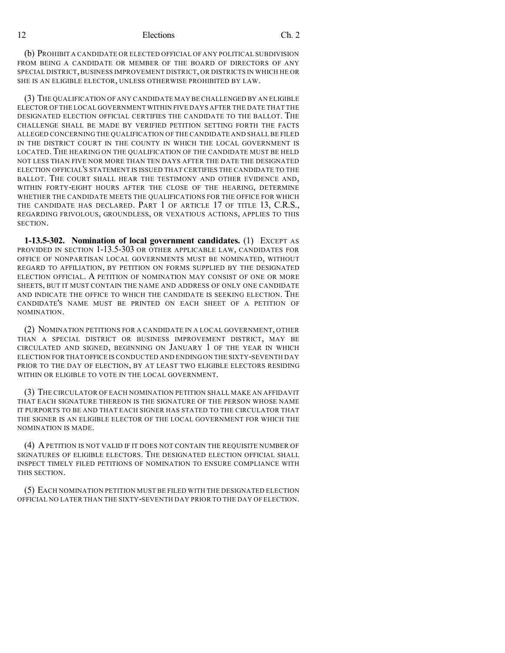(b) PROHIBIT A CANDIDATE OR ELECTED OFFICIAL OF ANY POLITICAL SUBDIVISION FROM BEING A CANDIDATE OR MEMBER OF THE BOARD OF DIRECTORS OF ANY SPECIAL DISTRICT,BUSINESS IMPROVEMENT DISTRICT, OR DISTRICTS IN WHICH HE OR SHE IS AN ELIGIBLE ELECTOR, UNLESS OTHERWISE PROHIBITED BY LAW.

(3) THE QUALIFICATION OF ANY CANDIDATE MAY BE CHALLENGED BY AN ELIGIBLE ELECTOR OF THE LOCAL GOVERNMENT WITHIN FIVE DAYS AFTER THE DATE THAT THE DESIGNATED ELECTION OFFICIAL CERTIFIES THE CANDIDATE TO THE BALLOT. THE CHALLENGE SHALL BE MADE BY VERIFIED PETITION SETTING FORTH THE FACTS ALLEGED CONCERNING THE QUALIFICATION OF THE CANDIDATE AND SHALL BE FILED IN THE DISTRICT COURT IN THE COUNTY IN WHICH THE LOCAL GOVERNMENT IS LOCATED. THE HEARING ON THE QUALIFICATION OF THE CANDIDATE MUST BE HELD NOT LESS THAN FIVE NOR MORE THAN TEN DAYS AFTER THE DATE THE DESIGNATED ELECTION OFFICIAL'S STATEMENT IS ISSUED THAT CERTIFIES THE CANDIDATE TO THE BALLOT. THE COURT SHALL HEAR THE TESTIMONY AND OTHER EVIDENCE AND, WITHIN FORTY-EIGHT HOURS AFTER THE CLOSE OF THE HEARING, DETERMINE WHETHER THE CANDIDATE MEETS THE QUALIFICATIONS FOR THE OFFICE FOR WHICH THE CANDIDATE HAS DECLARED. PART 1 OF ARTICLE 17 OF TITLE 13, C.R.S., REGARDING FRIVOLOUS, GROUNDLESS, OR VEXATIOUS ACTIONS, APPLIES TO THIS SECTION.

**1-13.5-302. Nomination of local government candidates.** (1) EXCEPT AS PROVIDED IN SECTION 1-13.5-303 OR OTHER APPLICABLE LAW, CANDIDATES FOR OFFICE OF NONPARTISAN LOCAL GOVERNMENTS MUST BE NOMINATED, WITHOUT REGARD TO AFFILIATION, BY PETITION ON FORMS SUPPLIED BY THE DESIGNATED ELECTION OFFICIAL. A PETITION OF NOMINATION MAY CONSIST OF ONE OR MORE SHEETS, BUT IT MUST CONTAIN THE NAME AND ADDRESS OF ONLY ONE CANDIDATE AND INDICATE THE OFFICE TO WHICH THE CANDIDATE IS SEEKING ELECTION. THE CANDIDATE'S NAME MUST BE PRINTED ON EACH SHEET OF A PETITION OF NOMINATION.

(2) NOMINATION PETITIONS FOR A CANDIDATE IN A LOCAL GOVERNMENT, OTHER THAN A SPECIAL DISTRICT OR BUSINESS IMPROVEMENT DISTRICT, MAY BE CIRCULATED AND SIGNED, BEGINNING ON JANUARY 1 OF THE YEAR IN WHICH ELECTION FOR THAT OFFICE IS CONDUCTED AND ENDING ON THE SIXTY-SEVENTH DAY PRIOR TO THE DAY OF ELECTION, BY AT LEAST TWO ELIGIBLE ELECTORS RESIDING WITHIN OR ELIGIBLE TO VOTE IN THE LOCAL GOVERNMENT.

(3) THE CIRCULATOR OF EACH NOMINATION PETITION SHALL MAKE AN AFFIDAVIT THAT EACH SIGNATURE THEREON IS THE SIGNATURE OF THE PERSON WHOSE NAME IT PURPORTS TO BE AND THAT EACH SIGNER HAS STATED TO THE CIRCULATOR THAT THE SIGNER IS AN ELIGIBLE ELECTOR OF THE LOCAL GOVERNMENT FOR WHICH THE NOMINATION IS MADE.

(4) APETITION IS NOT VALID IF IT DOES NOT CONTAIN THE REQUISITE NUMBER OF SIGNATURES OF ELIGIBLE ELECTORS. THE DESIGNATED ELECTION OFFICIAL SHALL INSPECT TIMELY FILED PETITIONS OF NOMINATION TO ENSURE COMPLIANCE WITH THIS SECTION.

(5) EACH NOMINATION PETITION MUST BE FILED WITH THE DESIGNATED ELECTION OFFICIAL NO LATER THAN THE SIXTY-SEVENTH DAY PRIOR TO THE DAY OF ELECTION.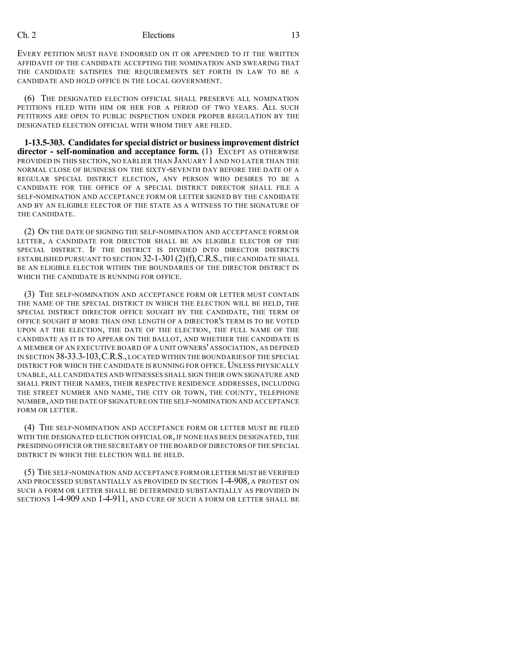EVERY PETITION MUST HAVE ENDORSED ON IT OR APPENDED TO IT THE WRITTEN AFFIDAVIT OF THE CANDIDATE ACCEPTING THE NOMINATION AND SWEARING THAT THE CANDIDATE SATISFIES THE REQUIREMENTS SET FORTH IN LAW TO BE A CANDIDATE AND HOLD OFFICE IN THE LOCAL GOVERNMENT.

(6) THE DESIGNATED ELECTION OFFICIAL SHALL PRESERVE ALL NOMINATION PETITIONS FILED WITH HIM OR HER FOR A PERIOD OF TWO YEARS. ALL SUCH PETITIONS ARE OPEN TO PUBLIC INSPECTION UNDER PROPER REGULATION BY THE DESIGNATED ELECTION OFFICIAL WITH WHOM THEY ARE FILED.

**1-13.5-303. Candidatesfor special district or businessimprovement district director - self-nomination and acceptance form.** (1) EXCEPT AS OTHERWISE PROVIDED IN THIS SECTION, NO EARLIER THAN JANUARY 1 AND NO LATER THAN THE NORMAL CLOSE OF BUSINESS ON THE SIXTY-SEVENTH DAY BEFORE THE DATE OF A REGULAR SPECIAL DISTRICT ELECTION, ANY PERSON WHO DESIRES TO BE A CANDIDATE FOR THE OFFICE OF A SPECIAL DISTRICT DIRECTOR SHALL FILE A SELF-NOMINATION AND ACCEPTANCE FORM OR LETTER SIGNED BY THE CANDIDATE AND BY AN ELIGIBLE ELECTOR OF THE STATE AS A WITNESS TO THE SIGNATURE OF THE CANDIDATE.

(2) ON THE DATE OF SIGNING THE SELF-NOMINATION AND ACCEPTANCE FORM OR LETTER, A CANDIDATE FOR DIRECTOR SHALL BE AN ELIGIBLE ELECTOR OF THE SPECIAL DISTRICT. IF THE DISTRICT IS DIVIDED INTO DIRECTOR DISTRICTS ESTABLISHED PURSUANT TO SECTION  $32$ -1-301(2)(f), C.R.S., THE CANDIDATE SHALL BE AN ELIGIBLE ELECTOR WITHIN THE BOUNDARIES OF THE DIRECTOR DISTRICT IN WHICH THE CANDIDATE IS RUNNING FOR OFFICE.

(3) THE SELF-NOMINATION AND ACCEPTANCE FORM OR LETTER MUST CONTAIN THE NAME OF THE SPECIAL DISTRICT IN WHICH THE ELECTION WILL BE HELD, THE SPECIAL DISTRICT DIRECTOR OFFICE SOUGHT BY THE CANDIDATE, THE TERM OF OFFICE SOUGHT IF MORE THAN ONE LENGTH OF A DIRECTOR'S TERM IS TO BE VOTED UPON AT THE ELECTION, THE DATE OF THE ELECTION, THE FULL NAME OF THE CANDIDATE AS IT IS TO APPEAR ON THE BALLOT, AND WHETHER THE CANDIDATE IS A MEMBER OF AN EXECUTIVE BOARD OF A UNIT OWNERS' ASSOCIATION, AS DEFINED IN SECTION 38-33.3-103,C.R.S.,LOCATED WITHIN THE BOUNDARIES OF THE SPECIAL DISTRICT FOR WHICH THE CANDIDATE IS RUNNING FOR OFFICE. UNLESS PHYSICALLY UNABLE, ALL CANDIDATES AND WITNESSES SHALL SIGN THEIR OWN SIGNATURE AND SHALL PRINT THEIR NAMES, THEIR RESPECTIVE RESIDENCE ADDRESSES, INCLUDING THE STREET NUMBER AND NAME, THE CITY OR TOWN, THE COUNTY, TELEPHONE NUMBER,AND THE DATE OF SIGNATURE ON THE SELF-NOMINATION AND ACCEPTANCE FORM OR LETTER.

(4) THE SELF-NOMINATION AND ACCEPTANCE FORM OR LETTER MUST BE FILED WITH THE DESIGNATED ELECTION OFFICIAL OR, IF NONE HAS BEEN DESIGNATED, THE PRESIDING OFFICER OR THE SECRETARY OF THE BOARD OF DIRECTORS OFTHE SPECIAL DISTRICT IN WHICH THE ELECTION WILL BE HELD.

(5) THE SELF-NOMINATION AND ACCEPTANCE FORM OR LETTER MUST BE VERIFIED AND PROCESSED SUBSTANTIALLY AS PROVIDED IN SECTION 1-4-908, A PROTEST ON SUCH A FORM OR LETTER SHALL BE DETERMINED SUBSTANTIALLY AS PROVIDED IN SECTIONS 1-4-909 AND 1-4-911, AND CURE OF SUCH A FORM OR LETTER SHALL BE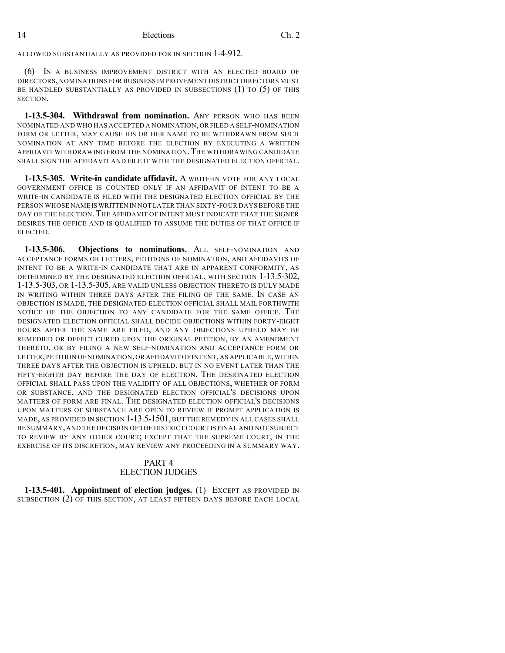ALLOWED SUBSTANTIALLY AS PROVIDED FOR IN SECTION 1-4-912.

(6) IN A BUSINESS IMPROVEMENT DISTRICT WITH AN ELECTED BOARD OF DIRECTORS, NOMINATIONS FOR BUSINESS IMPROVEMENT DISTRICT DIRECTORS MUST BE HANDLED SUBSTANTIALLY AS PROVIDED IN SUBSECTIONS (1) TO (5) OF THIS SECTION.

**1-13.5-304. Withdrawal from nomination.** ANY PERSON WHO HAS BEEN NOMINATED AND WHO HAS ACCEPTED A NOMINATION,OR FILED A SELF-NOMINATION FORM OR LETTER, MAY CAUSE HIS OR HER NAME TO BE WITHDRAWN FROM SUCH NOMINATION AT ANY TIME BEFORE THE ELECTION BY EXECUTING A WRITTEN AFFIDAVIT WITHDRAWING FROM THE NOMINATION.THE WITHDRAWING CANDIDATE SHALL SIGN THE AFFIDAVIT AND FILE IT WITH THE DESIGNATED ELECTION OFFICIAL.

**1-13.5-305. Write-in candidate affidavit.** A WRITE-IN VOTE FOR ANY LOCAL GOVERNMENT OFFICE IS COUNTED ONLY IF AN AFFIDAVIT OF INTENT TO BE A WRITE-IN CANDIDATE IS FILED WITH THE DESIGNATED ELECTION OFFICIAL BY THE PERSON WHOSE NAME IS WRITTEN IN NOT LATER THAN SIXTY-FOUR DAYS BEFORE THE DAY OF THE ELECTION. THE AFFIDAVIT OF INTENT MUST INDICATE THAT THE SIGNER DESIRES THE OFFICE AND IS QUALIFIED TO ASSUME THE DUTIES OF THAT OFFICE IF ELECTED.

**1-13.5-306. Objections to nominations.** ALL SELF-NOMINATION AND ACCEPTANCE FORMS OR LETTERS, PETITIONS OF NOMINATION, AND AFFIDAVITS OF INTENT TO BE A WRITE-IN CANDIDATE THAT ARE IN APPARENT CONFORMITY, AS DETERMINED BY THE DESIGNATED ELECTION OFFICIAL, WITH SECTION 1-13.5-302, 1-13.5-303, OR 1-13.5-305, ARE VALID UNLESS OBJECTION THERETO IS DULY MADE IN WRITING WITHIN THREE DAYS AFTER THE FILING OF THE SAME. IN CASE AN OBJECTION IS MADE, THE DESIGNATED ELECTION OFFICIAL SHALL MAIL FORTHWITH NOTICE OF THE OBJECTION TO ANY CANDIDATE FOR THE SAME OFFICE. THE DESIGNATED ELECTION OFFICIAL SHALL DECIDE OBJECTIONS WITHIN FORTY-EIGHT HOURS AFTER THE SAME ARE FILED, AND ANY OBJECTIONS UPHELD MAY BE REMEDIED OR DEFECT CURED UPON THE ORIGINAL PETITION, BY AN AMENDMENT THERETO, OR BY FILING A NEW SELF-NOMINATION AND ACCEPTANCE FORM OR LETTER, PETITION OF NOMINATION, OR AFFIDAVIT OF INTENT, AS APPLICABLE, WITHIN THREE DAYS AFTER THE OBJECTION IS UPHELD, BUT IN NO EVENT LATER THAN THE FIFTY-EIGHTH DAY BEFORE THE DAY OF ELECTION. THE DESIGNATED ELECTION OFFICIAL SHALL PASS UPON THE VALIDITY OF ALL OBJECTIONS, WHETHER OF FORM OR SUBSTANCE, AND THE DESIGNATED ELECTION OFFICIAL'S DECISIONS UPON MATTERS OF FORM ARE FINAL. THE DESIGNATED ELECTION OFFICIAL'S DECISIONS UPON MATTERS OF SUBSTANCE ARE OPEN TO REVIEW IF PROMPT APPLICATION IS MADE, AS PROVIDED IN SECTION 1-13.5-1501, BUT THE REMEDY IN ALL CASES SHALL BE SUMMARY,AND THE DECISION OFTHE DISTRICT COURT IS FINAL AND NOT SUBJECT TO REVIEW BY ANY OTHER COURT; EXCEPT THAT THE SUPREME COURT, IN THE EXERCISE OF ITS DISCRETION, MAY REVIEW ANY PROCEEDING IN A SUMMARY WAY.

## PART 4 ELECTION JUDGES

**1-13.5-401. Appointment of election judges.** (1) EXCEPT AS PROVIDED IN SUBSECTION (2) OF THIS SECTION, AT LEAST FIFTEEN DAYS BEFORE EACH LOCAL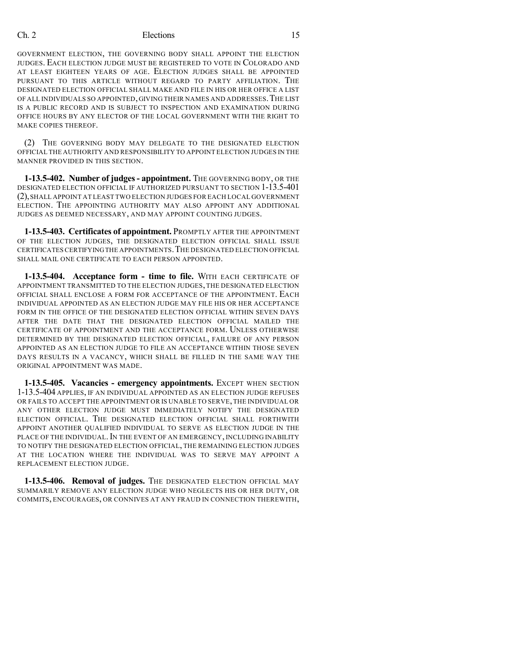GOVERNMENT ELECTION, THE GOVERNING BODY SHALL APPOINT THE ELECTION JUDGES. EACH ELECTION JUDGE MUST BE REGISTERED TO VOTE IN COLORADO AND AT LEAST EIGHTEEN YEARS OF AGE. ELECTION JUDGES SHALL BE APPOINTED PURSUANT TO THIS ARTICLE WITHOUT REGARD TO PARTY AFFILIATION. THE DESIGNATED ELECTION OFFICIAL SHALL MAKE AND FILE IN HIS OR HER OFFICE A LIST OF ALL INDIVIDUALS SO APPOINTED, GIVING THEIR NAMES AND ADDRESSES.THE LIST IS A PUBLIC RECORD AND IS SUBJECT TO INSPECTION AND EXAMINATION DURING OFFICE HOURS BY ANY ELECTOR OF THE LOCAL GOVERNMENT WITH THE RIGHT TO MAKE COPIES THEREOF.

(2) THE GOVERNING BODY MAY DELEGATE TO THE DESIGNATED ELECTION OFFICIAL THE AUTHORITY AND RESPONSIBILITY TO APPOINT ELECTION JUDGES IN THE MANNER PROVIDED IN THIS SECTION.

**1-13.5-402. Number of judges- appointment.** THE GOVERNING BODY, OR THE DESIGNATED ELECTION OFFICIAL IF AUTHORIZED PURSUANT TO SECTION 1-13.5-401 (2),SHALL APPOINT AT LEAST TWO ELECTION JUDGES FOR EACH LOCAL GOVERNMENT ELECTION. THE APPOINTING AUTHORITY MAY ALSO APPOINT ANY ADDITIONAL JUDGES AS DEEMED NECESSARY, AND MAY APPOINT COUNTING JUDGES.

**1-13.5-403. Certificates of appointment.** PROMPTLY AFTER THE APPOINTMENT OF THE ELECTION JUDGES, THE DESIGNATED ELECTION OFFICIAL SHALL ISSUE CERTIFICATESCERTIFYINGTHE APPOINTMENTS.THE DESIGNATED ELECTION OFFICIAL SHALL MAIL ONE CERTIFICATE TO EACH PERSON APPOINTED.

**1-13.5-404. Acceptance form - time to file.** WITH EACH CERTIFICATE OF APPOINTMENT TRANSMITTED TO THE ELECTION JUDGES, THE DESIGNATED ELECTION OFFICIAL SHALL ENCLOSE A FORM FOR ACCEPTANCE OF THE APPOINTMENT. EACH INDIVIDUAL APPOINTED AS AN ELECTION JUDGE MAY FILE HIS OR HER ACCEPTANCE FORM IN THE OFFICE OF THE DESIGNATED ELECTION OFFICIAL WITHIN SEVEN DAYS AFTER THE DATE THAT THE DESIGNATED ELECTION OFFICIAL MAILED THE CERTIFICATE OF APPOINTMENT AND THE ACCEPTANCE FORM. UNLESS OTHERWISE DETERMINED BY THE DESIGNATED ELECTION OFFICIAL, FAILURE OF ANY PERSON APPOINTED AS AN ELECTION JUDGE TO FILE AN ACCEPTANCE WITHIN THOSE SEVEN DAYS RESULTS IN A VACANCY, WHICH SHALL BE FILLED IN THE SAME WAY THE ORIGINAL APPOINTMENT WAS MADE.

**1-13.5-405. Vacancies - emergency appointments.** EXCEPT WHEN SECTION 1-13.5-404 APPLIES, IF AN INDIVIDUAL APPOINTED AS AN ELECTION JUDGE REFUSES OR FAILS TO ACCEPT THE APPOINTMENT OR IS UNABLE TO SERVE,THE INDIVIDUAL OR ANY OTHER ELECTION JUDGE MUST IMMEDIATELY NOTIFY THE DESIGNATED ELECTION OFFICIAL. THE DESIGNATED ELECTION OFFICIAL SHALL FORTHWITH APPOINT ANOTHER QUALIFIED INDIVIDUAL TO SERVE AS ELECTION JUDGE IN THE PLACE OF THE INDIVIDUAL. IN THE EVENT OF AN EMERGENCY, INCLUDING INABILITY TO NOTIFY THE DESIGNATED ELECTION OFFICIAL, THE REMAINING ELECTION JUDGES AT THE LOCATION WHERE THE INDIVIDUAL WAS TO SERVE MAY APPOINT A REPLACEMENT ELECTION JUDGE.

**1-13.5-406. Removal of judges.** THE DESIGNATED ELECTION OFFICIAL MAY SUMMARILY REMOVE ANY ELECTION JUDGE WHO NEGLECTS HIS OR HER DUTY, OR COMMITS, ENCOURAGES, OR CONNIVES AT ANY FRAUD IN CONNECTION THEREWITH,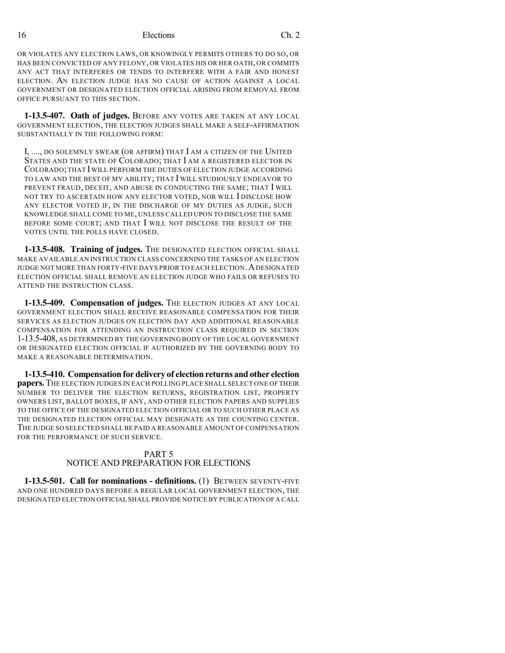OR VIOLATES ANY ELECTION LAWS, OR KNOWINGLY PERMITS OTHERS TO DO SO, OR HAS BEEN CONVICTED OF ANY FELONY, OR VIOLATES HIS OR HER OATH, OR COMMITS ANY ACT THAT INTERFERES OR TENDS TO INTERFERE WITH A FAIR AND HONEST ELECTION. AN ELECTION JUDGE HAS NO CAUSE OF ACTION AGAINST A LOCAL GOVERNMENT OR DESIGNATED ELECTION OFFICIAL ARISING FROM REMOVAL FROM OFFICE PURSUANT TO THIS SECTION.

**1-13.5-407. Oath of judges.** BEFORE ANY VOTES ARE TAKEN AT ANY LOCAL GOVERNMENT ELECTION, THE ELECTION JUDGES SHALL MAKE A SELF-AFFIRMATION SUBSTANTIALLY IN THE FOLLOWING FORM:

I, ...., DO SOLEMNLY SWEAR (OR AFFIRM) THAT I AM A CITIZEN OF THE UNITED STATES AND THE STATE OF COLORADO; THAT I AM A REGISTERED ELECTOR IN COLORADO;THAT I WILL PERFORM THE DUTIES OF ELECTION JUDGE ACCORDING TO LAW AND THE BEST OF MY ABILITY; THAT I WILL STUDIOUSLY ENDEAVOR TO PREVENT FRAUD, DECEIT, AND ABUSE IN CONDUCTING THE SAME; THAT I WILL NOT TRY TO ASCERTAIN HOW ANY ELECTOR VOTED, NOR WILL I DISCLOSE HOW ANY ELECTOR VOTED IF, IN THE DISCHARGE OF MY DUTIES AS JUDGE, SUCH KNOWLEDGE SHALL COME TO ME, UNLESS CALLED UPON TO DISCLOSE THE SAME BEFORE SOME COURT; AND THAT I WILL NOT DISCLOSE THE RESULT OF THE VOTES UNTIL THE POLLS HAVE CLOSED.

**1-13.5-408. Training of judges.** THE DESIGNATED ELECTION OFFICIAL SHALL MAKE AVAILABLE AN INSTRUCTION CLASS CONCERNING THE TASKS OF AN ELECTION JUDGE NOT MORE THAN FORTY-FIVE DAYS PRIOR TO EACH ELECTION.ADESIGNATED ELECTION OFFICIAL SHALL REMOVE AN ELECTION JUDGE WHO FAILS OR REFUSES TO ATTEND THE INSTRUCTION CLASS.

**1-13.5-409. Compensation of judges.** THE ELECTION JUDGES AT ANY LOCAL GOVERNMENT ELECTION SHALL RECEIVE REASONABLE COMPENSATION FOR THEIR SERVICES AS ELECTION JUDGES ON ELECTION DAY AND ADDITIONAL REASONABLE COMPENSATION FOR ATTENDING AN INSTRUCTION CLASS REQUIRED IN SECTION 1-13.5-408, AS DETERMINED BY THE GOVERNING BODY OF THE LOCAL GOVERNMENT OR DESIGNATED ELECTION OFFICIAL IF AUTHORIZED BY THE GOVERNING BODY TO MAKE A REASONABLE DETERMINATION.

**1-13.5-410. Compensationfor delivery of electionreturns and other election papers.**THE ELECTION JUDGES IN EACH POLLING PLACE SHALL SELECT ONE OF THEIR NUMBER TO DELIVER THE ELECTION RETURNS, REGISTRATION LIST, PROPERTY OWNERS LIST, BALLOT BOXES, IF ANY, AND OTHER ELECTION PAPERS AND SUPPLIES TO THE OFFICE OF THE DESIGNATED ELECTION OFFICIAL OR TO SUCH OTHER PLACE AS THE DESIGNATED ELECTION OFFICIAL MAY DESIGNATE AS THE COUNTING CENTER. THE JUDGE SO SELECTED SHALL BE PAID A REASONABLE AMOUNT OF COMPENSATION FOR THE PERFORMANCE OF SUCH SERVICE.

# PART 5

NOTICE AND PREPARATION FOR ELECTIONS

**1-13.5-501. Call for nominations - definitions.** (1) BETWEEN SEVENTY-FIVE AND ONE HUNDRED DAYS BEFORE A REGULAR LOCAL GOVERNMENT ELECTION, THE DESIGNATED ELECTION OFFICIAL SHALL PROVIDE NOTICE BY PUBLICATION OFA CALL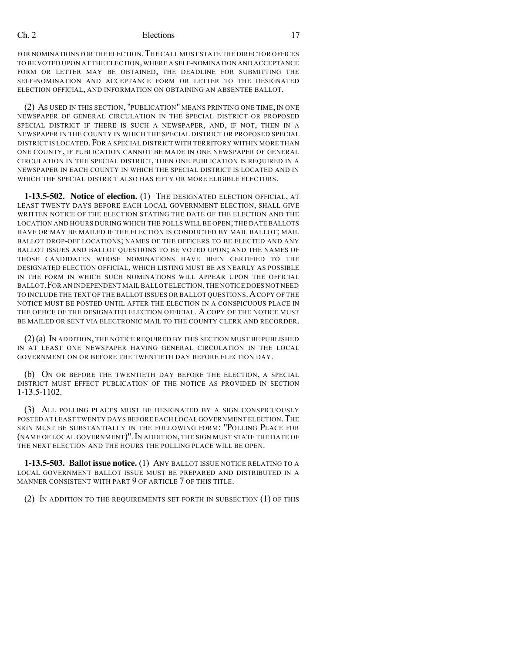FOR NOMINATIONS FOR THE ELECTION. THE CALL MUST STATE THE DIRECTOR OFFICES TO BE VOTED UPON AT THE ELECTION,WHERE A SELF-NOMINATION AND ACCEPTANCE FORM OR LETTER MAY BE OBTAINED, THE DEADLINE FOR SUBMITTING THE SELF-NOMINATION AND ACCEPTANCE FORM OR LETTER TO THE DESIGNATED ELECTION OFFICIAL, AND INFORMATION ON OBTAINING AN ABSENTEE BALLOT.

(2) AS USED IN THIS SECTION, "PUBLICATION" MEANS PRINTING ONE TIME, IN ONE NEWSPAPER OF GENERAL CIRCULATION IN THE SPECIAL DISTRICT OR PROPOSED SPECIAL DISTRICT IF THERE IS SUCH A NEWSPAPER, AND, IF NOT, THEN IN A NEWSPAPER IN THE COUNTY IN WHICH THE SPECIAL DISTRICT OR PROPOSED SPECIAL DISTRICT IS LOCATED. FOR A SPECIAL DISTRICT WITH TERRITORY WITHIN MORE THAN ONE COUNTY, IF PUBLICATION CANNOT BE MADE IN ONE NEWSPAPER OF GENERAL CIRCULATION IN THE SPECIAL DISTRICT, THEN ONE PUBLICATION IS REQUIRED IN A NEWSPAPER IN EACH COUNTY IN WHICH THE SPECIAL DISTRICT IS LOCATED AND IN WHICH THE SPECIAL DISTRICT ALSO HAS FIFTY OR MORE ELIGIBLE ELECTORS.

**1-13.5-502. Notice of election.** (1) THE DESIGNATED ELECTION OFFICIAL, AT LEAST TWENTY DAYS BEFORE EACH LOCAL GOVERNMENT ELECTION, SHALL GIVE WRITTEN NOTICE OF THE ELECTION STATING THE DATE OF THE ELECTION AND THE LOCATION AND HOURS DURING WHICH THE POLLS WILL BE OPEN; THE DATE BALLOTS HAVE OR MAY BE MAILED IF THE ELECTION IS CONDUCTED BY MAIL BALLOT; MAIL BALLOT DROP-OFF LOCATIONS; NAMES OF THE OFFICERS TO BE ELECTED AND ANY BALLOT ISSUES AND BALLOT QUESTIONS TO BE VOTED UPON; AND THE NAMES OF THOSE CANDIDATES WHOSE NOMINATIONS HAVE BEEN CERTIFIED TO THE DESIGNATED ELECTION OFFICIAL, WHICH LISTING MUST BE AS NEARLY AS POSSIBLE IN THE FORM IN WHICH SUCH NOMINATIONS WILL APPEAR UPON THE OFFICIAL BALLOT.FOR AN INDEPENDENT MAIL BALLOT ELECTION,THE NOTICE DOES NOT NEED TO INCLUDE THE TEXT OF THE BALLOT ISSUES OR BALLOT QUESTIONS.ACOPY OF THE NOTICE MUST BE POSTED UNTIL AFTER THE ELECTION IN A CONSPICUOUS PLACE IN THE OFFICE OF THE DESIGNATED ELECTION OFFICIAL. A COPY OF THE NOTICE MUST BE MAILED OR SENT VIA ELECTRONIC MAIL TO THE COUNTY CLERK AND RECORDER.

(2)(a) IN ADDITION, THE NOTICE REQUIRED BY THIS SECTION MUST BE PUBLISHED IN AT LEAST ONE NEWSPAPER HAVING GENERAL CIRCULATION IN THE LOCAL GOVERNMENT ON OR BEFORE THE TWENTIETH DAY BEFORE ELECTION DAY.

(b) ON OR BEFORE THE TWENTIETH DAY BEFORE THE ELECTION, A SPECIAL DISTRICT MUST EFFECT PUBLICATION OF THE NOTICE AS PROVIDED IN SECTION 1-13.5-1102.

(3) ALL POLLING PLACES MUST BE DESIGNATED BY A SIGN CONSPICUOUSLY POSTED AT LEAST TWENTY DAYS BEFORE EACH LOCAL GOVERNMENT ELECTION. THE SIGN MUST BE SUBSTANTIALLY IN THE FOLLOWING FORM: "POLLING PLACE FOR (NAME OF LOCAL GOVERNMENT)". IN ADDITION, THE SIGN MUST STATE THE DATE OF THE NEXT ELECTION AND THE HOURS THE POLLING PLACE WILL BE OPEN.

**1-13.5-503. Ballot issue notice.** (1) ANY BALLOT ISSUE NOTICE RELATING TO A LOCAL GOVERNMENT BALLOT ISSUE MUST BE PREPARED AND DISTRIBUTED IN A MANNER CONSISTENT WITH PART 9 OF ARTICLE 7 OF THIS TITLE.

(2) IN ADDITION TO THE REQUIREMENTS SET FORTH IN SUBSECTION (1) OF THIS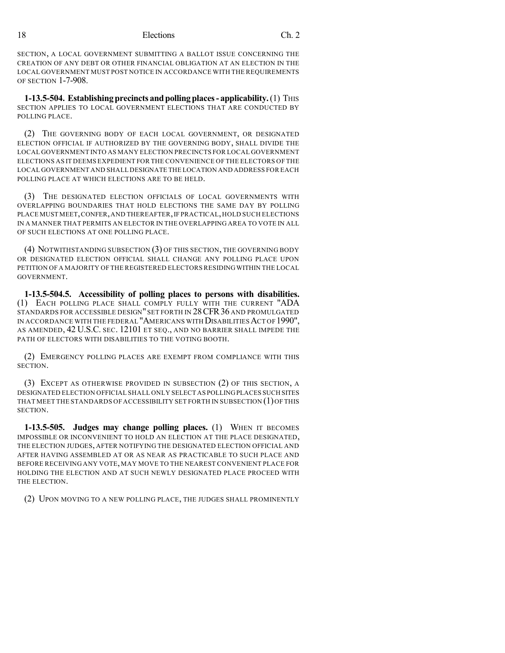SECTION, A LOCAL GOVERNMENT SUBMITTING A BALLOT ISSUE CONCERNING THE CREATION OF ANY DEBT OR OTHER FINANCIAL OBLIGATION AT AN ELECTION IN THE LOCAL GOVERNMENT MUST POST NOTICE IN ACCORDANCE WITH THE REQUIREMENTS OF SECTION 1-7-908.

**1-13.5-504. Establishing precincts and polling places - applicability.** (1) THIS SECTION APPLIES TO LOCAL GOVERNMENT ELECTIONS THAT ARE CONDUCTED BY POLLING PLACE.

(2) THE GOVERNING BODY OF EACH LOCAL GOVERNMENT, OR DESIGNATED ELECTION OFFICIAL IF AUTHORIZED BY THE GOVERNING BODY, SHALL DIVIDE THE LOCAL GOVERNMENT INTO AS MANY ELECTION PRECINCTS FOR LOCAL GOVERNMENT ELECTIONS AS IT DEEMS EXPEDIENT FOR THE CONVENIENCE OF THE ELECTORS OF THE LOCAL GOVERNMENT AND SHALL DESIGNATE THE LOCATION AND ADDRESS FOR EACH POLLING PLACE AT WHICH ELECTIONS ARE TO BE HELD.

(3) THE DESIGNATED ELECTION OFFICIALS OF LOCAL GOVERNMENTS WITH OVERLAPPING BOUNDARIES THAT HOLD ELECTIONS THE SAME DAY BY POLLING PLACE MUST MEET,CONFER,AND THEREAFTER,IF PRACTICAL,HOLD SUCH ELECTIONS IN A MANNER THAT PERMITS AN ELECTOR IN THE OVERLAPPING AREA TO VOTE IN ALL OF SUCH ELECTIONS AT ONE POLLING PLACE.

(4) NOTWITHSTANDING SUBSECTION (3) OF THIS SECTION, THE GOVERNING BODY OR DESIGNATED ELECTION OFFICIAL SHALL CHANGE ANY POLLING PLACE UPON PETITION OF A MAJORITY OF THE REGISTERED ELECTORS RESIDINGWITHIN THE LOCAL GOVERNMENT.

**1-13.5-504.5. Accessibility of polling places to persons with disabilities.** (1) EACH POLLING PLACE SHALL COMPLY FULLY WITH THE CURRENT "ADA STANDARDS FOR ACCESSIBLE DESIGN" SET FORTH IN 28CFR36 AND PROMULGATED IN ACCORDANCE WITH THE FEDERAL "AMERICANS WITH DISABILITIES ACT OF 1990", AS AMENDED, 42 U.S.C. SEC. 12101 ET SEQ., AND NO BARRIER SHALL IMPEDE THE PATH OF ELECTORS WITH DISABILITIES TO THE VOTING BOOTH.

(2) EMERGENCY POLLING PLACES ARE EXEMPT FROM COMPLIANCE WITH THIS SECTION.

(3) EXCEPT AS OTHERWISE PROVIDED IN SUBSECTION (2) OF THIS SECTION, A DESIGNATED ELECTION OFFICIAL SHALL ONLY SELECT AS POLLINGPLACES SUCH SITES THAT MEET THE STANDARDS OF ACCESSIBILITY SET FORTH IN SUBSECTION (1)OF THIS SECTION.

**1-13.5-505. Judges may change polling places.** (1) WHEN IT BECOMES IMPOSSIBLE OR INCONVENIENT TO HOLD AN ELECTION AT THE PLACE DESIGNATED, THE ELECTION JUDGES, AFTER NOTIFYING THE DESIGNATED ELECTION OFFICIAL AND AFTER HAVING ASSEMBLED AT OR AS NEAR AS PRACTICABLE TO SUCH PLACE AND BEFORE RECEIVING ANY VOTE, MAY MOVE TO THE NEAREST CONVENIENT PLACE FOR HOLDING THE ELECTION AND AT SUCH NEWLY DESIGNATED PLACE PROCEED WITH THE ELECTION.

(2) UPON MOVING TO A NEW POLLING PLACE, THE JUDGES SHALL PROMINENTLY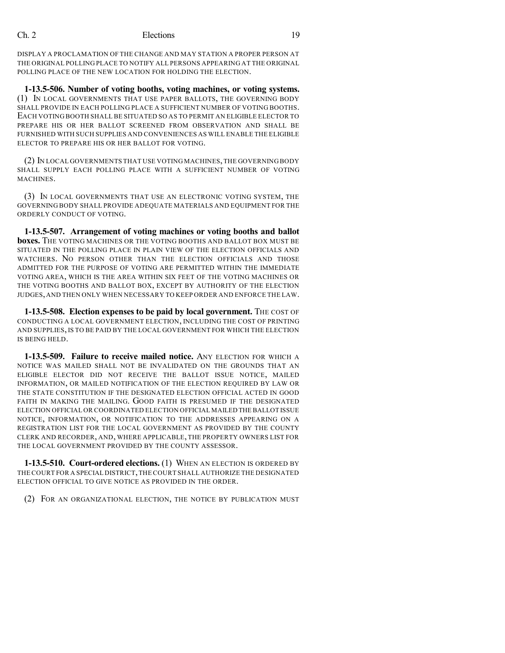DISPLAY A PROCLAMATION OF THE CHANGE AND MAY STATION A PROPER PERSON AT THE ORIGINAL POLLING PLACE TO NOTIFY ALL PERSONS APPEARING AT THE ORIGINAL POLLING PLACE OF THE NEW LOCATION FOR HOLDING THE ELECTION.

**1-13.5-506. Number of voting booths, voting machines, or voting systems.** (1) IN LOCAL GOVERNMENTS THAT USE PAPER BALLOTS, THE GOVERNING BODY SHALL PROVIDE IN EACH POLLING PLACE A SUFFICIENT NUMBER OF VOTING BOOTHS. EACH VOTING BOOTH SHALL BE SITUATED SO AS TO PERMIT AN ELIGIBLE ELECTOR TO PREPARE HIS OR HER BALLOT SCREENED FROM OBSERVATION AND SHALL BE FURNISHED WITH SUCH SUPPLIES AND CONVENIENCES AS WILL ENABLE THE ELIGIBLE ELECTOR TO PREPARE HIS OR HER BALLOT FOR VOTING.

(2) IN LOCAL GOVERNMENTS THAT USE VOTING MACHINES,THE GOVERNING BODY SHALL SUPPLY EACH POLLING PLACE WITH A SUFFICIENT NUMBER OF VOTING MACHINES.

(3) IN LOCAL GOVERNMENTS THAT USE AN ELECTRONIC VOTING SYSTEM, THE GOVERNING BODY SHALL PROVIDE ADEQUATE MATERIALS AND EQUIPMENT FOR THE ORDERLY CONDUCT OF VOTING.

**1-13.5-507. Arrangement of voting machines or voting booths and ballot boxes.** THE VOTING MACHINES OR THE VOTING BOOTHS AND BALLOT BOX MUST BE SITUATED IN THE POLLING PLACE IN PLAIN VIEW OF THE ELECTION OFFICIALS AND WATCHERS. NO PERSON OTHER THAN THE ELECTION OFFICIALS AND THOSE ADMITTED FOR THE PURPOSE OF VOTING ARE PERMITTED WITHIN THE IMMEDIATE VOTING AREA, WHICH IS THE AREA WITHIN SIX FEET OF THE VOTING MACHINES OR THE VOTING BOOTHS AND BALLOT BOX, EXCEPT BY AUTHORITY OF THE ELECTION JUDGES,AND THEN ONLY WHEN NECESSARY TO KEEP ORDER AND ENFORCE THE LAW.

**1-13.5-508. Election expenses to be paid by local government.** THE COST OF CONDUCTING A LOCAL GOVERNMENT ELECTION, INCLUDING THE COST OF PRINTING AND SUPPLIES, IS TO BE PAID BY THE LOCAL GOVERNMENT FOR WHICH THE ELECTION IS BEING HELD.

**1-13.5-509. Failure to receive mailed notice.** ANY ELECTION FOR WHICH A NOTICE WAS MAILED SHALL NOT BE INVALIDATED ON THE GROUNDS THAT AN ELIGIBLE ELECTOR DID NOT RECEIVE THE BALLOT ISSUE NOTICE, MAILED INFORMATION, OR MAILED NOTIFICATION OF THE ELECTION REQUIRED BY LAW OR THE STATE CONSTITUTION IF THE DESIGNATED ELECTION OFFICIAL ACTED IN GOOD FAITH IN MAKING THE MAILING. GOOD FAITH IS PRESUMED IF THE DESIGNATED ELECTION OFFICIAL OR COORDINATED ELECTION OFFICIAL MAILED THE BALLOT ISSUE NOTICE, INFORMATION, OR NOTIFICATION TO THE ADDRESSES APPEARING ON A REGISTRATION LIST FOR THE LOCAL GOVERNMENT AS PROVIDED BY THE COUNTY CLERK AND RECORDER, AND, WHERE APPLICABLE, THE PROPERTY OWNERS LIST FOR THE LOCAL GOVERNMENT PROVIDED BY THE COUNTY ASSESSOR.

**1-13.5-510. Court-ordered elections.** (1) WHEN AN ELECTION IS ORDERED BY THE COURT FOR A SPECIAL DISTRICT,THE COURT SHALL AUTHORIZE THE DESIGNATED ELECTION OFFICIAL TO GIVE NOTICE AS PROVIDED IN THE ORDER.

(2) FOR AN ORGANIZATIONAL ELECTION, THE NOTICE BY PUBLICATION MUST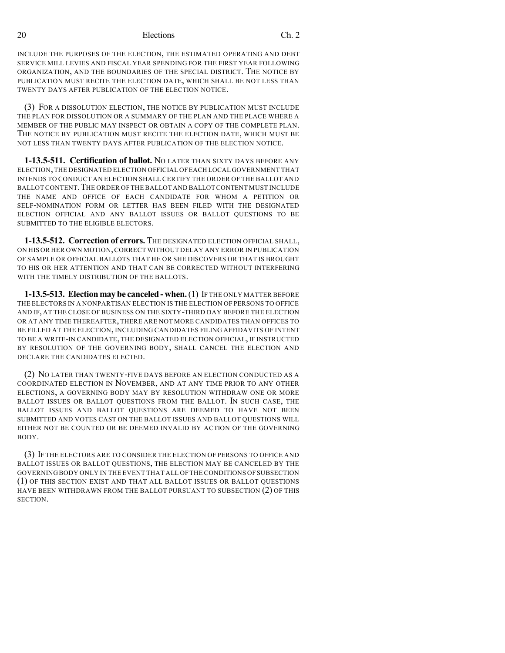INCLUDE THE PURPOSES OF THE ELECTION, THE ESTIMATED OPERATING AND DEBT SERVICE MILL LEVIES AND FISCAL YEAR SPENDING FOR THE FIRST YEAR FOLLOWING ORGANIZATION, AND THE BOUNDARIES OF THE SPECIAL DISTRICT. THE NOTICE BY PUBLICATION MUST RECITE THE ELECTION DATE, WHICH SHALL BE NOT LESS THAN TWENTY DAYS AFTER PUBLICATION OF THE ELECTION NOTICE.

(3) FOR A DISSOLUTION ELECTION, THE NOTICE BY PUBLICATION MUST INCLUDE THE PLAN FOR DISSOLUTION OR A SUMMARY OF THE PLAN AND THE PLACE WHERE A MEMBER OF THE PUBLIC MAY INSPECT OR OBTAIN A COPY OF THE COMPLETE PLAN. THE NOTICE BY PUBLICATION MUST RECITE THE ELECTION DATE, WHICH MUST BE NOT LESS THAN TWENTY DAYS AFTER PUBLICATION OF THE ELECTION NOTICE.

**1-13.5-511. Certification of ballot.** NO LATER THAN SIXTY DAYS BEFORE ANY ELECTION,THE DESIGNATED ELECTION OFFICIAL OFEACH LOCAL GOVERNMENT THAT INTENDS TO CONDUCT AN ELECTION SHALL CERTIFY THE ORDER OF THE BALLOT AND BALLOT CONTENT. THE ORDER OF THE BALLOT AND BALLOT CONTENT MUST INCLUDE THE NAME AND OFFICE OF EACH CANDIDATE FOR WHOM A PETITION OR SELF-NOMINATION FORM OR LETTER HAS BEEN FILED WITH THE DESIGNATED ELECTION OFFICIAL AND ANY BALLOT ISSUES OR BALLOT QUESTIONS TO BE SUBMITTED TO THE ELIGIBLE ELECTORS.

**1-13.5-512. Correction of errors.** THE DESIGNATED ELECTION OFFICIAL SHALL, ON HIS OR HER OWN MOTION,CORRECT WITHOUT DELAY ANY ERROR IN PUBLICATION OF SAMPLE OR OFFICIAL BALLOTS THAT HE OR SHE DISCOVERS OR THAT IS BROUGHT TO HIS OR HER ATTENTION AND THAT CAN BE CORRECTED WITHOUT INTERFERING WITH THE TIMELY DISTRIBUTION OF THE BALLOTS.

**1-13.5-513. Election may be canceled- when.**(1) IF THE ONLY MATTER BEFORE THE ELECTORS IN A NONPARTISAN ELECTION IS THE ELECTION OF PERSONS TO OFFICE AND IF, AT THE CLOSE OF BUSINESS ON THE SIXTY-THIRD DAY BEFORE THE ELECTION OR AT ANY TIME THEREAFTER, THERE ARE NOT MORE CANDIDATES THAN OFFICES TO BE FILLED AT THE ELECTION, INCLUDING CANDIDATES FILING AFFIDAVITS OF INTENT TO BE A WRITE-IN CANDIDATE, THE DESIGNATED ELECTION OFFICIAL, IF INSTRUCTED BY RESOLUTION OF THE GOVERNING BODY, SHALL CANCEL THE ELECTION AND DECLARE THE CANDIDATES ELECTED.

(2) NO LATER THAN TWENTY-FIVE DAYS BEFORE AN ELECTION CONDUCTED AS A COORDINATED ELECTION IN NOVEMBER, AND AT ANY TIME PRIOR TO ANY OTHER ELECTIONS, A GOVERNING BODY MAY BY RESOLUTION WITHDRAW ONE OR MORE BALLOT ISSUES OR BALLOT QUESTIONS FROM THE BALLOT. IN SUCH CASE, THE BALLOT ISSUES AND BALLOT QUESTIONS ARE DEEMED TO HAVE NOT BEEN SUBMITTED AND VOTES CAST ON THE BALLOT ISSUES AND BALLOT QUESTIONS WILL EITHER NOT BE COUNTED OR BE DEEMED INVALID BY ACTION OF THE GOVERNING BODY.

(3) IF THE ELECTORS ARE TO CONSIDER THE ELECTION OF PERSONS TO OFFICE AND BALLOT ISSUES OR BALLOT QUESTIONS, THE ELECTION MAY BE CANCELED BY THE GOVERNING BODY ONLY IN THE EVENT THAT ALL OFTHE CONDITIONS OFSUBSECTION (1) OF THIS SECTION EXIST AND THAT ALL BALLOT ISSUES OR BALLOT QUESTIONS HAVE BEEN WITHDRAWN FROM THE BALLOT PURSUANT TO SUBSECTION (2) OF THIS SECTION.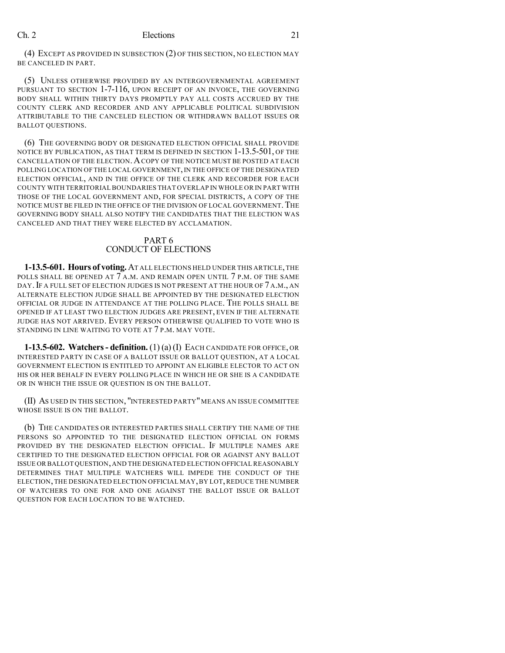(4) EXCEPT AS PROVIDED IN SUBSECTION (2) OF THIS SECTION, NO ELECTION MAY BE CANCELED IN PART.

(5) UNLESS OTHERWISE PROVIDED BY AN INTERGOVERNMENTAL AGREEMENT PURSUANT TO SECTION 1-7-116, UPON RECEIPT OF AN INVOICE, THE GOVERNING BODY SHALL WITHIN THIRTY DAYS PROMPTLY PAY ALL COSTS ACCRUED BY THE COUNTY CLERK AND RECORDER AND ANY APPLICABLE POLITICAL SUBDIVISION ATTRIBUTABLE TO THE CANCELED ELECTION OR WITHDRAWN BALLOT ISSUES OR BALLOT QUESTIONS.

(6) THE GOVERNING BODY OR DESIGNATED ELECTION OFFICIAL SHALL PROVIDE NOTICE BY PUBLICATION, AS THAT TERM IS DEFINED IN SECTION 1-13.5-501, OF THE CANCELLATION OF THE ELECTION.ACOPY OF THE NOTICE MUST BE POSTED AT EACH POLLING LOCATION OF THE LOCAL GOVERNMENT, IN THE OFFICE OF THE DESIGNATED ELECTION OFFICIAL, AND IN THE OFFICE OF THE CLERK AND RECORDER FOR EACH COUNTY WITH TERRITORIAL BOUNDARIES THAT OVERLAP IN WHOLE OR IN PART WITH THOSE OF THE LOCAL GOVERNMENT AND, FOR SPECIAL DISTRICTS, A COPY OF THE NOTICE MUST BE FILED IN THE OFFICE OF THE DIVISION OF LOCAL GOVERNMENT. THE GOVERNING BODY SHALL ALSO NOTIFY THE CANDIDATES THAT THE ELECTION WAS CANCELED AND THAT THEY WERE ELECTED BY ACCLAMATION.

#### PART 6 CONDUCT OF ELECTIONS

**1-13.5-601. Hours of voting.** AT ALL ELECTIONS HELD UNDER THIS ARTICLE,THE POLLS SHALL BE OPENED AT  $7$  A.M. AND REMAIN OPEN UNTIL  $7$  P.M. OF THE SAME DAY.IF A FULL SET OF ELECTION JUDGES IS NOT PRESENT AT THE HOUR OF 7 A.M., AN ALTERNATE ELECTION JUDGE SHALL BE APPOINTED BY THE DESIGNATED ELECTION OFFICIAL OR JUDGE IN ATTENDANCE AT THE POLLING PLACE. THE POLLS SHALL BE OPENED IF AT LEAST TWO ELECTION JUDGES ARE PRESENT, EVEN IF THE ALTERNATE JUDGE HAS NOT ARRIVED. EVERY PERSON OTHERWISE QUALIFIED TO VOTE WHO IS STANDING IN LINE WAITING TO VOTE AT 7 P.M. MAY VOTE.

**1-13.5-602. Watchers- definition.** (1) (a) (I) EACH CANDIDATE FOR OFFICE, OR INTERESTED PARTY IN CASE OF A BALLOT ISSUE OR BALLOT QUESTION, AT A LOCAL GOVERNMENT ELECTION IS ENTITLED TO APPOINT AN ELIGIBLE ELECTOR TO ACT ON HIS OR HER BEHALF IN EVERY POLLING PLACE IN WHICH HE OR SHE IS A CANDIDATE OR IN WHICH THE ISSUE OR QUESTION IS ON THE BALLOT.

(II) AS USED IN THIS SECTION, "INTERESTED PARTY"MEANS AN ISSUE COMMITTEE WHOSE ISSUE IS ON THE BALLOT.

(b) THE CANDIDATES OR INTERESTED PARTIES SHALL CERTIFY THE NAME OF THE PERSONS SO APPOINTED TO THE DESIGNATED ELECTION OFFICIAL ON FORMS PROVIDED BY THE DESIGNATED ELECTION OFFICIAL. IF MULTIPLE NAMES ARE CERTIFIED TO THE DESIGNATED ELECTION OFFICIAL FOR OR AGAINST ANY BALLOT ISSUE OR BALLOT QUESTION,AND THE DESIGNATED ELECTION OFFICIAL REASONABLY DETERMINES THAT MULTIPLE WATCHERS WILL IMPEDE THE CONDUCT OF THE ELECTION,THE DESIGNATED ELECTION OFFICIAL MAY,BY LOT,REDUCE THE NUMBER OF WATCHERS TO ONE FOR AND ONE AGAINST THE BALLOT ISSUE OR BALLOT QUESTION FOR EACH LOCATION TO BE WATCHED.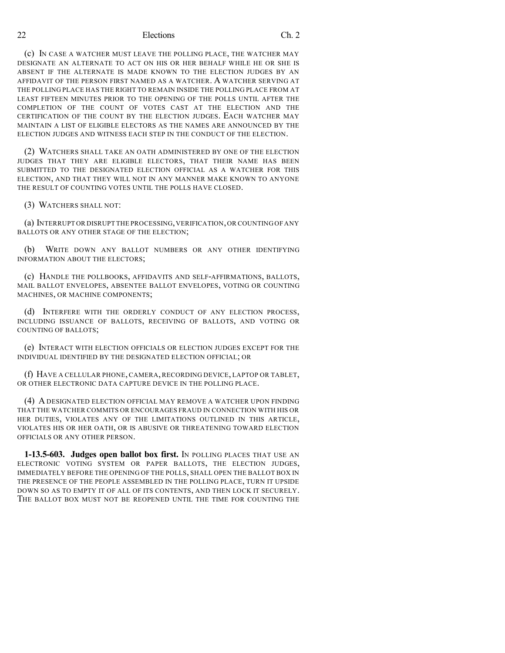(c) IN CASE A WATCHER MUST LEAVE THE POLLING PLACE, THE WATCHER MAY DESIGNATE AN ALTERNATE TO ACT ON HIS OR HER BEHALF WHILE HE OR SHE IS ABSENT IF THE ALTERNATE IS MADE KNOWN TO THE ELECTION JUDGES BY AN AFFIDAVIT OF THE PERSON FIRST NAMED AS A WATCHER. A WATCHER SERVING AT THE POLLING PLACE HAS THE RIGHT TO REMAIN INSIDE THE POLLING PLACE FROM AT LEAST FIFTEEN MINUTES PRIOR TO THE OPENING OF THE POLLS UNTIL AFTER THE COMPLETION OF THE COUNT OF VOTES CAST AT THE ELECTION AND THE CERTIFICATION OF THE COUNT BY THE ELECTION JUDGES. EACH WATCHER MAY MAINTAIN A LIST OF ELIGIBLE ELECTORS AS THE NAMES ARE ANNOUNCED BY THE ELECTION JUDGES AND WITNESS EACH STEP IN THE CONDUCT OF THE ELECTION.

(2) WATCHERS SHALL TAKE AN OATH ADMINISTERED BY ONE OF THE ELECTION JUDGES THAT THEY ARE ELIGIBLE ELECTORS, THAT THEIR NAME HAS BEEN SUBMITTED TO THE DESIGNATED ELECTION OFFICIAL AS A WATCHER FOR THIS ELECTION, AND THAT THEY WILL NOT IN ANY MANNER MAKE KNOWN TO ANYONE THE RESULT OF COUNTING VOTES UNTIL THE POLLS HAVE CLOSED.

(3) WATCHERS SHALL NOT:

(a) INTERRUPT OR DISRUPT THE PROCESSING,VERIFICATION,OR COUNTING OF ANY BALLOTS OR ANY OTHER STAGE OF THE ELECTION;

(b) WRITE DOWN ANY BALLOT NUMBERS OR ANY OTHER IDENTIFYING INFORMATION ABOUT THE ELECTORS;

(c) HANDLE THE POLLBOOKS, AFFIDAVITS AND SELF-AFFIRMATIONS, BALLOTS, MAIL BALLOT ENVELOPES, ABSENTEE BALLOT ENVELOPES, VOTING OR COUNTING MACHINES, OR MACHINE COMPONENTS;

(d) INTERFERE WITH THE ORDERLY CONDUCT OF ANY ELECTION PROCESS, INCLUDING ISSUANCE OF BALLOTS, RECEIVING OF BALLOTS, AND VOTING OR COUNTING OF BALLOTS;

(e) INTERACT WITH ELECTION OFFICIALS OR ELECTION JUDGES EXCEPT FOR THE INDIVIDUAL IDENTIFIED BY THE DESIGNATED ELECTION OFFICIAL; OR

(f) HAVE A CELLULAR PHONE, CAMERA, RECORDING DEVICE, LAPTOP OR TABLET, OR OTHER ELECTRONIC DATA CAPTURE DEVICE IN THE POLLING PLACE.

(4) A DESIGNATED ELECTION OFFICIAL MAY REMOVE A WATCHER UPON FINDING THAT THE WATCHER COMMITS OR ENCOURAGES FRAUD IN CONNECTION WITH HIS OR HER DUTIES, VIOLATES ANY OF THE LIMITATIONS OUTLINED IN THIS ARTICLE, VIOLATES HIS OR HER OATH, OR IS ABUSIVE OR THREATENING TOWARD ELECTION OFFICIALS OR ANY OTHER PERSON.

**1-13.5-603. Judges open ballot box first.** IN POLLING PLACES THAT USE AN ELECTRONIC VOTING SYSTEM OR PAPER BALLOTS, THE ELECTION JUDGES, IMMEDIATELY BEFORE THE OPENING OF THE POLLS, SHALL OPEN THE BALLOT BOX IN THE PRESENCE OF THE PEOPLE ASSEMBLED IN THE POLLING PLACE, TURN IT UPSIDE DOWN SO AS TO EMPTY IT OF ALL OF ITS CONTENTS, AND THEN LOCK IT SECURELY. THE BALLOT BOX MUST NOT BE REOPENED UNTIL THE TIME FOR COUNTING THE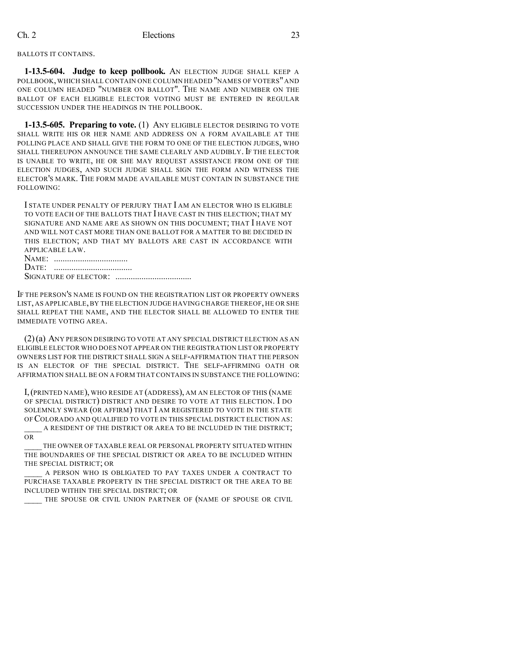#### BALLOTS IT CONTAINS.

**1-13.5-604. Judge to keep pollbook.** AN ELECTION JUDGE SHALL KEEP A POLLBOOK, WHICH SHALL CONTAIN ONE COLUMN HEADED "NAMES OF VOTERS" AND ONE COLUMN HEADED "NUMBER ON BALLOT". THE NAME AND NUMBER ON THE BALLOT OF EACH ELIGIBLE ELECTOR VOTING MUST BE ENTERED IN REGULAR SUCCESSION UNDER THE HEADINGS IN THE POLLBOOK.

**1-13.5-605. Preparing to vote.** (1) ANY ELIGIBLE ELECTOR DESIRING TO VOTE SHALL WRITE HIS OR HER NAME AND ADDRESS ON A FORM AVAILABLE AT THE POLLING PLACE AND SHALL GIVE THE FORM TO ONE OF THE ELECTION JUDGES, WHO SHALL THEREUPON ANNOUNCE THE SAME CLEARLY AND AUDIBLY. IF THE ELECTOR IS UNABLE TO WRITE, HE OR SHE MAY REQUEST ASSISTANCE FROM ONE OF THE ELECTION JUDGES, AND SUCH JUDGE SHALL SIGN THE FORM AND WITNESS THE ELECTOR'S MARK. THE FORM MADE AVAILABLE MUST CONTAIN IN SUBSTANCE THE FOLLOWING:

I STATE UNDER PENALTY OF PERJURY THAT I AM AN ELECTOR WHO IS ELIGIBLE TO VOTE EACH OF THE BALLOTS THAT I HAVE CAST IN THIS ELECTION; THAT MY SIGNATURE AND NAME ARE AS SHOWN ON THIS DOCUMENT; THAT I HAVE NOT AND WILL NOT CAST MORE THAN ONE BALLOT FOR A MATTER TO BE DECIDED IN THIS ELECTION; AND THAT MY BALLOTS ARE CAST IN ACCORDANCE WITH APPLICABLE LAW.

NAME: .................................. DATE: .................................... SIGNATURE OF ELECTOR: ...................................

IF THE PERSON'S NAME IS FOUND ON THE REGISTRATION LIST OR PROPERTY OWNERS LIST, AS APPLICABLE, BY THE ELECTION JUDGE HAVING CHARGE THEREOF, HE OR SHE SHALL REPEAT THE NAME, AND THE ELECTOR SHALL BE ALLOWED TO ENTER THE IMMEDIATE VOTING AREA.

(2)(a) ANY PERSON DESIRING TO VOTE AT ANY SPECIAL DISTRICT ELECTION AS AN ELIGIBLE ELECTOR WHO DOES NOT APPEAR ON THE REGISTRATION LIST OR PROPERTY OWNERS LIST FOR THE DISTRICT SHALL SIGN A SELF-AFFIRMATION THAT THE PERSON IS AN ELECTOR OF THE SPECIAL DISTRICT. THE SELF-AFFIRMING OATH OR AFFIRMATION SHALL BE ON A FORM THAT CONTAINS IN SUBSTANCE THE FOLLOWING:

I,(PRINTED NAME), WHO RESIDE AT (ADDRESS), AM AN ELECTOR OF THIS (NAME OF SPECIAL DISTRICT) DISTRICT AND DESIRE TO VOTE AT THIS ELECTION. I DO SOLEMNLY SWEAR (OR AFFIRM) THAT I AM REGISTERED TO VOTE IN THE STATE OF COLORADO AND QUALIFIED TO VOTE IN THIS SPECIAL DISTRICT ELECTION AS: A RESIDENT OF THE DISTRICT OR AREA TO BE INCLUDED IN THE DISTRICT;

OR

THE OWNER OF TAXABLE REAL OR PERSONAL PROPERTY SITUATED WITHIN THE BOUNDARIES OF THE SPECIAL DISTRICT OR AREA TO BE INCLUDED WITHIN THE SPECIAL DISTRICT; OR

A PERSON WHO IS OBLIGATED TO PAY TAXES UNDER A CONTRACT TO PURCHASE TAXABLE PROPERTY IN THE SPECIAL DISTRICT OR THE AREA TO BE INCLUDED WITHIN THE SPECIAL DISTRICT; OR

THE SPOUSE OR CIVIL UNION PARTNER OF (NAME OF SPOUSE OR CIVIL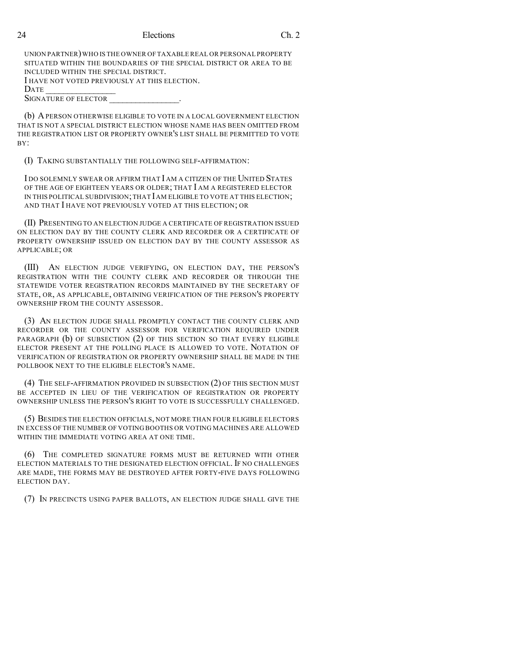UNION PARTNER)WHO IS THE OWNER OF TAXABLE REAL OR PERSONAL PROPERTY SITUATED WITHIN THE BOUNDARIES OF THE SPECIAL DISTRICT OR AREA TO BE INCLUDED WITHIN THE SPECIAL DISTRICT. I HAVE NOT VOTED PREVIOUSLY AT THIS ELECTION. DATE \_\_\_\_\_\_\_\_\_\_\_\_\_\_\_\_ SIGNATURE OF ELECTOR

(b) APERSON OTHERWISE ELIGIBLE TO VOTE IN A LOCAL GOVERNMENT ELECTION THAT IS NOT A SPECIAL DISTRICT ELECTION WHOSE NAME HAS BEEN OMITTED FROM THE REGISTRATION LIST OR PROPERTY OWNER'S LIST SHALL BE PERMITTED TO VOTE  $BY'$ 

(I) TAKING SUBSTANTIALLY THE FOLLOWING SELF-AFFIRMATION:

I DO SOLEMNLY SWEAR OR AFFIRM THAT I AM A CITIZEN OF THE UNITED STATES OF THE AGE OF EIGHTEEN YEARS OR OLDER; THAT I AM A REGISTERED ELECTOR IN THIS POLITICAL SUBDIVISION;THAT IAM ELIGIBLE TO VOTE AT THIS ELECTION; AND THAT I HAVE NOT PREVIOUSLY VOTED AT THIS ELECTION; OR

(II) PRESENTING TO AN ELECTION JUDGE A CERTIFICATE OF REGISTRATION ISSUED ON ELECTION DAY BY THE COUNTY CLERK AND RECORDER OR A CERTIFICATE OF PROPERTY OWNERSHIP ISSUED ON ELECTION DAY BY THE COUNTY ASSESSOR AS APPLICABLE; OR

(III) AN ELECTION JUDGE VERIFYING, ON ELECTION DAY, THE PERSON'S REGISTRATION WITH THE COUNTY CLERK AND RECORDER OR THROUGH THE STATEWIDE VOTER REGISTRATION RECORDS MAINTAINED BY THE SECRETARY OF STATE, OR, AS APPLICABLE, OBTAINING VERIFICATION OF THE PERSON'S PROPERTY OWNERSHIP FROM THE COUNTY ASSESSOR.

(3) AN ELECTION JUDGE SHALL PROMPTLY CONTACT THE COUNTY CLERK AND RECORDER OR THE COUNTY ASSESSOR FOR VERIFICATION REQUIRED UNDER PARAGRAPH (b) OF SUBSECTION (2) OF THIS SECTION SO THAT EVERY ELIGIBLE ELECTOR PRESENT AT THE POLLING PLACE IS ALLOWED TO VOTE. NOTATION OF VERIFICATION OF REGISTRATION OR PROPERTY OWNERSHIP SHALL BE MADE IN THE POLLBOOK NEXT TO THE ELIGIBLE ELECTOR'S NAME.

(4) THE SELF-AFFIRMATION PROVIDED IN SUBSECTION (2) OF THIS SECTION MUST BE ACCEPTED IN LIEU OF THE VERIFICATION OF REGISTRATION OR PROPERTY OWNERSHIP UNLESS THE PERSON'S RIGHT TO VOTE IS SUCCESSFULLY CHALLENGED.

(5) BESIDES THE ELECTION OFFICIALS, NOT MORE THAN FOUR ELIGIBLE ELECTORS IN EXCESS OF THE NUMBER OF VOTING BOOTHS OR VOTING MACHINES ARE ALLOWED WITHIN THE IMMEDIATE VOTING AREA AT ONE TIME.

(6) THE COMPLETED SIGNATURE FORMS MUST BE RETURNED WITH OTHER ELECTION MATERIALS TO THE DESIGNATED ELECTION OFFICIAL. IF NO CHALLENGES ARE MADE, THE FORMS MAY BE DESTROYED AFTER FORTY-FIVE DAYS FOLLOWING ELECTION DAY.

(7) IN PRECINCTS USING PAPER BALLOTS, AN ELECTION JUDGE SHALL GIVE THE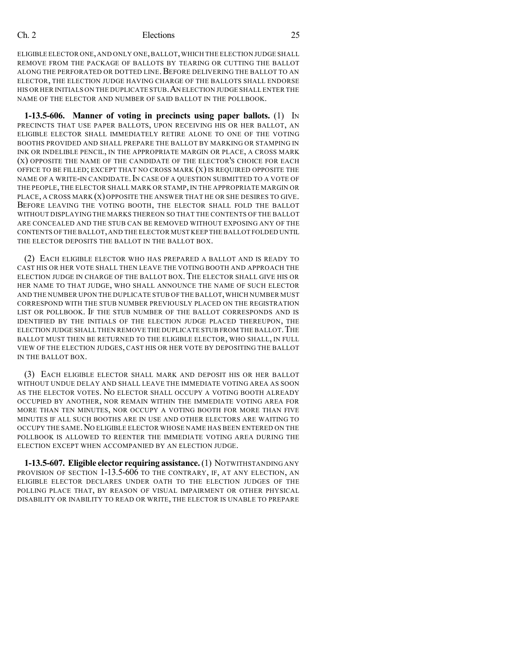ELIGIBLE ELECTOR ONE,AND ONLY ONE,BALLOT,WHICH THE ELECTION JUDGE SHALL REMOVE FROM THE PACKAGE OF BALLOTS BY TEARING OR CUTTING THE BALLOT ALONG THE PERFORATED OR DOTTED LINE. BEFORE DELIVERING THE BALLOT TO AN ELECTOR, THE ELECTION JUDGE HAVING CHARGE OF THE BALLOTS SHALL ENDORSE HIS OR HER INITIALS ON THE DUPLICATE STUB.AN ELECTION JUDGE SHALL ENTER THE NAME OF THE ELECTOR AND NUMBER OF SAID BALLOT IN THE POLLBOOK.

**1-13.5-606. Manner of voting in precincts using paper ballots.** (1) IN PRECINCTS THAT USE PAPER BALLOTS, UPON RECEIVING HIS OR HER BALLOT, AN ELIGIBLE ELECTOR SHALL IMMEDIATELY RETIRE ALONE TO ONE OF THE VOTING BOOTHS PROVIDED AND SHALL PREPARE THE BALLOT BY MARKING OR STAMPING IN INK OR INDELIBLE PENCIL, IN THE APPROPRIATE MARGIN OR PLACE, A CROSS MARK (X) OPPOSITE THE NAME OF THE CANDIDATE OF THE ELECTOR'S CHOICE FOR EACH OFFICE TO BE FILLED; EXCEPT THAT NO CROSS MARK  $(X)$  is required opposite the NAME OF A WRITE-IN CANDIDATE. IN CASE OF A OUESTION SUBMITTED TO A VOTE OF THE PEOPLE, THE ELECTOR SHALL MARK OR STAMP, IN THE APPROPRIATE MARGIN OR PLACE, A CROSS MARK (X) OPPOSITE THE ANSWER THAT HE OR SHE DESIRES TO GIVE. BEFORE LEAVING THE VOTING BOOTH, THE ELECTOR SHALL FOLD THE BALLOT WITHOUT DISPLAYING THE MARKS THEREON SO THAT THE CONTENTS OF THE BALLOT ARE CONCEALED AND THE STUB CAN BE REMOVED WITHOUT EXPOSING ANY OF THE CONTENTS OF THE BALLOT,AND THE ELECTOR MUST KEEP THE BALLOT FOLDED UNTIL THE ELECTOR DEPOSITS THE BALLOT IN THE BALLOT BOX.

(2) EACH ELIGIBLE ELECTOR WHO HAS PREPARED A BALLOT AND IS READY TO CAST HIS OR HER VOTE SHALL THEN LEAVE THE VOTING BOOTH AND APPROACH THE ELECTION JUDGE IN CHARGE OF THE BALLOT BOX. THE ELECTOR SHALL GIVE HIS OR HER NAME TO THAT JUDGE, WHO SHALL ANNOUNCE THE NAME OF SUCH ELECTOR AND THE NUMBER UPON THE DUPLICATE STUB OF THE BALLOT,WHICH NUMBER MUST CORRESPOND WITH THE STUB NUMBER PREVIOUSLY PLACED ON THE REGISTRATION LIST OR POLLBOOK. IF THE STUB NUMBER OF THE BALLOT CORRESPONDS AND IS IDENTIFIED BY THE INITIALS OF THE ELECTION JUDGE PLACED THEREUPON, THE ELECTION JUDGE SHALL THEN REMOVE THE DUPLICATE STUB FROM THE BALLOT. THE BALLOT MUST THEN BE RETURNED TO THE ELIGIBLE ELECTOR, WHO SHALL, IN FULL VIEW OF THE ELECTION JUDGES, CAST HIS OR HER VOTE BY DEPOSITING THE BALLOT IN THE BALLOT BOX.

(3) EACH ELIGIBLE ELECTOR SHALL MARK AND DEPOSIT HIS OR HER BALLOT WITHOUT UNDUE DELAY AND SHALL LEAVE THE IMMEDIATE VOTING AREA AS SOON AS THE ELECTOR VOTES. NO ELECTOR SHALL OCCUPY A VOTING BOOTH ALREADY OCCUPIED BY ANOTHER, NOR REMAIN WITHIN THE IMMEDIATE VOTING AREA FOR MORE THAN TEN MINUTES, NOR OCCUPY A VOTING BOOTH FOR MORE THAN FIVE MINUTES IF ALL SUCH BOOTHS ARE IN USE AND OTHER ELECTORS ARE WAITING TO OCCUPY THE SAME.NO ELIGIBLE ELECTOR WHOSE NAME HAS BEEN ENTERED ON THE POLLBOOK IS ALLOWED TO REENTER THE IMMEDIATE VOTING AREA DURING THE ELECTION EXCEPT WHEN ACCOMPANIED BY AN ELECTION JUDGE.

**1-13.5-607. Eligible elector requiring assistance.**(1) NOTWITHSTANDING ANY PROVISION OF SECTION 1-13.5-606 TO THE CONTRARY, IF, AT ANY ELECTION, AN ELIGIBLE ELECTOR DECLARES UNDER OATH TO THE ELECTION JUDGES OF THE POLLING PLACE THAT, BY REASON OF VISUAL IMPAIRMENT OR OTHER PHYSICAL DISABILITY OR INABILITY TO READ OR WRITE, THE ELECTOR IS UNABLE TO PREPARE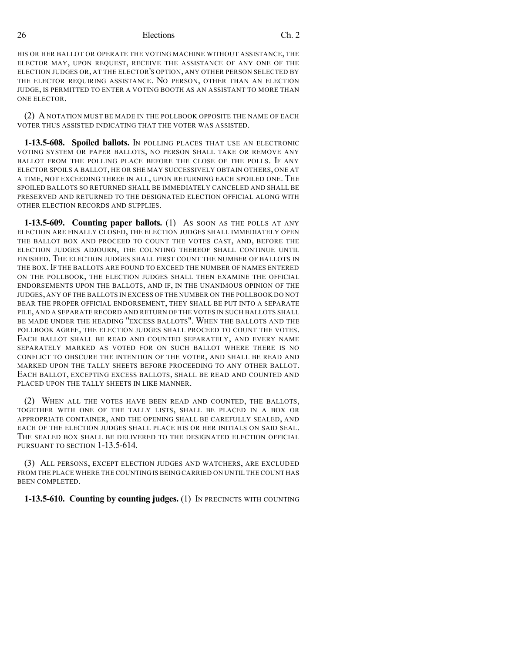HIS OR HER BALLOT OR OPERATE THE VOTING MACHINE WITHOUT ASSISTANCE, THE ELECTOR MAY, UPON REQUEST, RECEIVE THE ASSISTANCE OF ANY ONE OF THE ELECTION JUDGES OR, AT THE ELECTOR'S OPTION, ANY OTHER PERSON SELECTED BY THE ELECTOR REQUIRING ASSISTANCE. NO PERSON, OTHER THAN AN ELECTION JUDGE, IS PERMITTED TO ENTER A VOTING BOOTH AS AN ASSISTANT TO MORE THAN ONE ELECTOR.

(2) A NOTATION MUST BE MADE IN THE POLLBOOK OPPOSITE THE NAME OF EACH VOTER THUS ASSISTED INDICATING THAT THE VOTER WAS ASSISTED.

**1-13.5-608. Spoiled ballots.** IN POLLING PLACES THAT USE AN ELECTRONIC VOTING SYSTEM OR PAPER BALLOTS, NO PERSON SHALL TAKE OR REMOVE ANY BALLOT FROM THE POLLING PLACE BEFORE THE CLOSE OF THE POLLS. IF ANY ELECTOR SPOILS A BALLOT, HE OR SHE MAY SUCCESSIVELY OBTAIN OTHERS, ONE AT A TIME, NOT EXCEEDING THREE IN ALL, UPON RETURNING EACH SPOILED ONE. THE SPOILED BALLOTS SO RETURNED SHALL BE IMMEDIATELY CANCELED AND SHALL BE PRESERVED AND RETURNED TO THE DESIGNATED ELECTION OFFICIAL ALONG WITH OTHER ELECTION RECORDS AND SUPPLIES.

**1-13.5-609. Counting paper ballots.** (1) AS SOON AS THE POLLS AT ANY ELECTION ARE FINALLY CLOSED, THE ELECTION JUDGES SHALL IMMEDIATELY OPEN THE BALLOT BOX AND PROCEED TO COUNT THE VOTES CAST, AND, BEFORE THE ELECTION JUDGES ADJOURN, THE COUNTING THEREOF SHALL CONTINUE UNTIL FINISHED. THE ELECTION JUDGES SHALL FIRST COUNT THE NUMBER OF BALLOTS IN THE BOX. IF THE BALLOTS ARE FOUND TO EXCEED THE NUMBER OF NAMES ENTERED ON THE POLLBOOK, THE ELECTION JUDGES SHALL THEN EXAMINE THE OFFICIAL ENDORSEMENTS UPON THE BALLOTS, AND IF, IN THE UNANIMOUS OPINION OF THE JUDGES, ANY OF THE BALLOTS IN EXCESS OF THE NUMBER ON THE POLLBOOK DO NOT BEAR THE PROPER OFFICIAL ENDORSEMENT, THEY SHALL BE PUT INTO A SEPARATE PILE, AND A SEPARATE RECORD AND RETURN OF THE VOTES IN SUCH BALLOTS SHALL BE MADE UNDER THE HEADING "EXCESS BALLOTS". WHEN THE BALLOTS AND THE POLLBOOK AGREE, THE ELECTION JUDGES SHALL PROCEED TO COUNT THE VOTES. EACH BALLOT SHALL BE READ AND COUNTED SEPARATELY, AND EVERY NAME SEPARATELY MARKED AS VOTED FOR ON SUCH BALLOT WHERE THERE IS NO CONFLICT TO OBSCURE THE INTENTION OF THE VOTER, AND SHALL BE READ AND MARKED UPON THE TALLY SHEETS BEFORE PROCEEDING TO ANY OTHER BALLOT. EACH BALLOT, EXCEPTING EXCESS BALLOTS, SHALL BE READ AND COUNTED AND PLACED UPON THE TALLY SHEETS IN LIKE MANNER.

(2) WHEN ALL THE VOTES HAVE BEEN READ AND COUNTED, THE BALLOTS, TOGETHER WITH ONE OF THE TALLY LISTS, SHALL BE PLACED IN A BOX OR APPROPRIATE CONTAINER, AND THE OPENING SHALL BE CAREFULLY SEALED, AND EACH OF THE ELECTION JUDGES SHALL PLACE HIS OR HER INITIALS ON SAID SEAL. THE SEALED BOX SHALL BE DELIVERED TO THE DESIGNATED ELECTION OFFICIAL PURSUANT TO SECTION 1-13.5-614.

(3) ALL PERSONS, EXCEPT ELECTION JUDGES AND WATCHERS, ARE EXCLUDED FROM THE PLACE WHERE THE COUNTING IS BEING CARRIED ON UNTIL THE COUNT HAS BEEN COMPLETED.

**1-13.5-610. Counting by counting judges.** (1) IN PRECINCTS WITH COUNTING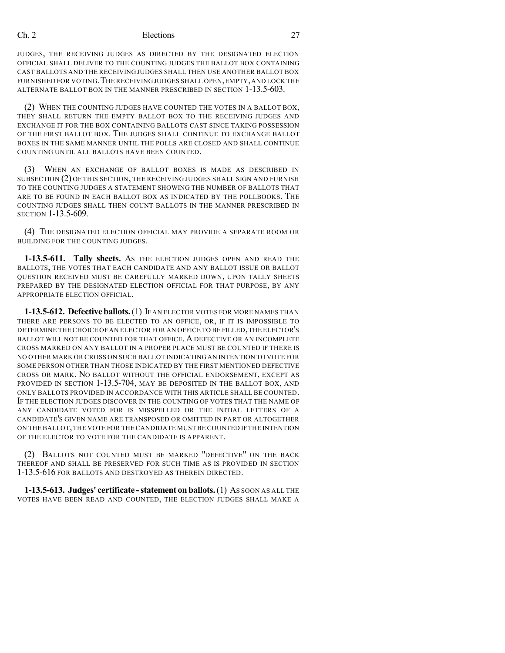JUDGES, THE RECEIVING JUDGES AS DIRECTED BY THE DESIGNATED ELECTION OFFICIAL SHALL DELIVER TO THE COUNTING JUDGES THE BALLOT BOX CONTAINING CAST BALLOTS AND THE RECEIVING JUDGES SHALL THEN USE ANOTHER BALLOT BOX FURNISHED FOR VOTING. THE RECEIVING JUDGES SHALL OPEN, EMPTY, AND LOCK THE ALTERNATE BALLOT BOX IN THE MANNER PRESCRIBED IN SECTION 1-13.5-603.

(2) WHEN THE COUNTING JUDGES HAVE COUNTED THE VOTES IN A BALLOT BOX, THEY SHALL RETURN THE EMPTY BALLOT BOX TO THE RECEIVING JUDGES AND EXCHANGE IT FOR THE BOX CONTAINING BALLOTS CAST SINCE TAKING POSSESSION OF THE FIRST BALLOT BOX. THE JUDGES SHALL CONTINUE TO EXCHANGE BALLOT BOXES IN THE SAME MANNER UNTIL THE POLLS ARE CLOSED AND SHALL CONTINUE COUNTING UNTIL ALL BALLOTS HAVE BEEN COUNTED.

(3) WHEN AN EXCHANGE OF BALLOT BOXES IS MADE AS DESCRIBED IN SUBSECTION (2) OF THIS SECTION, THE RECEIVING JUDGES SHALL SIGN AND FURNISH TO THE COUNTING JUDGES A STATEMENT SHOWING THE NUMBER OF BALLOTS THAT ARE TO BE FOUND IN EACH BALLOT BOX AS INDICATED BY THE POLLBOOKS. THE COUNTING JUDGES SHALL THEN COUNT BALLOTS IN THE MANNER PRESCRIBED IN SECTION 1-13.5-609.

(4) THE DESIGNATED ELECTION OFFICIAL MAY PROVIDE A SEPARATE ROOM OR BUILDING FOR THE COUNTING JUDGES.

**1-13.5-611. Tally sheets.** AS THE ELECTION JUDGES OPEN AND READ THE BALLOTS, THE VOTES THAT EACH CANDIDATE AND ANY BALLOT ISSUE OR BALLOT QUESTION RECEIVED MUST BE CAREFULLY MARKED DOWN, UPON TALLY SHEETS PREPARED BY THE DESIGNATED ELECTION OFFICIAL FOR THAT PURPOSE, BY ANY APPROPRIATE ELECTION OFFICIAL.

**1-13.5-612. Defective ballots.**(1) IF AN ELECTOR VOTES FOR MORE NAMES THAN THERE ARE PERSONS TO BE ELECTED TO AN OFFICE, OR, IF IT IS IMPOSSIBLE TO DETERMINE THE CHOICE OF AN ELECTOR FOR AN OFFICE TO BE FILLED,THE ELECTOR'S BALLOT WILL NOT BE COUNTED FOR THAT OFFICE. ADEFECTIVE OR AN INCOMPLETE CROSS MARKED ON ANY BALLOT IN A PROPER PLACE MUST BE COUNTED IF THERE IS NO OTHER MARK OR CROSS ON SUCH BALLOT INDICATINGAN INTENTION TO VOTE FOR SOME PERSON OTHER THAN THOSE INDICATED BY THE FIRST MENTIONED DEFECTIVE CROSS OR MARK. NO BALLOT WITHOUT THE OFFICIAL ENDORSEMENT, EXCEPT AS PROVIDED IN SECTION 1-13.5-704, MAY BE DEPOSITED IN THE BALLOT BOX, AND ONLY BALLOTS PROVIDED IN ACCORDANCE WITH THIS ARTICLE SHALL BE COUNTED. IF THE ELECTION JUDGES DISCOVER IN THE COUNTING OF VOTES THAT THE NAME OF ANY CANDIDATE VOTED FOR IS MISSPELLED OR THE INITIAL LETTERS OF A CANDIDATE'S GIVEN NAME ARE TRANSPOSED OR OMITTED IN PART OR ALTOGETHER ON THE BALLOT,THE VOTE FOR THE CANDIDATE MUST BE COUNTED IF THE INTENTION OF THE ELECTOR TO VOTE FOR THE CANDIDATE IS APPARENT.

(2) BALLOTS NOT COUNTED MUST BE MARKED "DEFECTIVE" ON THE BACK THEREOF AND SHALL BE PRESERVED FOR SUCH TIME AS IS PROVIDED IN SECTION 1-13.5-616 FOR BALLOTS AND DESTROYED AS THEREIN DIRECTED.

**1-13.5-613. Judges' certificate -statement on ballots.**(1) AS SOON AS ALL THE VOTES HAVE BEEN READ AND COUNTED, THE ELECTION JUDGES SHALL MAKE A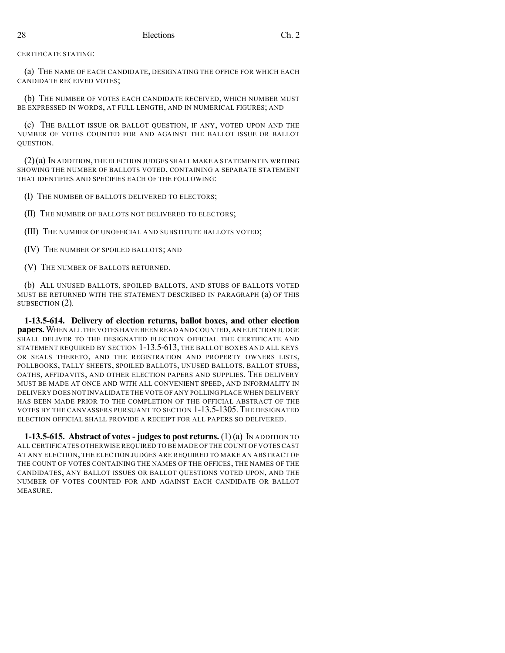CERTIFICATE STATING:

(a) THE NAME OF EACH CANDIDATE, DESIGNATING THE OFFICE FOR WHICH EACH CANDIDATE RECEIVED VOTES;

(b) THE NUMBER OF VOTES EACH CANDIDATE RECEIVED, WHICH NUMBER MUST BE EXPRESSED IN WORDS, AT FULL LENGTH, AND IN NUMERICAL FIGURES; AND

(c) THE BALLOT ISSUE OR BALLOT QUESTION, IF ANY, VOTED UPON AND THE NUMBER OF VOTES COUNTED FOR AND AGAINST THE BALLOT ISSUE OR BALLOT QUESTION.

 $(2)(a)$  In addition, the election judges shall make a statement in writing SHOWING THE NUMBER OF BALLOTS VOTED, CONTAINING A SEPARATE STATEMENT THAT IDENTIFIES AND SPECIFIES EACH OF THE FOLLOWING:

(I) THE NUMBER OF BALLOTS DELIVERED TO ELECTORS;

(II) THE NUMBER OF BALLOTS NOT DELIVERED TO ELECTORS;

(III) THE NUMBER OF UNOFFICIAL AND SUBSTITUTE BALLOTS VOTED;

(IV) THE NUMBER OF SPOILED BALLOTS; AND

(V) THE NUMBER OF BALLOTS RETURNED.

(b) ALL UNUSED BALLOTS, SPOILED BALLOTS, AND STUBS OF BALLOTS VOTED MUST BE RETURNED WITH THE STATEMENT DESCRIBED IN PARAGRAPH (a) OF THIS SUBSECTION (2).

**1-13.5-614. Delivery of election returns, ballot boxes, and other election papers.**WHEN ALL THE VOTES HAVE BEEN READ AND COUNTED,AN ELECTION JUDGE SHALL DELIVER TO THE DESIGNATED ELECTION OFFICIAL THE CERTIFICATE AND STATEMENT REQUIRED BY SECTION 1-13.5-613, THE BALLOT BOXES AND ALL KEYS OR SEALS THERETO, AND THE REGISTRATION AND PROPERTY OWNERS LISTS, POLLBOOKS, TALLY SHEETS, SPOILED BALLOTS, UNUSED BALLOTS, BALLOT STUBS, OATHS, AFFIDAVITS, AND OTHER ELECTION PAPERS AND SUPPLIES. THE DELIVERY MUST BE MADE AT ONCE AND WITH ALL CONVENIENT SPEED, AND INFORMALITY IN DELIVERY DOES NOT INVALIDATE THE VOTE OF ANY POLLING PLACE WHEN DELIVERY HAS BEEN MADE PRIOR TO THE COMPLETION OF THE OFFICIAL ABSTRACT OF THE VOTES BY THE CANVASSERS PURSUANT TO SECTION 1-13.5-1305. THE DESIGNATED ELECTION OFFICIAL SHALL PROVIDE A RECEIPT FOR ALL PAPERS SO DELIVERED.

**1-13.5-615. Abstract of votes- judgesto post returns.** (1) (a) IN ADDITION TO ALL CERTIFICATES OTHERWISE REQUIRED TO BE MADE OF THE COUNT OF VOTES CAST AT ANY ELECTION, THE ELECTION JUDGES ARE REQUIRED TO MAKE AN ABSTRACT OF THE COUNT OF VOTES CONTAINING THE NAMES OF THE OFFICES, THE NAMES OF THE CANDIDATES, ANY BALLOT ISSUES OR BALLOT QUESTIONS VOTED UPON, AND THE NUMBER OF VOTES COUNTED FOR AND AGAINST EACH CANDIDATE OR BALLOT MEASURE.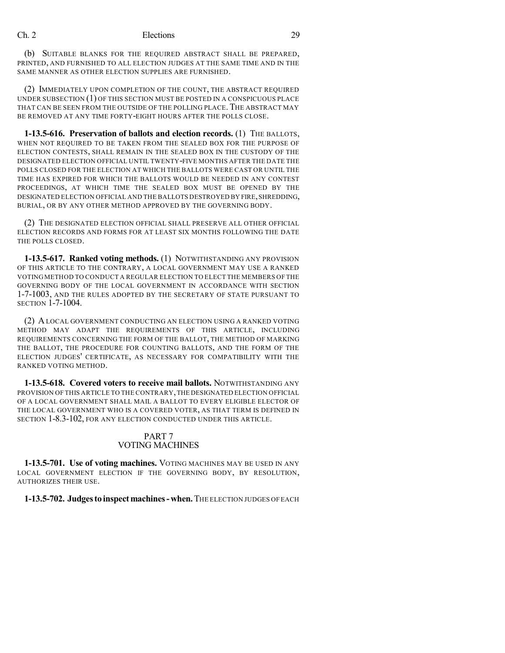(b) SUITABLE BLANKS FOR THE REQUIRED ABSTRACT SHALL BE PREPARED, PRINTED, AND FURNISHED TO ALL ELECTION JUDGES AT THE SAME TIME AND IN THE SAME MANNER AS OTHER ELECTION SUPPLIES ARE FURNISHED.

(2) IMMEDIATELY UPON COMPLETION OF THE COUNT, THE ABSTRACT REQUIRED UNDER SUBSECTION (1) OF THIS SECTION MUST BE POSTED IN A CONSPICUOUS PLACE THAT CAN BE SEEN FROM THE OUTSIDE OF THE POLLING PLACE. THE ABSTRACT MAY BE REMOVED AT ANY TIME FORTY-EIGHT HOURS AFTER THE POLLS CLOSE.

**1-13.5-616. Preservation of ballots and election records.** (1) THE BALLOTS, WHEN NOT REQUIRED TO BE TAKEN FROM THE SEALED BOX FOR THE PURPOSE OF ELECTION CONTESTS, SHALL REMAIN IN THE SEALED BOX IN THE CUSTODY OF THE DESIGNATED ELECTION OFFICIAL UNTIL TWENTY-FIVE MONTHS AFTER THE DATE THE POLLS CLOSED FOR THE ELECTION AT WHICH THE BALLOTS WERE CAST OR UNTIL THE TIME HAS EXPIRED FOR WHICH THE BALLOTS WOULD BE NEEDED IN ANY CONTEST PROCEEDINGS, AT WHICH TIME THE SEALED BOX MUST BE OPENED BY THE DESIGNATED ELECTION OFFICIAL AND THE BALLOTS DESTROYED BY FIRE,SHREDDING, BURIAL, OR BY ANY OTHER METHOD APPROVED BY THE GOVERNING BODY.

(2) THE DESIGNATED ELECTION OFFICIAL SHALL PRESERVE ALL OTHER OFFICIAL ELECTION RECORDS AND FORMS FOR AT LEAST SIX MONTHS FOLLOWING THE DATE THE POLLS CLOSED.

**1-13.5-617. Ranked voting methods.** (1) NOTWITHSTANDING ANY PROVISION OF THIS ARTICLE TO THE CONTRARY, A LOCAL GOVERNMENT MAY USE A RANKED VOTINGMETHOD TO CONDUCT A REGULAR ELECTION TO ELECT THE MEMBERS OF THE GOVERNING BODY OF THE LOCAL GOVERNMENT IN ACCORDANCE WITH SECTION 1-7-1003, AND THE RULES ADOPTED BY THE SECRETARY OF STATE PURSUANT TO SECTION 1-7-1004.

(2) ALOCAL GOVERNMENT CONDUCTING AN ELECTION USING A RANKED VOTING METHOD MAY ADAPT THE REQUIREMENTS OF THIS ARTICLE, INCLUDING REQUIREMENTS CONCERNING THE FORM OF THE BALLOT, THE METHOD OF MARKING THE BALLOT, THE PROCEDURE FOR COUNTING BALLOTS, AND THE FORM OF THE ELECTION JUDGES' CERTIFICATE, AS NECESSARY FOR COMPATIBILITY WITH THE RANKED VOTING METHOD.

**1-13.5-618. Covered voters to receive mail ballots.** NOTWITHSTANDING ANY PROVISION OF THIS ARTICLE TO THE CONTRARY,THE DESIGNATED ELECTION OFFICIAL OF A LOCAL GOVERNMENT SHALL MAIL A BALLOT TO EVERY ELIGIBLE ELECTOR OF THE LOCAL GOVERNMENT WHO IS A COVERED VOTER, AS THAT TERM IS DEFINED IN SECTION 1-8.3-102, FOR ANY ELECTION CONDUCTED UNDER THIS ARTICLE.

### PART 7 VOTING MACHINES

**1-13.5-701. Use of voting machines.** VOTING MACHINES MAY BE USED IN ANY LOCAL GOVERNMENT ELECTION IF THE GOVERNING BODY, BY RESOLUTION, AUTHORIZES THEIR USE.

**1-13.5-702. Judgesto inspectmachines-when.**THE ELECTION JUDGES OF EACH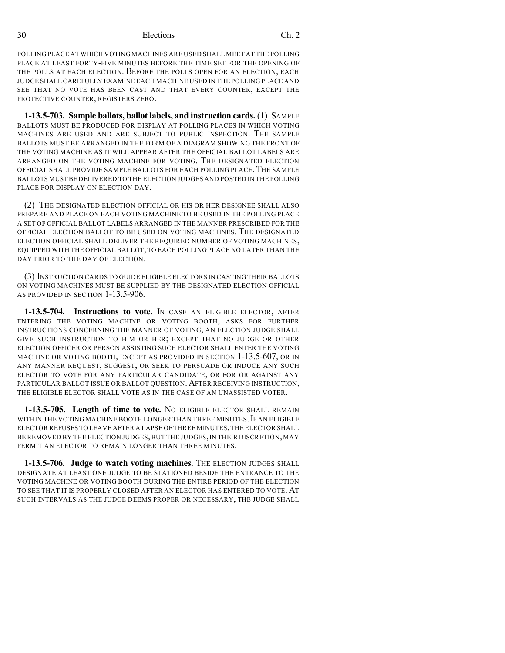POLLING PLACE AT WHICH VOTING MACHINES ARE USED SHALL MEET AT THE POLLING PLACE AT LEAST FORTY-FIVE MINUTES BEFORE THE TIME SET FOR THE OPENING OF THE POLLS AT EACH ELECTION. BEFORE THE POLLS OPEN FOR AN ELECTION, EACH JUDGE SHALL CAREFULLY EXAMINE EACH MACHINE USED IN THE POLLING PLACE AND SEE THAT NO VOTE HAS BEEN CAST AND THAT EVERY COUNTER, EXCEPT THE PROTECTIVE COUNTER, REGISTERS ZERO.

**1-13.5-703. Sample ballots, ballot labels, and instruction cards.** (1) SAMPLE BALLOTS MUST BE PRODUCED FOR DISPLAY AT POLLING PLACES IN WHICH VOTING MACHINES ARE USED AND ARE SUBJECT TO PUBLIC INSPECTION. THE SAMPLE BALLOTS MUST BE ARRANGED IN THE FORM OF A DIAGRAM SHOWING THE FRONT OF THE VOTING MACHINE AS IT WILL APPEAR AFTER THE OFFICIAL BALLOT LABELS ARE ARRANGED ON THE VOTING MACHINE FOR VOTING. THE DESIGNATED ELECTION OFFICIAL SHALL PROVIDE SAMPLE BALLOTS FOR EACH POLLING PLACE.THE SAMPLE BALLOTS MUST BE DELIVERED TO THE ELECTION JUDGES AND POSTED IN THE POLLING PLACE FOR DISPLAY ON ELECTION DAY.

(2) THE DESIGNATED ELECTION OFFICIAL OR HIS OR HER DESIGNEE SHALL ALSO PREPARE AND PLACE ON EACH VOTING MACHINE TO BE USED IN THE POLLING PLACE A SET OF OFFICIAL BALLOT LABELS ARRANGED IN THE MANNER PRESCRIBED FOR THE OFFICIAL ELECTION BALLOT TO BE USED ON VOTING MACHINES. THE DESIGNATED ELECTION OFFICIAL SHALL DELIVER THE REQUIRED NUMBER OF VOTING MACHINES, EQUIPPED WITH THE OFFICIAL BALLOT,TO EACH POLLING PLACE NO LATER THAN THE DAY PRIOR TO THE DAY OF ELECTION.

(3) INSTRUCTION CARDS TO GUIDE ELIGIBLE ELECTORS IN CASTING THEIR BALLOTS ON VOTING MACHINES MUST BE SUPPLIED BY THE DESIGNATED ELECTION OFFICIAL AS PROVIDED IN SECTION 1-13.5-906.

**1-13.5-704. Instructions to vote.** IN CASE AN ELIGIBLE ELECTOR, AFTER ENTERING THE VOTING MACHINE OR VOTING BOOTH, ASKS FOR FURTHER INSTRUCTIONS CONCERNING THE MANNER OF VOTING, AN ELECTION JUDGE SHALL GIVE SUCH INSTRUCTION TO HIM OR HER; EXCEPT THAT NO JUDGE OR OTHER ELECTION OFFICER OR PERSON ASSISTING SUCH ELECTOR SHALL ENTER THE VOTING MACHINE OR VOTING BOOTH, EXCEPT AS PROVIDED IN SECTION 1-13.5-607, OR IN ANY MANNER REQUEST, SUGGEST, OR SEEK TO PERSUADE OR INDUCE ANY SUCH ELECTOR TO VOTE FOR ANY PARTICULAR CANDIDATE, OR FOR OR AGAINST ANY PARTICULAR BALLOT ISSUE OR BALLOT QUESTION. AFTER RECEIVING INSTRUCTION, THE ELIGIBLE ELECTOR SHALL VOTE AS IN THE CASE OF AN UNASSISTED VOTER.

**1-13.5-705. Length of time to vote.** NO ELIGIBLE ELECTOR SHALL REMAIN WITHIN THE VOTING MACHINE BOOTH LONGER THAN THREE MINUTES. IF AN ELIGIBLE ELECTOR REFUSES TO LEAVE AFTER A LAPSE OFTHREE MINUTES,THE ELECTOR SHALL BE REMOVED BY THE ELECTION JUDGES, BUT THE JUDGES, IN THEIR DISCRETION, MAY PERMIT AN ELECTOR TO REMAIN LONGER THAN THREE MINUTES.

**1-13.5-706. Judge to watch voting machines.** THE ELECTION JUDGES SHALL DESIGNATE AT LEAST ONE JUDGE TO BE STATIONED BESIDE THE ENTRANCE TO THE VOTING MACHINE OR VOTING BOOTH DURING THE ENTIRE PERIOD OF THE ELECTION TO SEE THAT IT IS PROPERLY CLOSED AFTER AN ELECTOR HAS ENTERED TO VOTE.AT SUCH INTERVALS AS THE JUDGE DEEMS PROPER OR NECESSARY, THE JUDGE SHALL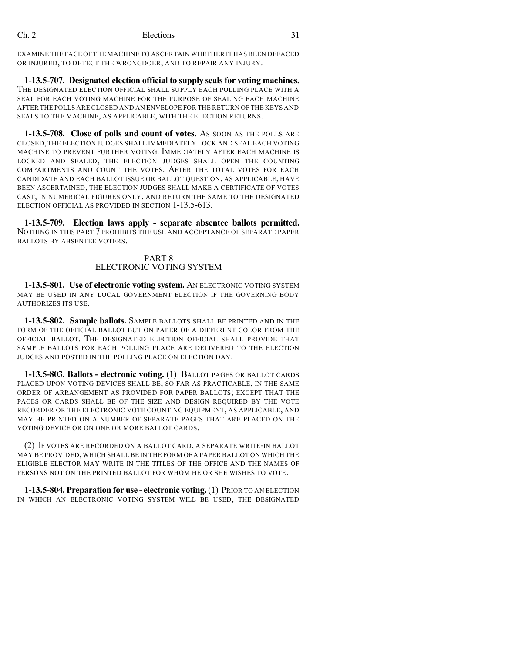EXAMINE THE FACE OF THE MACHINE TO ASCERTAIN WHETHER IT HAS BEEN DEFACED OR INJURED, TO DETECT THE WRONGDOER, AND TO REPAIR ANY INJURY.

**1-13.5-707. Designated election official to supply sealsfor voting machines.** THE DESIGNATED ELECTION OFFICIAL SHALL SUPPLY EACH POLLING PLACE WITH A SEAL FOR EACH VOTING MACHINE FOR THE PURPOSE OF SEALING EACH MACHINE AFTER THE POLLS ARE CLOSED AND AN ENVELOPE FOR THE RETURN OF THE KEYS AND SEALS TO THE MACHINE, AS APPLICABLE, WITH THE ELECTION RETURNS.

**1-13.5-708. Close of polls and count of votes.** AS SOON AS THE POLLS ARE CLOSED, THE ELECTION JUDGES SHALL IMMEDIATELY LOCK AND SEAL EACH VOTING MACHINE TO PREVENT FURTHER VOTING. IMMEDIATELY AFTER EACH MACHINE IS LOCKED AND SEALED, THE ELECTION JUDGES SHALL OPEN THE COUNTING COMPARTMENTS AND COUNT THE VOTES. AFTER THE TOTAL VOTES FOR EACH CANDIDATE AND EACH BALLOT ISSUE OR BALLOT QUESTION, AS APPLICABLE, HAVE BEEN ASCERTAINED, THE ELECTION JUDGES SHALL MAKE A CERTIFICATE OF VOTES CAST, IN NUMERICAL FIGURES ONLY, AND RETURN THE SAME TO THE DESIGNATED ELECTION OFFICIAL AS PROVIDED IN SECTION 1-13.5-613.

**1-13.5-709. Election laws apply - separate absentee ballots permitted.** NOTHING IN THIS PART 7 PROHIBITS THE USE AND ACCEPTANCE OF SEPARATE PAPER BALLOTS BY ABSENTEE VOTERS.

#### PART 8 ELECTRONIC VOTING SYSTEM

**1-13.5-801. Use of electronic voting system.** AN ELECTRONIC VOTING SYSTEM MAY BE USED IN ANY LOCAL GOVERNMENT ELECTION IF THE GOVERNING BODY AUTHORIZES ITS USE.

**1-13.5-802. Sample ballots.** SAMPLE BALLOTS SHALL BE PRINTED AND IN THE FORM OF THE OFFICIAL BALLOT BUT ON PAPER OF A DIFFERENT COLOR FROM THE OFFICIAL BALLOT. THE DESIGNATED ELECTION OFFICIAL SHALL PROVIDE THAT SAMPLE BALLOTS FOR EACH POLLING PLACE ARE DELIVERED TO THE ELECTION JUDGES AND POSTED IN THE POLLING PLACE ON ELECTION DAY.

**1-13.5-803. Ballots - electronic voting.** (1) BALLOT PAGES OR BALLOT CARDS PLACED UPON VOTING DEVICES SHALL BE, SO FAR AS PRACTICABLE, IN THE SAME ORDER OF ARRANGEMENT AS PROVIDED FOR PAPER BALLOTS; EXCEPT THAT THE PAGES OR CARDS SHALL BE OF THE SIZE AND DESIGN REQUIRED BY THE VOTE RECORDER OR THE ELECTRONIC VOTE COUNTING EQUIPMENT, AS APPLICABLE, AND MAY BE PRINTED ON A NUMBER OF SEPARATE PAGES THAT ARE PLACED ON THE VOTING DEVICE OR ON ONE OR MORE BALLOT CARDS.

(2) IF VOTES ARE RECORDED ON A BALLOT CARD, A SEPARATE WRITE-IN BALLOT MAY BE PROVIDED,WHICH SHALL BE IN THE FORM OF A PAPER BALLOT ON WHICH THE ELIGIBLE ELECTOR MAY WRITE IN THE TITLES OF THE OFFICE AND THE NAMES OF PERSONS NOT ON THE PRINTED BALLOT FOR WHOM HE OR SHE WISHES TO VOTE.

**1-13.5-804. Preparation for use - electronic voting.**(1) PRIOR TO AN ELECTION IN WHICH AN ELECTRONIC VOTING SYSTEM WILL BE USED, THE DESIGNATED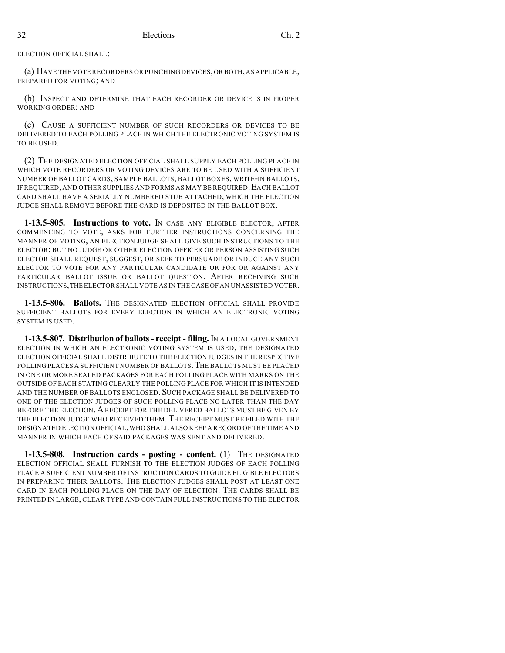ELECTION OFFICIAL SHALL:

(a) HAVE THE VOTE RECORDERS OR PUNCHING DEVICES,OR BOTH,AS APPLICABLE, PREPARED FOR VOTING; AND

(b) INSPECT AND DETERMINE THAT EACH RECORDER OR DEVICE IS IN PROPER WORKING ORDER; AND

(c) CAUSE A SUFFICIENT NUMBER OF SUCH RECORDERS OR DEVICES TO BE DELIVERED TO EACH POLLING PLACE IN WHICH THE ELECTRONIC VOTING SYSTEM IS TO BE USED.

(2) THE DESIGNATED ELECTION OFFICIAL SHALL SUPPLY EACH POLLING PLACE IN WHICH VOTE RECORDERS OR VOTING DEVICES ARE TO BE USED WITH A SUFFICIENT NUMBER OF BALLOT CARDS, SAMPLE BALLOTS, BALLOT BOXES, WRITE-IN BALLOTS, IF REQUIRED, AND OTHER SUPPLIES AND FORMS AS MAY BE REQUIRED. EACH BALLOT CARD SHALL HAVE A SERIALLY NUMBERED STUB ATTACHED, WHICH THE ELECTION JUDGE SHALL REMOVE BEFORE THE CARD IS DEPOSITED IN THE BALLOT BOX.

**1-13.5-805. Instructions to vote.** IN CASE ANY ELIGIBLE ELECTOR, AFTER COMMENCING TO VOTE, ASKS FOR FURTHER INSTRUCTIONS CONCERNING THE MANNER OF VOTING, AN ELECTION JUDGE SHALL GIVE SUCH INSTRUCTIONS TO THE ELECTOR; BUT NO JUDGE OR OTHER ELECTION OFFICER OR PERSON ASSISTING SUCH ELECTOR SHALL REQUEST, SUGGEST, OR SEEK TO PERSUADE OR INDUCE ANY SUCH ELECTOR TO VOTE FOR ANY PARTICULAR CANDIDATE OR FOR OR AGAINST ANY PARTICULAR BALLOT ISSUE OR BALLOT QUESTION. AFTER RECEIVING SUCH INSTRUCTIONS,THE ELECTOR SHALL VOTE AS IN THE CASE OF AN UNASSISTED VOTER.

**1-13.5-806. Ballots.** THE DESIGNATED ELECTION OFFICIAL SHALL PROVIDE SUFFICIENT BALLOTS FOR EVERY ELECTION IN WHICH AN ELECTRONIC VOTING SYSTEM IS USED.

**1-13.5-807. Distribution of ballots- receipt - filing.** IN A LOCAL GOVERNMENT ELECTION IN WHICH AN ELECTRONIC VOTING SYSTEM IS USED, THE DESIGNATED ELECTION OFFICIAL SHALL DISTRIBUTE TO THE ELECTION JUDGES IN THE RESPECTIVE POLLING PLACES A SUFFICIENT NUMBER OF BALLOTS.THE BALLOTS MUST BE PLACED IN ONE OR MORE SEALED PACKAGES FOR EACH POLLING PLACE WITH MARKS ON THE OUTSIDE OF EACH STATING CLEARLY THE POLLING PLACE FOR WHICH IT IS INTENDED AND THE NUMBER OF BALLOTS ENCLOSED. SUCH PACKAGE SHALL BE DELIVERED TO ONE OF THE ELECTION JUDGES OF SUCH POLLING PLACE NO LATER THAN THE DAY BEFORE THE ELECTION. A RECEIPT FOR THE DELIVERED BALLOTS MUST BE GIVEN BY THE ELECTION JUDGE WHO RECEIVED THEM. THE RECEIPT MUST BE FILED WITH THE DESIGNATED ELECTION OFFICIAL,WHO SHALL ALSO KEEP A RECORD OFTHE TIME AND MANNER IN WHICH EACH OF SAID PACKAGES WAS SENT AND DELIVERED.

**1-13.5-808. Instruction cards - posting - content.** (1) THE DESIGNATED ELECTION OFFICIAL SHALL FURNISH TO THE ELECTION JUDGES OF EACH POLLING PLACE A SUFFICIENT NUMBER OF INSTRUCTION CARDS TO GUIDE ELIGIBLE ELECTORS IN PREPARING THEIR BALLOTS. THE ELECTION JUDGES SHALL POST AT LEAST ONE CARD IN EACH POLLING PLACE ON THE DAY OF ELECTION. THE CARDS SHALL BE PRINTED IN LARGE, CLEAR TYPE AND CONTAIN FULL INSTRUCTIONS TO THE ELECTOR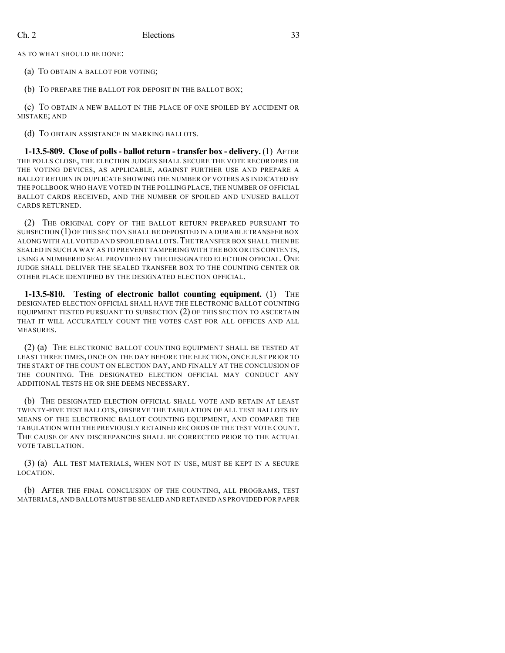AS TO WHAT SHOULD BE DONE:

(a) TO OBTAIN A BALLOT FOR VOTING;

(b) TO PREPARE THE BALLOT FOR DEPOSIT IN THE BALLOT BOX;

(c) TO OBTAIN A NEW BALLOT IN THE PLACE OF ONE SPOILED BY ACCIDENT OR MISTAKE; AND

(d) TO OBTAIN ASSISTANCE IN MARKING BALLOTS.

**1-13.5-809. Close of polls- ballot return - transfer box - delivery.** (1) AFTER THE POLLS CLOSE, THE ELECTION JUDGES SHALL SECURE THE VOTE RECORDERS OR THE VOTING DEVICES, AS APPLICABLE, AGAINST FURTHER USE AND PREPARE A BALLOT RETURN IN DUPLICATE SHOWING THE NUMBER OF VOTERS AS INDICATED BY THE POLLBOOK WHO HAVE VOTED IN THE POLLING PLACE, THE NUMBER OF OFFICIAL BALLOT CARDS RECEIVED, AND THE NUMBER OF SPOILED AND UNUSED BALLOT CARDS RETURNED.

(2) THE ORIGINAL COPY OF THE BALLOT RETURN PREPARED PURSUANT TO SUBSECTION (1)OF THIS SECTION SHALL BE DEPOSITED IN A DURABLE TRANSFER BOX ALONG WITH ALL VOTED AND SPOILED BALLOTS.THE TRANSFER BOX SHALL THEN BE SEALED IN SUCH A WAY AS TO PREVENT TAMPERING WITH THE BOX OR ITS CONTENTS, USING A NUMBERED SEAL PROVIDED BY THE DESIGNATED ELECTION OFFICIAL. ONE JUDGE SHALL DELIVER THE SEALED TRANSFER BOX TO THE COUNTING CENTER OR OTHER PLACE IDENTIFIED BY THE DESIGNATED ELECTION OFFICIAL.

**1-13.5-810. Testing of electronic ballot counting equipment.** (1) THE DESIGNATED ELECTION OFFICIAL SHALL HAVE THE ELECTRONIC BALLOT COUNTING EQUIPMENT TESTED PURSUANT TO SUBSECTION (2) OF THIS SECTION TO ASCERTAIN THAT IT WILL ACCURATELY COUNT THE VOTES CAST FOR ALL OFFICES AND ALL MEASURES.

(2) (a) THE ELECTRONIC BALLOT COUNTING EQUIPMENT SHALL BE TESTED AT LEAST THREE TIMES, ONCE ON THE DAY BEFORE THE ELECTION, ONCE JUST PRIOR TO THE START OF THE COUNT ON ELECTION DAY, AND FINALLY AT THE CONCLUSION OF THE COUNTING. THE DESIGNATED ELECTION OFFICIAL MAY CONDUCT ANY ADDITIONAL TESTS HE OR SHE DEEMS NECESSARY.

(b) THE DESIGNATED ELECTION OFFICIAL SHALL VOTE AND RETAIN AT LEAST TWENTY-FIVE TEST BALLOTS, OBSERVE THE TABULATION OF ALL TEST BALLOTS BY MEANS OF THE ELECTRONIC BALLOT COUNTING EQUIPMENT, AND COMPARE THE TABULATION WITH THE PREVIOUSLY RETAINED RECORDS OF THE TEST VOTE COUNT. THE CAUSE OF ANY DISCREPANCIES SHALL BE CORRECTED PRIOR TO THE ACTUAL VOTE TABULATION.

(3) (a) ALL TEST MATERIALS, WHEN NOT IN USE, MUST BE KEPT IN A SECURE LOCATION.

(b) AFTER THE FINAL CONCLUSION OF THE COUNTING, ALL PROGRAMS, TEST MATERIALS,AND BALLOTS MUST BE SEALED AND RETAINED AS PROVIDED FOR PAPER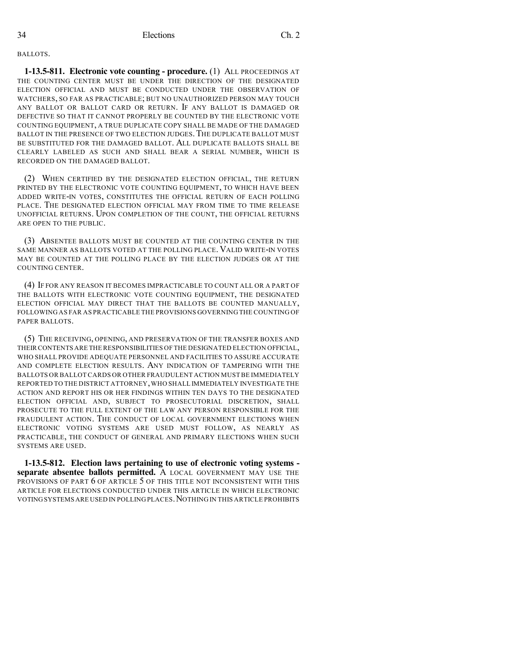BALLOTS.

**1-13.5-811. Electronic vote counting - procedure.** (1) ALL PROCEEDINGS AT THE COUNTING CENTER MUST BE UNDER THE DIRECTION OF THE DESIGNATED ELECTION OFFICIAL AND MUST BE CONDUCTED UNDER THE OBSERVATION OF WATCHERS, SO FAR AS PRACTICABLE; BUT NO UNAUTHORIZED PERSON MAY TOUCH ANY BALLOT OR BALLOT CARD OR RETURN. IF ANY BALLOT IS DAMAGED OR DEFECTIVE SO THAT IT CANNOT PROPERLY BE COUNTED BY THE ELECTRONIC VOTE COUNTING EQUIPMENT, A TRUE DUPLICATE COPY SHALL BE MADE OF THE DAMAGED BALLOT IN THE PRESENCE OF TWO ELECTION JUDGES. THE DUPLICATE BALLOT MUST BE SUBSTITUTED FOR THE DAMAGED BALLOT. ALL DUPLICATE BALLOTS SHALL BE CLEARLY LABELED AS SUCH AND SHALL BEAR A SERIAL NUMBER, WHICH IS RECORDED ON THE DAMAGED BALLOT.

(2) WHEN CERTIFIED BY THE DESIGNATED ELECTION OFFICIAL, THE RETURN PRINTED BY THE ELECTRONIC VOTE COUNTING EQUIPMENT, TO WHICH HAVE BEEN ADDED WRITE-IN VOTES, CONSTITUTES THE OFFICIAL RETURN OF EACH POLLING PLACE. THE DESIGNATED ELECTION OFFICIAL MAY FROM TIME TO TIME RELEASE UNOFFICIAL RETURNS. UPON COMPLETION OF THE COUNT, THE OFFICIAL RETURNS ARE OPEN TO THE PUBLIC.

(3) ABSENTEE BALLOTS MUST BE COUNTED AT THE COUNTING CENTER IN THE SAME MANNER AS BALLOTS VOTED AT THE POLLING PLACE. VALID WRITE-IN VOTES MAY BE COUNTED AT THE POLLING PLACE BY THE ELECTION JUDGES OR AT THE COUNTING CENTER.

(4) IF FOR ANY REASON IT BECOMES IMPRACTICABLE TO COUNT ALL OR A PART OF THE BALLOTS WITH ELECTRONIC VOTE COUNTING EQUIPMENT, THE DESIGNATED ELECTION OFFICIAL MAY DIRECT THAT THE BALLOTS BE COUNTED MANUALLY, FOLLOWING AS FAR AS PRACTICABLE THE PROVISIONS GOVERNING THE COUNTING OF PAPER BALLOTS.

(5) THE RECEIVING, OPENING, AND PRESERVATION OF THE TRANSFER BOXES AND THEIR CONTENTS ARE THE RESPONSIBILITIES OF THE DESIGNATED ELECTION OFFICIAL, WHO SHALL PROVIDE ADEQUATE PERSONNEL AND FACILITIES TO ASSURE ACCURATE AND COMPLETE ELECTION RESULTS. ANY INDICATION OF TAMPERING WITH THE BALLOTS OR BALLOT CARDS OR OTHER FRAUDULENT ACTION MUSTBE IMMEDIATELY REPORTED TO THE DISTRICT ATTORNEY,WHO SHALL IMMEDIATELY INVESTIGATE THE ACTION AND REPORT HIS OR HER FINDINGS WITHIN TEN DAYS TO THE DESIGNATED ELECTION OFFICIAL AND, SUBJECT TO PROSECUTORIAL DISCRETION, SHALL PROSECUTE TO THE FULL EXTENT OF THE LAW ANY PERSON RESPONSIBLE FOR THE FRAUDULENT ACTION. THE CONDUCT OF LOCAL GOVERNMENT ELECTIONS WHEN ELECTRONIC VOTING SYSTEMS ARE USED MUST FOLLOW, AS NEARLY AS PRACTICABLE, THE CONDUCT OF GENERAL AND PRIMARY ELECTIONS WHEN SUCH SYSTEMS ARE USED.

**1-13.5-812. Election laws pertaining to use of electronic voting systems separate absentee ballots permitted.** A LOCAL GOVERNMENT MAY USE THE PROVISIONS OF PART 6 OF ARTICLE 5 OF THIS TITLE NOT INCONSISTENT WITH THIS ARTICLE FOR ELECTIONS CONDUCTED UNDER THIS ARTICLE IN WHICH ELECTRONIC VOTINGSYSTEMS ARE USED IN POLLING PLACES.NOTHING IN THIS ARTICLE PROHIBITS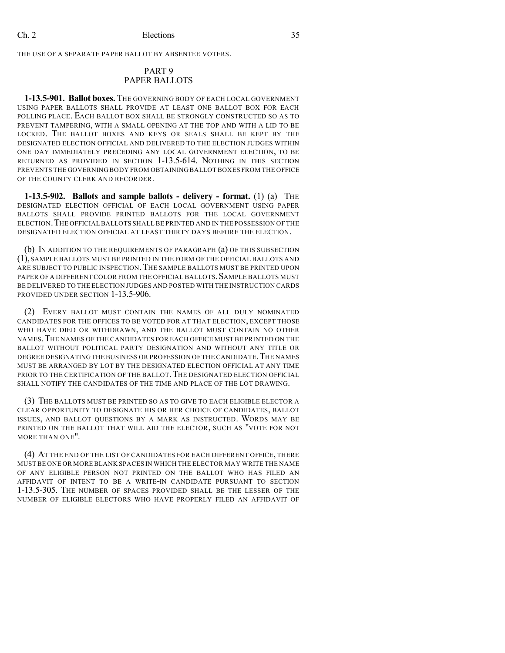THE USE OF A SEPARATE PAPER BALLOT BY ABSENTEE VOTERS.

#### PART 9 PAPER BALLOTS

**1-13.5-901. Ballot boxes.** THE GOVERNING BODY OF EACH LOCAL GOVERNMENT USING PAPER BALLOTS SHALL PROVIDE AT LEAST ONE BALLOT BOX FOR EACH POLLING PLACE. EACH BALLOT BOX SHALL BE STRONGLY CONSTRUCTED SO AS TO PREVENT TAMPERING, WITH A SMALL OPENING AT THE TOP AND WITH A LID TO BE LOCKED. THE BALLOT BOXES AND KEYS OR SEALS SHALL BE KEPT BY THE DESIGNATED ELECTION OFFICIAL AND DELIVERED TO THE ELECTION JUDGES WITHIN ONE DAY IMMEDIATELY PRECEDING ANY LOCAL GOVERNMENT ELECTION, TO BE RETURNED AS PROVIDED IN SECTION 1-13.5-614. NOTHING IN THIS SECTION PREVENTS THE GOVERNING BODY FROM OBTAININGBALLOT BOXES FROM THE OFFICE OF THE COUNTY CLERK AND RECORDER.

**1-13.5-902. Ballots and sample ballots - delivery - format.** (1) (a) THE DESIGNATED ELECTION OFFICIAL OF EACH LOCAL GOVERNMENT USING PAPER BALLOTS SHALL PROVIDE PRINTED BALLOTS FOR THE LOCAL GOVERNMENT ELECTION.THE OFFICIALBALLOTS SHALL BE PRINTED AND IN THE POSSESSION OF THE DESIGNATED ELECTION OFFICIAL AT LEAST THIRTY DAYS BEFORE THE ELECTION.

(b) IN ADDITION TO THE REQUIREMENTS OF PARAGRAPH (a) OF THIS SUBSECTION (1), SAMPLE BALLOTS MUST BE PRINTED IN THE FORM OF THE OFFICIAL BALLOTS AND ARE SUBJECT TO PUBLIC INSPECTION.THE SAMPLE BALLOTS MUST BE PRINTED UPON PAPER OF A DIFFERENT COLOR FROM THE OFFICIAL BALLOTS. SAMPLE BALLOTS MUST BE DELIVERED TO THE ELECTION JUDGES AND POSTED WITH THE INSTRUCTION CARDS PROVIDED UNDER SECTION 1-13.5-906.

(2) EVERY BALLOT MUST CONTAIN THE NAMES OF ALL DULY NOMINATED CANDIDATES FOR THE OFFICES TO BE VOTED FOR AT THAT ELECTION, EXCEPT THOSE WHO HAVE DIED OR WITHDRAWN, AND THE BALLOT MUST CONTAIN NO OTHER NAMES.THE NAMES OF THE CANDIDATES FOR EACH OFFICE MUST BE PRINTED ON THE BALLOT WITHOUT POLITICAL PARTY DESIGNATION AND WITHOUT ANY TITLE OR DEGREE DESIGNATINGTHE BUSINESS OR PROFESSION OF THE CANDIDATE.THE NAMES MUST BE ARRANGED BY LOT BY THE DESIGNATED ELECTION OFFICIAL AT ANY TIME PRIOR TO THE CERTIFICATION OF THE BALLOT. THE DESIGNATED ELECTION OFFICIAL SHALL NOTIFY THE CANDIDATES OF THE TIME AND PLACE OF THE LOT DRAWING.

(3) THE BALLOTS MUST BE PRINTED SO AS TO GIVE TO EACH ELIGIBLE ELECTOR A CLEAR OPPORTUNITY TO DESIGNATE HIS OR HER CHOICE OF CANDIDATES, BALLOT ISSUES, AND BALLOT QUESTIONS BY A MARK AS INSTRUCTED. WORDS MAY BE PRINTED ON THE BALLOT THAT WILL AID THE ELECTOR, SUCH AS "VOTE FOR NOT MORE THAN ONE".

(4) AT THE END OF THE LIST OF CANDIDATES FOR EACH DIFFERENT OFFICE, THERE MUST BE ONE OR MORE BLANK SPACES IN WHICH THE ELECTOR MAY WRITE THE NAME OF ANY ELIGIBLE PERSON NOT PRINTED ON THE BALLOT WHO HAS FILED AN AFFIDAVIT OF INTENT TO BE A WRITE-IN CANDIDATE PURSUANT TO SECTION 1-13.5-305. THE NUMBER OF SPACES PROVIDED SHALL BE THE LESSER OF THE NUMBER OF ELIGIBLE ELECTORS WHO HAVE PROPERLY FILED AN AFFIDAVIT OF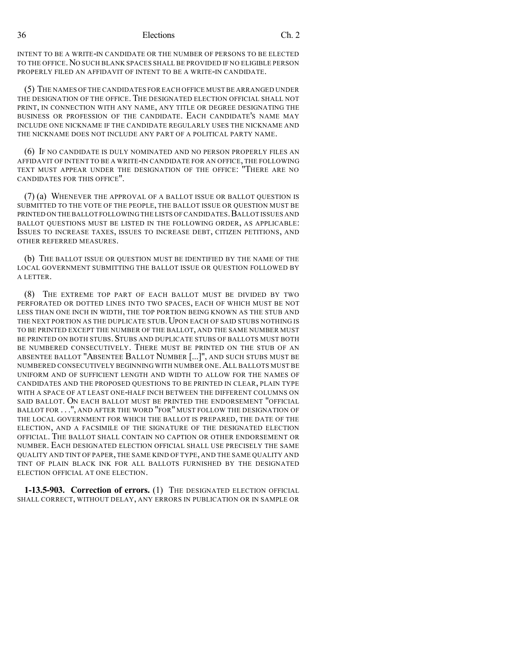INTENT TO BE A WRITE-IN CANDIDATE OR THE NUMBER OF PERSONS TO BE ELECTED TO THE OFFICE.NO SUCH BLANK SPACES SHALL BE PROVIDED IF NO ELIGIBLE PERSON PROPERLY FILED AN AFFIDAVIT OF INTENT TO BE A WRITE-IN CANDIDATE.

(5) THE NAMES OF THE CANDIDATES FOR EACH OFFICE MUSTBE ARRANGED UNDER THE DESIGNATION OF THE OFFICE. THE DESIGNATED ELECTION OFFICIAL SHALL NOT PRINT, IN CONNECTION WITH ANY NAME, ANY TITLE OR DEGREE DESIGNATING THE BUSINESS OR PROFESSION OF THE CANDIDATE. EACH CANDIDATE'S NAME MAY INCLUDE ONE NICKNAME IF THE CANDIDATE REGULARLY USES THE NICKNAME AND THE NICKNAME DOES NOT INCLUDE ANY PART OF A POLITICAL PARTY NAME.

(6) IF NO CANDIDATE IS DULY NOMINATED AND NO PERSON PROPERLY FILES AN AFFIDAVIT OF INTENT TO BE A WRITE-IN CANDIDATE FOR AN OFFICE, THE FOLLOWING TEXT MUST APPEAR UNDER THE DESIGNATION OF THE OFFICE: "THERE ARE NO CANDIDATES FOR THIS OFFICE".

(7) (a) WHENEVER THE APPROVAL OF A BALLOT ISSUE OR BALLOT QUESTION IS SUBMITTED TO THE VOTE OF THE PEOPLE, THE BALLOT ISSUE OR QUESTION MUST BE PRINTED ON THE BALLOT FOLLOWING THE LISTS OF CANDIDATES. BALLOT ISSUES AND BALLOT QUESTIONS MUST BE LISTED IN THE FOLLOWING ORDER, AS APPLICABLE: ISSUES TO INCREASE TAXES, ISSUES TO INCREASE DEBT, CITIZEN PETITIONS, AND OTHER REFERRED MEASURES.

(b) THE BALLOT ISSUE OR QUESTION MUST BE IDENTIFIED BY THE NAME OF THE LOCAL GOVERNMENT SUBMITTING THE BALLOT ISSUE OR QUESTION FOLLOWED BY A LETTER.

(8) THE EXTREME TOP PART OF EACH BALLOT MUST BE DIVIDED BY TWO PERFORATED OR DOTTED LINES INTO TWO SPACES, EACH OF WHICH MUST BE NOT LESS THAN ONE INCH IN WIDTH, THE TOP PORTION BEING KNOWN AS THE STUB AND THE NEXT PORTION AS THE DUPLICATE STUB. UPON EACH OF SAID STUBS NOTHING IS TO BE PRINTED EXCEPT THE NUMBER OF THE BALLOT, AND THE SAME NUMBER MUST BE PRINTED ON BOTH STUBS. STUBS AND DUPLICATE STUBS OF BALLOTS MUST BOTH BE NUMBERED CONSECUTIVELY. THERE MUST BE PRINTED ON THE STUB OF AN ABSENTEE BALLOT "ABSENTEE BALLOT NUMBER [...]", AND SUCH STUBS MUST BE NUMBERED CONSECUTIVELY BEGINNING WITH NUMBER ONE.ALL BALLOTS MUST BE UNIFORM AND OF SUFFICIENT LENGTH AND WIDTH TO ALLOW FOR THE NAMES OF CANDIDATES AND THE PROPOSED QUESTIONS TO BE PRINTED IN CLEAR, PLAIN TYPE WITH A SPACE OF AT LEAST ONE-HALF INCH BETWEEN THE DIFFERENT COLUMNS ON SAID BALLOT. ON EACH BALLOT MUST BE PRINTED THE ENDORSEMENT "OFFICIAL BALLOT FOR . . .", AND AFTER THE WORD "FOR" MUST FOLLOW THE DESIGNATION OF THE LOCAL GOVERNMENT FOR WHICH THE BALLOT IS PREPARED, THE DATE OF THE ELECTION, AND A FACSIMILE OF THE SIGNATURE OF THE DESIGNATED ELECTION OFFICIAL. THE BALLOT SHALL CONTAIN NO CAPTION OR OTHER ENDORSEMENT OR NUMBER. EACH DESIGNATED ELECTION OFFICIAL SHALL USE PRECISELY THE SAME QUALITY AND TINT OF PAPER, THE SAME KIND OF TYPE, AND THE SAME QUALITY AND TINT OF PLAIN BLACK INK FOR ALL BALLOTS FURNISHED BY THE DESIGNATED ELECTION OFFICIAL AT ONE ELECTION.

**1-13.5-903. Correction of errors.** (1) THE DESIGNATED ELECTION OFFICIAL SHALL CORRECT, WITHOUT DELAY, ANY ERRORS IN PUBLICATION OR IN SAMPLE OR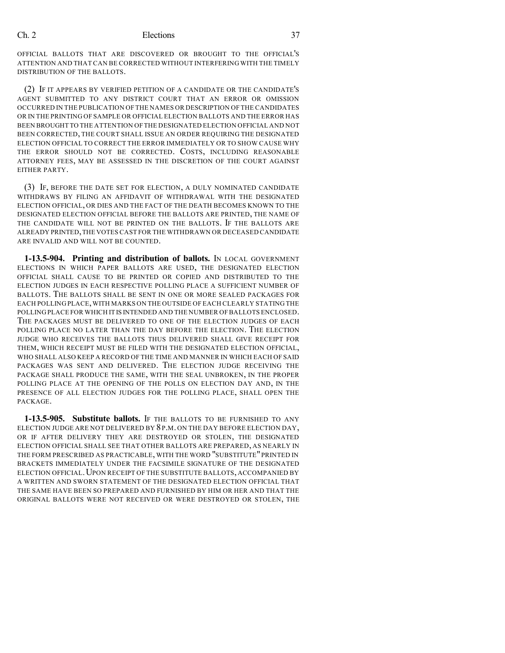OFFICIAL BALLOTS THAT ARE DISCOVERED OR BROUGHT TO THE OFFICIAL'S ATTENTION AND THAT CAN BE CORRECTED WITHOUT INTERFERING WITH THE TIMELY DISTRIBUTION OF THE BALLOTS.

(2) IF IT APPEARS BY VERIFIED PETITION OF A CANDIDATE OR THE CANDIDATE'S AGENT SUBMITTED TO ANY DISTRICT COURT THAT AN ERROR OR OMISSION OCCURRED IN THE PUBLICATION OF THE NAMES OR DESCRIPTION OF THE CANDIDATES OR IN THE PRINTING OF SAMPLE OR OFFICIAL ELECTION BALLOTS AND THE ERROR HAS BEEN BROUGHT TO THE ATTENTION OFTHE DESIGNATED ELECTION OFFICIAL AND NOT BEEN CORRECTED, THE COURT SHALL ISSUE AN ORDER REQUIRING THE DESIGNATED ELECTION OFFICIAL TO CORRECT THE ERROR IMMEDIATELY OR TO SHOW CAUSE WHY THE ERROR SHOULD NOT BE CORRECTED. COSTS, INCLUDING REASONABLE ATTORNEY FEES, MAY BE ASSESSED IN THE DISCRETION OF THE COURT AGAINST EITHER PARTY.

(3) IF, BEFORE THE DATE SET FOR ELECTION, A DULY NOMINATED CANDIDATE WITHDRAWS BY FILING AN AFFIDAVIT OF WITHDRAWAL WITH THE DESIGNATED ELECTION OFFICIAL, OR DIES AND THE FACT OF THE DEATH BECOMES KNOWN TO THE DESIGNATED ELECTION OFFICIAL BEFORE THE BALLOTS ARE PRINTED, THE NAME OF THE CANDIDATE WILL NOT BE PRINTED ON THE BALLOTS. IF THE BALLOTS ARE ALREADY PRINTED,THE VOTES CAST FOR THE WITHDRAWN OR DECEASED CANDIDATE ARE INVALID AND WILL NOT BE COUNTED.

**1-13.5-904. Printing and distribution of ballots.** IN LOCAL GOVERNMENT ELECTIONS IN WHICH PAPER BALLOTS ARE USED, THE DESIGNATED ELECTION OFFICIAL SHALL CAUSE TO BE PRINTED OR COPIED AND DISTRIBUTED TO THE ELECTION JUDGES IN EACH RESPECTIVE POLLING PLACE A SUFFICIENT NUMBER OF BALLOTS. THE BALLOTS SHALL BE SENT IN ONE OR MORE SEALED PACKAGES FOR EACH POLLING PLACE,WITH MARKS ON THE OUTSIDE OF EACH CLEARLY STATING THE POLLING PLACE FOR WHICH IT IS INTENDED AND THE NUMBER OF BALLOTS ENCLOSED. THE PACKAGES MUST BE DELIVERED TO ONE OF THE ELECTION JUDGES OF EACH POLLING PLACE NO LATER THAN THE DAY BEFORE THE ELECTION. THE ELECTION JUDGE WHO RECEIVES THE BALLOTS THUS DELIVERED SHALL GIVE RECEIPT FOR THEM, WHICH RECEIPT MUST BE FILED WITH THE DESIGNATED ELECTION OFFICIAL, WHO SHALL ALSO KEEP A RECORD OF THE TIME AND MANNER IN WHICH EACH OF SAID PACKAGES WAS SENT AND DELIVERED. THE ELECTION JUDGE RECEIVING THE PACKAGE SHALL PRODUCE THE SAME, WITH THE SEAL UNBROKEN, IN THE PROPER POLLING PLACE AT THE OPENING OF THE POLLS ON ELECTION DAY AND, IN THE PRESENCE OF ALL ELECTION JUDGES FOR THE POLLING PLACE, SHALL OPEN THE PACKAGE.

**1-13.5-905. Substitute ballots.** IF THE BALLOTS TO BE FURNISHED TO ANY ELECTION JUDGE ARE NOT DELIVERED BY 8 P.M. ON THE DAY BEFORE ELECTION DAY, OR IF AFTER DELIVERY THEY ARE DESTROYED OR STOLEN, THE DESIGNATED ELECTION OFFICIAL SHALL SEE THAT OTHER BALLOTS ARE PREPARED, AS NEARLY IN THE FORM PRESCRIBED AS PRACTICABLE, WITH THE WORD "SUBSTITUTE"PRINTED IN BRACKETS IMMEDIATELY UNDER THE FACSIMILE SIGNATURE OF THE DESIGNATED ELECTION OFFICIAL. UPON RECEIPT OF THE SUBSTITUTE BALLOTS, ACCOMPANIED BY A WRITTEN AND SWORN STATEMENT OF THE DESIGNATED ELECTION OFFICIAL THAT THE SAME HAVE BEEN SO PREPARED AND FURNISHED BY HIM OR HER AND THAT THE ORIGINAL BALLOTS WERE NOT RECEIVED OR WERE DESTROYED OR STOLEN, THE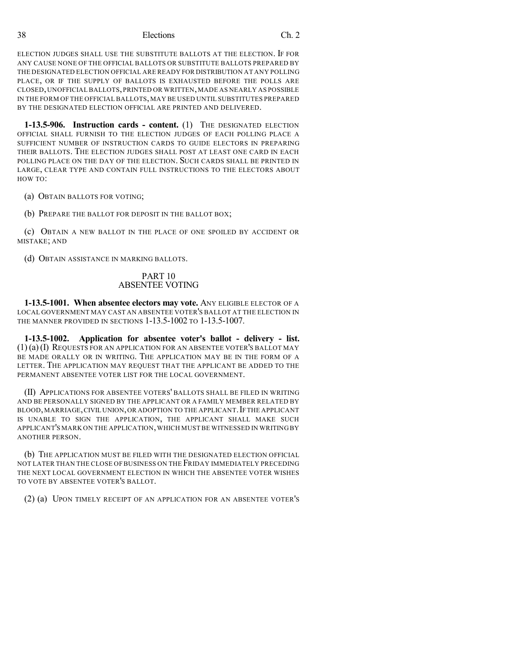ELECTION JUDGES SHALL USE THE SUBSTITUTE BALLOTS AT THE ELECTION. IF FOR ANY CAUSE NONE OF THE OFFICIAL BALLOTS OR SUBSTITUTE BALLOTS PREPARED BY THE DESIGNATED ELECTION OFFICIAL ARE READY FOR DISTRIBUTION AT ANY POLLING PLACE, OR IF THE SUPPLY OF BALLOTS IS EXHAUSTED BEFORE THE POLLS ARE CLOSED,UNOFFICIAL BALLOTS,PRINTED OR WRITTEN,MADE AS NEARLY AS POSSIBLE IN THE FORM OF THE OFFICIAL BALLOTS,MAY BE USED UNTIL SUBSTITUTES PREPARED BY THE DESIGNATED ELECTION OFFICIAL ARE PRINTED AND DELIVERED.

**1-13.5-906. Instruction cards - content.** (1) THE DESIGNATED ELECTION OFFICIAL SHALL FURNISH TO THE ELECTION JUDGES OF EACH POLLING PLACE A SUFFICIENT NUMBER OF INSTRUCTION CARDS TO GUIDE ELECTORS IN PREPARING THEIR BALLOTS. THE ELECTION JUDGES SHALL POST AT LEAST ONE CARD IN EACH POLLING PLACE ON THE DAY OF THE ELECTION. SUCH CARDS SHALL BE PRINTED IN LARGE, CLEAR TYPE AND CONTAIN FULL INSTRUCTIONS TO THE ELECTORS ABOUT HOW TO:

(a) OBTAIN BALLOTS FOR VOTING;

(b) PREPARE THE BALLOT FOR DEPOSIT IN THE BALLOT BOX;

(c) OBTAIN A NEW BALLOT IN THE PLACE OF ONE SPOILED BY ACCIDENT OR MISTAKE; AND

(d) OBTAIN ASSISTANCE IN MARKING BALLOTS.

#### PART 10 ABSENTEE VOTING

**1-13.5-1001. When absentee electors may vote.** ANY ELIGIBLE ELECTOR OF A LOCAL GOVERNMENT MAY CAST AN ABSENTEE VOTER'S BALLOT AT THE ELECTION IN THE MANNER PROVIDED IN SECTIONS 1-13.5-1002 TO 1-13.5-1007.

**1-13.5-1002. Application for absentee voter's ballot - delivery - list.** (1) (a) (I) REQUESTS FOR AN APPLICATION FOR AN ABSENTEE VOTER'S BALLOT MAY BE MADE ORALLY OR IN WRITING. THE APPLICATION MAY BE IN THE FORM OF A LETTER. THE APPLICATION MAY REQUEST THAT THE APPLICANT BE ADDED TO THE PERMANENT ABSENTEE VOTER LIST FOR THE LOCAL GOVERNMENT.

(II) APPLICATIONS FOR ABSENTEE VOTERS' BALLOTS SHALL BE FILED IN WRITING AND BE PERSONALLY SIGNED BY THE APPLICANT OR A FAMILY MEMBER RELATED BY BLOOD, MARRIAGE, CIVIL UNION, OR ADOPTION TO THE APPLICANT. IF THE APPLICANT IS UNABLE TO SIGN THE APPLICATION, THE APPLICANT SHALL MAKE SUCH APPLICANT'S MARK ON THE APPLICATION,WHICH MUST BE WITNESSED IN WRITING BY ANOTHER PERSON.

(b) THE APPLICATION MUST BE FILED WITH THE DESIGNATED ELECTION OFFICIAL NOT LATER THAN THE CLOSE OFBUSINESS ON THE FRIDAY IMMEDIATELY PRECEDING THE NEXT LOCAL GOVERNMENT ELECTION IN WHICH THE ABSENTEE VOTER WISHES TO VOTE BY ABSENTEE VOTER'S BALLOT.

(2) (a) UPON TIMELY RECEIPT OF AN APPLICATION FOR AN ABSENTEE VOTER'S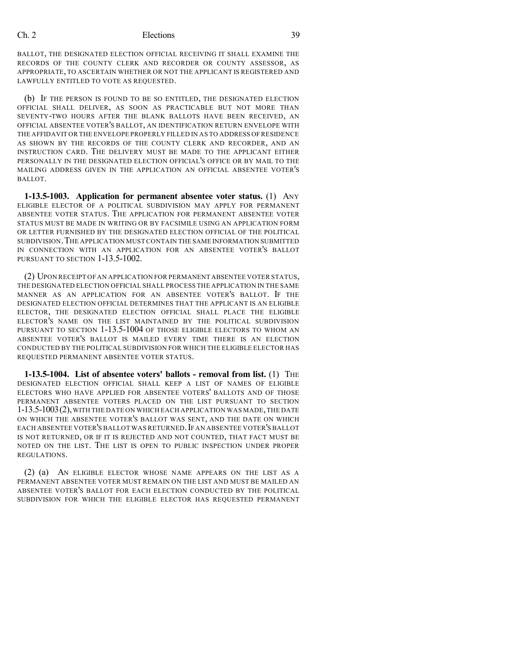BALLOT, THE DESIGNATED ELECTION OFFICIAL RECEIVING IT SHALL EXAMINE THE RECORDS OF THE COUNTY CLERK AND RECORDER OR COUNTY ASSESSOR, AS APPROPRIATE, TO ASCERTAIN WHETHER OR NOT THE APPLICANT IS REGISTERED AND LAWFULLY ENTITLED TO VOTE AS REQUESTED.

(b) IF THE PERSON IS FOUND TO BE SO ENTITLED, THE DESIGNATED ELECTION OFFICIAL SHALL DELIVER, AS SOON AS PRACTICABLE BUT NOT MORE THAN SEVENTY-TWO HOURS AFTER THE BLANK BALLOTS HAVE BEEN RECEIVED, AN OFFICIAL ABSENTEE VOTER'S BALLOT, AN IDENTIFICATION RETURN ENVELOPE WITH THE AFFIDAVIT OR THE ENVELOPE PROPERLY FILLED IN AS TO ADDRESS OF RESIDENCE AS SHOWN BY THE RECORDS OF THE COUNTY CLERK AND RECORDER, AND AN INSTRUCTION CARD. THE DELIVERY MUST BE MADE TO THE APPLICANT EITHER PERSONALLY IN THE DESIGNATED ELECTION OFFICIAL'S OFFICE OR BY MAIL TO THE MAILING ADDRESS GIVEN IN THE APPLICATION AN OFFICIAL ABSENTEE VOTER'S BALLOT.

**1-13.5-1003. Application for permanent absentee voter status.** (1) ANY ELIGIBLE ELECTOR OF A POLITICAL SUBDIVISION MAY APPLY FOR PERMANENT ABSENTEE VOTER STATUS. THE APPLICATION FOR PERMANENT ABSENTEE VOTER STATUS MUST BE MADE IN WRITING OR BY FACSIMILE USING AN APPLICATION FORM OR LETTER FURNISHED BY THE DESIGNATED ELECTION OFFICIAL OF THE POLITICAL SUBDIVISION.THE APPLICATION MUSTCONTAIN THE SAME INFORMATION SUBMITTED IN CONNECTION WITH AN APPLICATION FOR AN ABSENTEE VOTER'S BALLOT PURSUANT TO SECTION 1-13.5-1002.

(2) UPON RECEIPT OF AN APPLICATION FOR PERMANENT ABSENTEE VOTER STATUS, THE DESIGNATED ELECTION OFFICIAL SHALL PROCESS THE APPLICATION IN THE SAME MANNER AS AN APPLICATION FOR AN ABSENTEE VOTER'S BALLOT. IF THE DESIGNATED ELECTION OFFICIAL DETERMINES THAT THE APPLICANT IS AN ELIGIBLE ELECTOR, THE DESIGNATED ELECTION OFFICIAL SHALL PLACE THE ELIGIBLE ELECTOR'S NAME ON THE LIST MAINTAINED BY THE POLITICAL SUBDIVISION PURSUANT TO SECTION 1-13.5-1004 OF THOSE ELIGIBLE ELECTORS TO WHOM AN ABSENTEE VOTER'S BALLOT IS MAILED EVERY TIME THERE IS AN ELECTION CONDUCTED BY THE POLITICAL SUBDIVISION FOR WHICH THE ELIGIBLE ELECTOR HAS REQUESTED PERMANENT ABSENTEE VOTER STATUS.

**1-13.5-1004. List of absentee voters' ballots - removal from list.** (1) THE DESIGNATED ELECTION OFFICIAL SHALL KEEP A LIST OF NAMES OF ELIGIBLE ELECTORS WHO HAVE APPLIED FOR ABSENTEE VOTERS' BALLOTS AND OF THOSE PERMANENT ABSENTEE VOTERS PLACED ON THE LIST PURSUANT TO SECTION 1-13.5-1003(2),WITH THE DATE ON WHICH EACH APPLICATION WAS MADE,THE DATE ON WHICH THE ABSENTEE VOTER'S BALLOT WAS SENT, AND THE DATE ON WHICH EACH ABSENTEE VOTER'S BALLOT WAS RETURNED. IF AN ABSENTEE VOTER'S BALLOT IS NOT RETURNED, OR IF IT IS REJECTED AND NOT COUNTED, THAT FACT MUST BE NOTED ON THE LIST. THE LIST IS OPEN TO PUBLIC INSPECTION UNDER PROPER REGULATIONS.

(2) (a) AN ELIGIBLE ELECTOR WHOSE NAME APPEARS ON THE LIST AS A PERMANENT ABSENTEE VOTER MUST REMAIN ON THE LIST AND MUST BE MAILED AN ABSENTEE VOTER'S BALLOT FOR EACH ELECTION CONDUCTED BY THE POLITICAL SUBDIVISION FOR WHICH THE ELIGIBLE ELECTOR HAS REQUESTED PERMANENT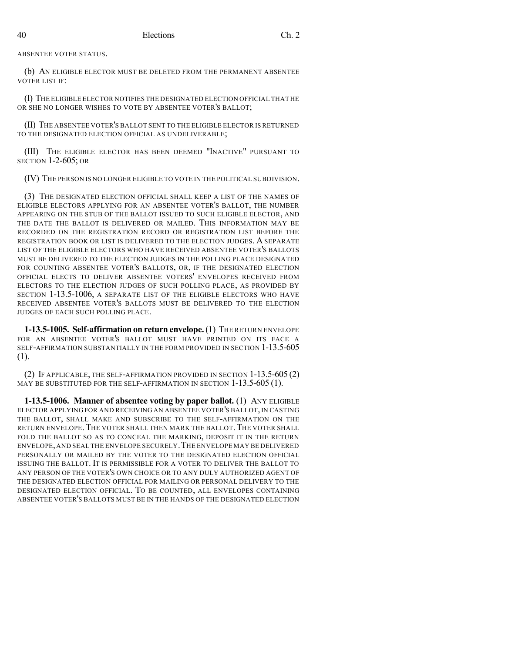ABSENTEE VOTER STATUS.

(b) AN ELIGIBLE ELECTOR MUST BE DELETED FROM THE PERMANENT ABSENTEE VOTER LIST IF:

(I) THE ELIGIBLE ELECTOR NOTIFIES THE DESIGNATED ELECTION OFFICIAL THAT HE OR SHE NO LONGER WISHES TO VOTE BY ABSENTEE VOTER'S BALLOT;

(II) THE ABSENTEE VOTER'S BALLOT SENT TO THE ELIGIBLE ELECTOR IS RETURNED TO THE DESIGNATED ELECTION OFFICIAL AS UNDELIVERABLE;

(III) THE ELIGIBLE ELECTOR HAS BEEN DEEMED "INACTIVE" PURSUANT TO SECTION 1-2-605; OR

(IV) THE PERSON IS NO LONGER ELIGIBLE TO VOTE IN THE POLITICAL SUBDIVISION.

(3) THE DESIGNATED ELECTION OFFICIAL SHALL KEEP A LIST OF THE NAMES OF ELIGIBLE ELECTORS APPLYING FOR AN ABSENTEE VOTER'S BALLOT, THE NUMBER APPEARING ON THE STUB OF THE BALLOT ISSUED TO SUCH ELIGIBLE ELECTOR, AND THE DATE THE BALLOT IS DELIVERED OR MAILED. THIS INFORMATION MAY BE RECORDED ON THE REGISTRATION RECORD OR REGISTRATION LIST BEFORE THE REGISTRATION BOOK OR LIST IS DELIVERED TO THE ELECTION JUDGES. A SEPARATE LIST OF THE ELIGIBLE ELECTORS WHO HAVE RECEIVED ABSENTEE VOTER'S BALLOTS MUST BE DELIVERED TO THE ELECTION JUDGES IN THE POLLING PLACE DESIGNATED FOR COUNTING ABSENTEE VOTER'S BALLOTS, OR, IF THE DESIGNATED ELECTION OFFICIAL ELECTS TO DELIVER ABSENTEE VOTERS' ENVELOPES RECEIVED FROM ELECTORS TO THE ELECTION JUDGES OF SUCH POLLING PLACE, AS PROVIDED BY SECTION 1-13.5-1006, A SEPARATE LIST OF THE ELIGIBLE ELECTORS WHO HAVE RECEIVED ABSENTEE VOTER'S BALLOTS MUST BE DELIVERED TO THE ELECTION JUDGES OF EACH SUCH POLLING PLACE.

**1-13.5-1005. Self-affirmation on return envelope.**(1) THE RETURN ENVELOPE FOR AN ABSENTEE VOTER'S BALLOT MUST HAVE PRINTED ON ITS FACE A SELF-AFFIRMATION SUBSTANTIALLY IN THE FORM PROVIDED IN SECTION 1-13.5-605 (1).

(2) IF APPLICABLE, THE SELF-AFFIRMATION PROVIDED IN SECTION 1-13.5-605 (2) MAY BE SUBSTITUTED FOR THE SELF-AFFIRMATION IN SECTION 1-13.5-605 (1).

**1-13.5-1006. Manner of absentee voting by paper ballot.** (1) ANY ELIGIBLE ELECTOR APPLYING FOR AND RECEIVING AN ABSENTEE VOTER'S BALLOT, IN CASTING THE BALLOT, SHALL MAKE AND SUBSCRIBE TO THE SELF-AFFIRMATION ON THE RETURN ENVELOPE. THE VOTER SHALL THEN MARK THE BALLOT. THE VOTER SHALL FOLD THE BALLOT SO AS TO CONCEAL THE MARKING, DEPOSIT IT IN THE RETURN ENVELOPE,AND SEAL THE ENVELOPE SECURELY.THE ENVELOPE MAY BE DELIVERED PERSONALLY OR MAILED BY THE VOTER TO THE DESIGNATED ELECTION OFFICIAL ISSUING THE BALLOT. IT IS PERMISSIBLE FOR A VOTER TO DELIVER THE BALLOT TO ANY PERSON OF THE VOTER'S OWN CHOICE OR TO ANY DULY AUTHORIZED AGENT OF THE DESIGNATED ELECTION OFFICIAL FOR MAILING OR PERSONAL DELIVERY TO THE DESIGNATED ELECTION OFFICIAL. TO BE COUNTED, ALL ENVELOPES CONTAINING ABSENTEE VOTER'S BALLOTS MUST BE IN THE HANDS OF THE DESIGNATED ELECTION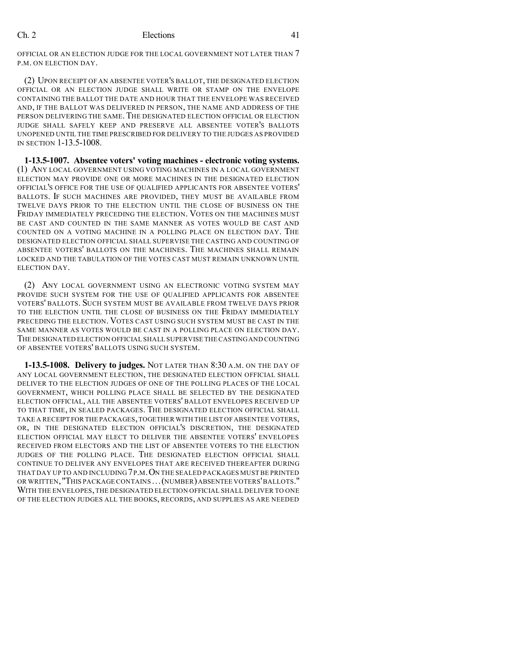OFFICIAL OR AN ELECTION JUDGE FOR THE LOCAL GOVERNMENT NOT LATER THAN 7 P.M. ON ELECTION DAY.

(2) UPON RECEIPT OF AN ABSENTEE VOTER'S BALLOT, THE DESIGNATED ELECTION OFFICIAL OR AN ELECTION JUDGE SHALL WRITE OR STAMP ON THE ENVELOPE CONTAINING THE BALLOT THE DATE AND HOUR THAT THE ENVELOPE WAS RECEIVED AND, IF THE BALLOT WAS DELIVERED IN PERSON, THE NAME AND ADDRESS OF THE PERSON DELIVERING THE SAME. THE DESIGNATED ELECTION OFFICIAL OR ELECTION JUDGE SHALL SAFELY KEEP AND PRESERVE ALL ABSENTEE VOTER'S BALLOTS UNOPENED UNTIL THE TIME PRESCRIBED FOR DELIVERY TO THE JUDGES AS PROVIDED IN SECTION 1-13.5-1008.

**1-13.5-1007. Absentee voters' voting machines - electronic voting systems.** (1) ANY LOCAL GOVERNMENT USING VOTING MACHINES IN A LOCAL GOVERNMENT ELECTION MAY PROVIDE ONE OR MORE MACHINES IN THE DESIGNATED ELECTION OFFICIAL'S OFFICE FOR THE USE OF QUALIFIED APPLICANTS FOR ABSENTEE VOTERS' BALLOTS. IF SUCH MACHINES ARE PROVIDED, THEY MUST BE AVAILABLE FROM TWELVE DAYS PRIOR TO THE ELECTION UNTIL THE CLOSE OF BUSINESS ON THE FRIDAY IMMEDIATELY PRECEDING THE ELECTION. VOTES ON THE MACHINES MUST BE CAST AND COUNTED IN THE SAME MANNER AS VOTES WOULD BE CAST AND COUNTED ON A VOTING MACHINE IN A POLLING PLACE ON ELECTION DAY. THE DESIGNATED ELECTION OFFICIAL SHALL SUPERVISE THE CASTING AND COUNTING OF ABSENTEE VOTERS' BALLOTS ON THE MACHINES. THE MACHINES SHALL REMAIN LOCKED AND THE TABULATION OF THE VOTES CAST MUST REMAIN UNKNOWN UNTIL ELECTION DAY.

(2) ANY LOCAL GOVERNMENT USING AN ELECTRONIC VOTING SYSTEM MAY PROVIDE SUCH SYSTEM FOR THE USE OF QUALIFIED APPLICANTS FOR ABSENTEE VOTERS' BALLOTS. SUCH SYSTEM MUST BE AVAILABLE FROM TWELVE DAYS PRIOR TO THE ELECTION UNTIL THE CLOSE OF BUSINESS ON THE FRIDAY IMMEDIATELY PRECEDING THE ELECTION. VOTES CAST USING SUCH SYSTEM MUST BE CAST IN THE SAME MANNER AS VOTES WOULD BE CAST IN A POLLING PLACE ON ELECTION DAY. THE DESIGNATED ELECTION OFFICIAL SHALL SUPERVISE THE CASTINGAND COUNTING OF ABSENTEE VOTERS' BALLOTS USING SUCH SYSTEM.

**1-13.5-1008. Delivery to judges.** NOT LATER THAN 8:30 A.M. ON THE DAY OF ANY LOCAL GOVERNMENT ELECTION, THE DESIGNATED ELECTION OFFICIAL SHALL DELIVER TO THE ELECTION JUDGES OF ONE OF THE POLLING PLACES OF THE LOCAL GOVERNMENT, WHICH POLLING PLACE SHALL BE SELECTED BY THE DESIGNATED ELECTION OFFICIAL, ALL THE ABSENTEE VOTERS' BALLOT ENVELOPES RECEIVED UP TO THAT TIME, IN SEALED PACKAGES. THE DESIGNATED ELECTION OFFICIAL SHALL TAKE A RECEIPT FOR THE PACKAGES,TOGETHER WITH THE LIST OF ABSENTEE VOTERS, OR, IN THE DESIGNATED ELECTION OFFICIAL'S DISCRETION, THE DESIGNATED ELECTION OFFICIAL MAY ELECT TO DELIVER THE ABSENTEE VOTERS' ENVELOPES RECEIVED FROM ELECTORS AND THE LIST OF ABSENTEE VOTERS TO THE ELECTION JUDGES OF THE POLLING PLACE. THE DESIGNATED ELECTION OFFICIAL SHALL CONTINUE TO DELIVER ANY ENVELOPES THAT ARE RECEIVED THEREAFTER DURING THAT DAY UP TO AND INCLUDING 7P.M.ON THE SEALED PACKAGES MUST BE PRINTED OR WRITTEN,"THIS PACKAGE CONTAINS ...(NUMBER)ABSENTEE VOTERS'BALLOTS." WITH THE ENVELOPES,THE DESIGNATED ELECTION OFFICIAL SHALL DELIVER TO ONE OF THE ELECTION JUDGES ALL THE BOOKS, RECORDS, AND SUPPLIES AS ARE NEEDED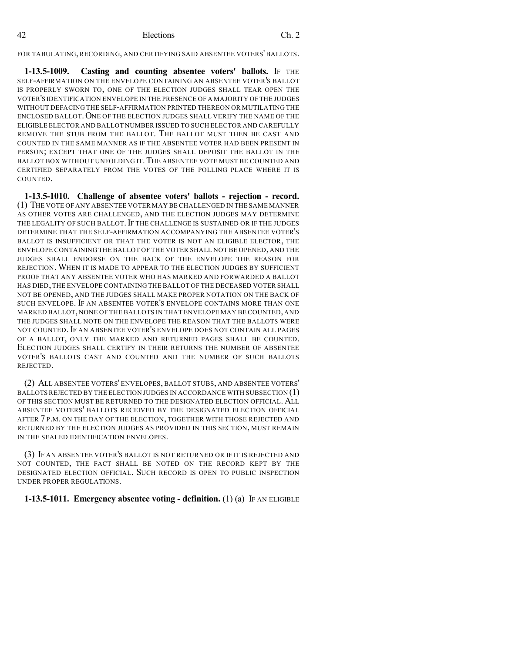FOR TABULATING, RECORDING, AND CERTIFYING SAID ABSENTEE VOTERS' BALLOTS.

**1-13.5-1009. Casting and counting absentee voters' ballots.** IF THE SELF-AFFIRMATION ON THE ENVELOPE CONTAINING AN ABSENTEE VOTER'S BALLOT IS PROPERLY SWORN TO, ONE OF THE ELECTION JUDGES SHALL TEAR OPEN THE VOTER'S IDENTIFICATION ENVELOPE IN THE PRESENCE OF A MAJORITY OF THE JUDGES WITHOUT DEFACING THE SELF-AFFIRMATION PRINTED THEREON OR MUTILATING THE ENCLOSED BALLOT. ONE OF THE ELECTION JUDGES SHALL VERIFY THE NAME OF THE ELIGIBLE ELECTOR AND BALLOT NUMBER ISSUED TO SUCH ELECTOR AND CAREFULLY REMOVE THE STUB FROM THE BALLOT. THE BALLOT MUST THEN BE CAST AND COUNTED IN THE SAME MANNER AS IF THE ABSENTEE VOTER HAD BEEN PRESENT IN PERSON; EXCEPT THAT ONE OF THE JUDGES SHALL DEPOSIT THE BALLOT IN THE BALLOT BOX WITHOUT UNFOLDING IT. THE ABSENTEE VOTE MUST BE COUNTED AND CERTIFIED SEPARATELY FROM THE VOTES OF THE POLLING PLACE WHERE IT IS COUNTED.

**1-13.5-1010. Challenge of absentee voters' ballots - rejection - record.** (1) THE VOTE OF ANY ABSENTEE VOTER MAY BE CHALLENGED IN THE SAME MANNER AS OTHER VOTES ARE CHALLENGED, AND THE ELECTION JUDGES MAY DETERMINE THE LEGALITY OF SUCH BALLOT. IF THE CHALLENGE IS SUSTAINED OR IF THE JUDGES DETERMINE THAT THE SELF-AFFIRMATION ACCOMPANYING THE ABSENTEE VOTER'S BALLOT IS INSUFFICIENT OR THAT THE VOTER IS NOT AN ELIGIBLE ELECTOR, THE ENVELOPE CONTAINING THE BALLOT OF THE VOTER SHALL NOT BE OPENED, AND THE JUDGES SHALL ENDORSE ON THE BACK OF THE ENVELOPE THE REASON FOR REJECTION. WHEN IT IS MADE TO APPEAR TO THE ELECTION JUDGES BY SUFFICIENT PROOF THAT ANY ABSENTEE VOTER WHO HAS MARKED AND FORWARDED A BALLOT HAS DIED, THE ENVELOPE CONTAINING THE BALLOT OF THE DECEASED VOTER SHALL NOT BE OPENED, AND THE JUDGES SHALL MAKE PROPER NOTATION ON THE BACK OF SUCH ENVELOPE. IF AN ABSENTEE VOTER'S ENVELOPE CONTAINS MORE THAN ONE MARKED BALLOT, NONE OF THE BALLOTS IN THAT ENVELOPE MAY BE COUNTED, AND THE JUDGES SHALL NOTE ON THE ENVELOPE THE REASON THAT THE BALLOTS WERE NOT COUNTED. IF AN ABSENTEE VOTER'S ENVELOPE DOES NOT CONTAIN ALL PAGES OF A BALLOT, ONLY THE MARKED AND RETURNED PAGES SHALL BE COUNTED. ELECTION JUDGES SHALL CERTIFY IN THEIR RETURNS THE NUMBER OF ABSENTEE VOTER'S BALLOTS CAST AND COUNTED AND THE NUMBER OF SUCH BALLOTS REJECTED.

(2) ALL ABSENTEE VOTERS' ENVELOPES, BALLOT STUBS, AND ABSENTEE VOTERS' BALLOTS REJECTED BY THE ELECTION JUDGES IN ACCORDANCE WITH SUBSECTION (1) OF THIS SECTION MUST BE RETURNED TO THE DESIGNATED ELECTION OFFICIAL. ALL ABSENTEE VOTERS' BALLOTS RECEIVED BY THE DESIGNATED ELECTION OFFICIAL AFTER 7 P.M. ON THE DAY OF THE ELECTION, TOGETHER WITH THOSE REJECTED AND RETURNED BY THE ELECTION JUDGES AS PROVIDED IN THIS SECTION, MUST REMAIN IN THE SEALED IDENTIFICATION ENVELOPES.

(3) IF AN ABSENTEE VOTER'S BALLOT IS NOT RETURNED OR IF IT IS REJECTED AND NOT COUNTED, THE FACT SHALL BE NOTED ON THE RECORD KEPT BY THE DESIGNATED ELECTION OFFICIAL. SUCH RECORD IS OPEN TO PUBLIC INSPECTION UNDER PROPER REGULATIONS.

# **1-13.5-1011. Emergency absentee voting - definition.** (1) (a) IF AN ELIGIBLE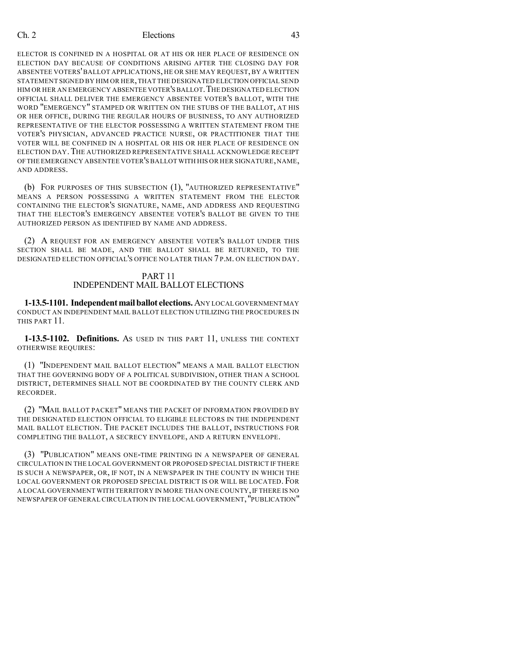ELECTOR IS CONFINED IN A HOSPITAL OR AT HIS OR HER PLACE OF RESIDENCE ON ELECTION DAY BECAUSE OF CONDITIONS ARISING AFTER THE CLOSING DAY FOR ABSENTEE VOTERS'BALLOT APPLICATIONS, HE OR SHE MAY REQUEST, BY A WRITTEN STATEMENT SIGNED BY HIM OR HER,THAT THE DESIGNATED ELECTION OFFICIAL SEND HIM OR HER AN EMERGENCY ABSENTEE VOTER'SBALLOT.THE DESIGNATED ELECTION OFFICIAL SHALL DELIVER THE EMERGENCY ABSENTEE VOTER'S BALLOT, WITH THE WORD "EMERGENCY" STAMPED OR WRITTEN ON THE STUBS OF THE BALLOT, AT HIS OR HER OFFICE, DURING THE REGULAR HOURS OF BUSINESS, TO ANY AUTHORIZED REPRESENTATIVE OF THE ELECTOR POSSESSING A WRITTEN STATEMENT FROM THE VOTER'S PHYSICIAN, ADVANCED PRACTICE NURSE, OR PRACTITIONER THAT THE VOTER WILL BE CONFINED IN A HOSPITAL OR HIS OR HER PLACE OF RESIDENCE ON ELECTION DAY.THE AUTHORIZED REPRESENTATIVE SHALL ACKNOWLEDGE RECEIPT OF THE EMERGENCY ABSENTEE VOTER'S BALLOT WITH HIS OR HER SIGNATURE, NAME, AND ADDRESS.

(b) FOR PURPOSES OF THIS SUBSECTION (1), "AUTHORIZED REPRESENTATIVE" MEANS A PERSON POSSESSING A WRITTEN STATEMENT FROM THE ELECTOR CONTAINING THE ELECTOR'S SIGNATURE, NAME, AND ADDRESS AND REQUESTING THAT THE ELECTOR'S EMERGENCY ABSENTEE VOTER'S BALLOT BE GIVEN TO THE AUTHORIZED PERSON AS IDENTIFIED BY NAME AND ADDRESS.

(2) A REQUEST FOR AN EMERGENCY ABSENTEE VOTER'S BALLOT UNDER THIS SECTION SHALL BE MADE, AND THE BALLOT SHALL BE RETURNED, TO THE DESIGNATED ELECTION OFFICIAL'S OFFICE NO LATER THAN 7 P.M. ON ELECTION DAY.

### PART 11 INDEPENDENT MAIL BALLOT ELECTIONS

**1-13.5-1101. Independentmailballot elections.**ANY LOCAL GOVERNMENT MAY CONDUCT AN INDEPENDENT MAIL BALLOT ELECTION UTILIZING THE PROCEDURES IN THIS PART 11.

**1-13.5-1102. Definitions.** AS USED IN THIS PART 11, UNLESS THE CONTEXT OTHERWISE REQUIRES:

(1) "INDEPENDENT MAIL BALLOT ELECTION" MEANS A MAIL BALLOT ELECTION THAT THE GOVERNING BODY OF A POLITICAL SUBDIVISION, OTHER THAN A SCHOOL DISTRICT, DETERMINES SHALL NOT BE COORDINATED BY THE COUNTY CLERK AND RECORDER.

(2) "MAIL BALLOT PACKET" MEANS THE PACKET OF INFORMATION PROVIDED BY THE DESIGNATED ELECTION OFFICIAL TO ELIGIBLE ELECTORS IN THE INDEPENDENT MAIL BALLOT ELECTION. THE PACKET INCLUDES THE BALLOT, INSTRUCTIONS FOR COMPLETING THE BALLOT, A SECRECY ENVELOPE, AND A RETURN ENVELOPE.

(3) "PUBLICATION" MEANS ONE-TIME PRINTING IN A NEWSPAPER OF GENERAL CIRCULATION IN THE LOCAL GOVERNMENT OR PROPOSED SPECIAL DISTRICT IF THERE IS SUCH A NEWSPAPER, OR, IF NOT, IN A NEWSPAPER IN THE COUNTY IN WHICH THE LOCAL GOVERNMENT OR PROPOSED SPECIAL DISTRICT IS OR WILL BE LOCATED. FOR A LOCAL GOVERNMENT WITH TERRITORY IN MORE THAN ONE COUNTY, IF THERE IS NO NEWSPAPER OF GENERAL CIRCULATION IN THE LOCAL GOVERNMENT,"PUBLICATION"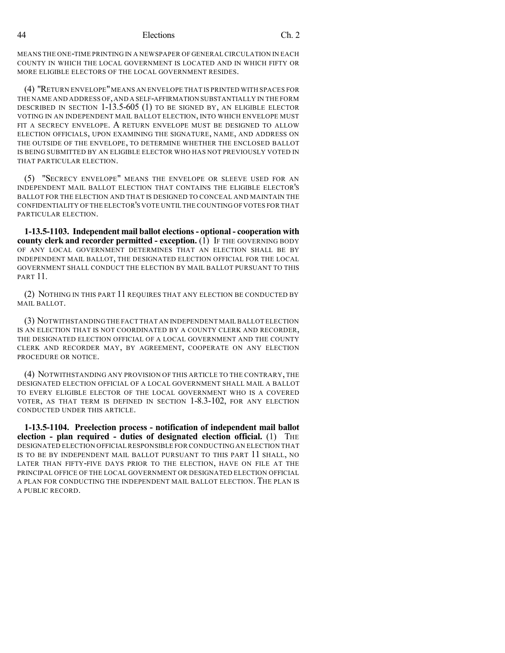MEANS THE ONE-TIME PRINTING IN A NEWSPAPER OF GENERAL CIRCULATION IN EACH COUNTY IN WHICH THE LOCAL GOVERNMENT IS LOCATED AND IN WHICH FIFTY OR MORE ELIGIBLE ELECTORS OF THE LOCAL GOVERNMENT RESIDES.

(4) "RETURN ENVELOPE"MEANS AN ENVELOPE THAT IS PRINTED WITH SPACES FOR THE NAME AND ADDRESS OF,AND A SELF-AFFIRMATION SUBSTANTIALLY IN THE FORM DESCRIBED IN SECTION 1-13.5-605 (1) TO BE SIGNED BY, AN ELIGIBLE ELECTOR VOTING IN AN INDEPENDENT MAIL BALLOT ELECTION, INTO WHICH ENVELOPE MUST FIT A SECRECY ENVELOPE. A RETURN ENVELOPE MUST BE DESIGNED TO ALLOW ELECTION OFFICIALS, UPON EXAMINING THE SIGNATURE, NAME, AND ADDRESS ON THE OUTSIDE OF THE ENVELOPE, TO DETERMINE WHETHER THE ENCLOSED BALLOT IS BEING SUBMITTED BY AN ELIGIBLE ELECTOR WHO HAS NOT PREVIOUSLY VOTED IN THAT PARTICULAR ELECTION.

(5) "SECRECY ENVELOPE" MEANS THE ENVELOPE OR SLEEVE USED FOR AN INDEPENDENT MAIL BALLOT ELECTION THAT CONTAINS THE ELIGIBLE ELECTOR'S BALLOT FOR THE ELECTION AND THAT IS DESIGNED TO CONCEAL AND MAINTAIN THE CONFIDENTIALITY OF THE ELECTOR'S VOTE UNTIL THE COUNTING OFVOTES FOR THAT PARTICULAR ELECTION.

**1-13.5-1103. Independent mail ballot elections- optional - cooperation with county clerk and recorder permitted - exception.** (1) IF THE GOVERNING BODY OF ANY LOCAL GOVERNMENT DETERMINES THAT AN ELECTION SHALL BE BY INDEPENDENT MAIL BALLOT, THE DESIGNATED ELECTION OFFICIAL FOR THE LOCAL GOVERNMENT SHALL CONDUCT THE ELECTION BY MAIL BALLOT PURSUANT TO THIS PART 11.

(2) NOTHING IN THIS PART 11 REQUIRES THAT ANY ELECTION BE CONDUCTED BY MAIL BALLOT.

(3) NOTWITHSTANDINGTHE FACT THAT AN INDEPENDENT MAIL BALLOT ELECTION IS AN ELECTION THAT IS NOT COORDINATED BY A COUNTY CLERK AND RECORDER, THE DESIGNATED ELECTION OFFICIAL OF A LOCAL GOVERNMENT AND THE COUNTY CLERK AND RECORDER MAY, BY AGREEMENT, COOPERATE ON ANY ELECTION PROCEDURE OR NOTICE.

(4) NOTWITHSTANDING ANY PROVISION OF THIS ARTICLE TO THE CONTRARY, THE DESIGNATED ELECTION OFFICIAL OF A LOCAL GOVERNMENT SHALL MAIL A BALLOT TO EVERY ELIGIBLE ELECTOR OF THE LOCAL GOVERNMENT WHO IS A COVERED VOTER, AS THAT TERM IS DEFINED IN SECTION 1-8.3-102, FOR ANY ELECTION CONDUCTED UNDER THIS ARTICLE.

**1-13.5-1104. Preelection process - notification of independent mail ballot election - plan required - duties of designated election official.** (1) THE DESIGNATED ELECTION OFFICIALRESPONSIBLE FOR CONDUCTING AN ELECTION THAT IS TO BE BY INDEPENDENT MAIL BALLOT PURSUANT TO THIS PART 11 SHALL, NO LATER THAN FIFTY-FIVE DAYS PRIOR TO THE ELECTION, HAVE ON FILE AT THE PRINCIPAL OFFICE OF THE LOCAL GOVERNMENT OR DESIGNATED ELECTION OFFICIAL A PLAN FOR CONDUCTING THE INDEPENDENT MAIL BALLOT ELECTION. THE PLAN IS A PUBLIC RECORD.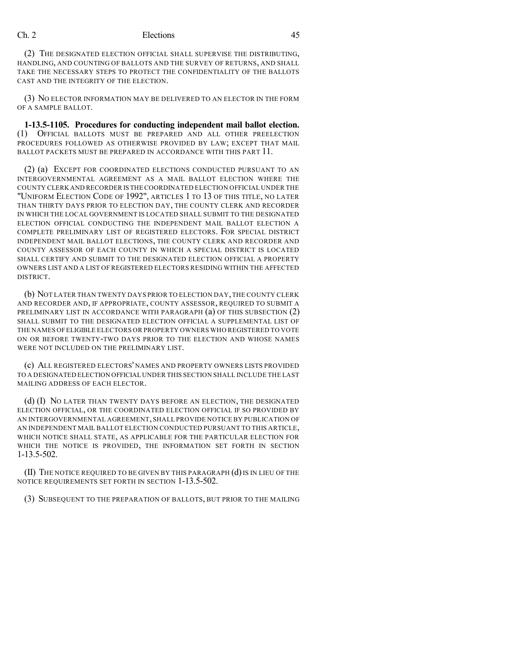(2) THE DESIGNATED ELECTION OFFICIAL SHALL SUPERVISE THE DISTRIBUTING, HANDLING, AND COUNTING OF BALLOTS AND THE SURVEY OF RETURNS, AND SHALL TAKE THE NECESSARY STEPS TO PROTECT THE CONFIDENTIALITY OF THE BALLOTS CAST AND THE INTEGRITY OF THE ELECTION.

(3) NO ELECTOR INFORMATION MAY BE DELIVERED TO AN ELECTOR IN THE FORM OF A SAMPLE BALLOT.

**1-13.5-1105. Procedures for conducting independent mail ballot election.** (1) OFFICIAL BALLOTS MUST BE PREPARED AND ALL OTHER PREELECTION PROCEDURES FOLLOWED AS OTHERWISE PROVIDED BY LAW; EXCEPT THAT MAIL BALLOT PACKETS MUST BE PREPARED IN ACCORDANCE WITH THIS PART 11.

(2) (a) EXCEPT FOR COORDINATED ELECTIONS CONDUCTED PURSUANT TO AN INTERGOVERNMENTAL AGREEMENT AS A MAIL BALLOT ELECTION WHERE THE COUNTY CLERK AND RECORDER IS THE COORDINATED ELECTION OFFICIAL UNDER THE "UNIFORM ELECTION CODE OF 1992", ARTICLES 1 TO 13 OF THIS TITLE, NO LATER THAN THIRTY DAYS PRIOR TO ELECTION DAY, THE COUNTY CLERK AND RECORDER IN WHICH THE LOCAL GOVERNMENT IS LOCATED SHALL SUBMIT TO THE DESIGNATED ELECTION OFFICIAL CONDUCTING THE INDEPENDENT MAIL BALLOT ELECTION A COMPLETE PRELIMINARY LIST OF REGISTERED ELECTORS. FOR SPECIAL DISTRICT INDEPENDENT MAIL BALLOT ELECTIONS, THE COUNTY CLERK AND RECORDER AND COUNTY ASSESSOR OF EACH COUNTY IN WHICH A SPECIAL DISTRICT IS LOCATED SHALL CERTIFY AND SUBMIT TO THE DESIGNATED ELECTION OFFICIAL A PROPERTY OWNERS LIST AND A LIST OF REGISTERED ELECTORS RESIDING WITHIN THE AFFECTED DISTRICT.

(b) NOT LATER THAN TWENTY DAYS PRIOR TO ELECTION DAY,THE COUNTY CLERK AND RECORDER AND, IF APPROPRIATE, COUNTY ASSESSOR, REQUIRED TO SUBMIT A PRELIMINARY LIST IN ACCORDANCE WITH PARAGRAPH (a) OF THIS SUBSECTION (2) SHALL SUBMIT TO THE DESIGNATED ELECTION OFFICIAL A SUPPLEMENTAL LIST OF THE NAMES OFELIGIBLE ELECTORS OR PROPERTY OWNERS WHO REGISTERED TO VOTE ON OR BEFORE TWENTY-TWO DAYS PRIOR TO THE ELECTION AND WHOSE NAMES WERE NOT INCLUDED ON THE PRELIMINARY LIST.

(c) ALL REGISTERED ELECTORS' NAMES AND PROPERTY OWNERS LISTS PROVIDED TO A DESIGNATED ELECTION OFFICIAL UNDER THIS SECTION SHALL INCLUDE THE LAST MAILING ADDRESS OF EACH ELECTOR.

(d) (I) NO LATER THAN TWENTY DAYS BEFORE AN ELECTION, THE DESIGNATED ELECTION OFFICIAL, OR THE COORDINATED ELECTION OFFICIAL IF SO PROVIDED BY AN INTERGOVERNMENTAL AGREEMENT, SHALL PROVIDE NOTICE BY PUBLICATION OF AN INDEPENDENT MAIL BALLOT ELECTION CONDUCTED PURSUANT TO THIS ARTICLE, WHICH NOTICE SHALL STATE, AS APPLICABLE FOR THE PARTICULAR ELECTION FOR WHICH THE NOTICE IS PROVIDED, THE INFORMATION SET FORTH IN SECTION 1-13.5-502.

(II) THE NOTICE REQUIRED TO BE GIVEN BY THIS PARAGRAPH (d)IS IN LIEU OF THE NOTICE REQUIREMENTS SET FORTH IN SECTION 1-13.5-502.

(3) SUBSEQUENT TO THE PREPARATION OF BALLOTS, BUT PRIOR TO THE MAILING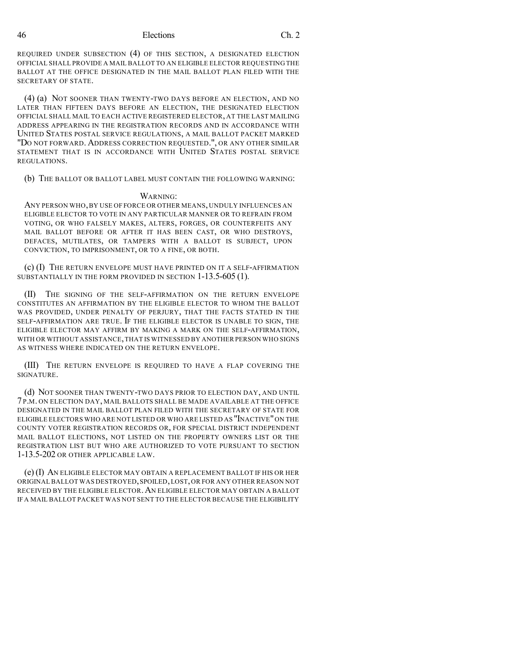REQUIRED UNDER SUBSECTION (4) OF THIS SECTION, A DESIGNATED ELECTION OFFICIAL SHALL PROVIDE A MAIL BALLOT TO AN ELIGIBLE ELECTOR REQUESTING THE BALLOT AT THE OFFICE DESIGNATED IN THE MAIL BALLOT PLAN FILED WITH THE SECRETARY OF STATE.

(4) (a) NOT SOONER THAN TWENTY-TWO DAYS BEFORE AN ELECTION, AND NO LATER THAN FIFTEEN DAYS BEFORE AN ELECTION, THE DESIGNATED ELECTION OFFICIAL SHALL MAIL TO EACH ACTIVE REGISTERED ELECTOR, AT THE LAST MAILING ADDRESS APPEARING IN THE REGISTRATION RECORDS AND IN ACCORDANCE WITH UNITED STATES POSTAL SERVICE REGULATIONS, A MAIL BALLOT PACKET MARKED "DO NOT FORWARD. ADDRESS CORRECTION REQUESTED.", OR ANY OTHER SIMILAR STATEMENT THAT IS IN ACCORDANCE WITH UNITED STATES POSTAL SERVICE REGULATIONS.

(b) THE BALLOT OR BALLOT LABEL MUST CONTAIN THE FOLLOWING WARNING:

#### WARNING:

ANY PERSON WHO,BY USE OF FORCE OR OTHER MEANS,UNDULY INFLUENCES AN ELIGIBLE ELECTOR TO VOTE IN ANY PARTICULAR MANNER OR TO REFRAIN FROM VOTING, OR WHO FALSELY MAKES, ALTERS, FORGES, OR COUNTERFEITS ANY MAIL BALLOT BEFORE OR AFTER IT HAS BEEN CAST, OR WHO DESTROYS, DEFACES, MUTILATES, OR TAMPERS WITH A BALLOT IS SUBJECT, UPON CONVICTION, TO IMPRISONMENT, OR TO A FINE, OR BOTH.

(c) (I) THE RETURN ENVELOPE MUST HAVE PRINTED ON IT A SELF-AFFIRMATION SUBSTANTIALLY IN THE FORM PROVIDED IN SECTION 1-13.5-605 (1).

(II) THE SIGNING OF THE SELF-AFFIRMATION ON THE RETURN ENVELOPE CONSTITUTES AN AFFIRMATION BY THE ELIGIBLE ELECTOR TO WHOM THE BALLOT WAS PROVIDED, UNDER PENALTY OF PERJURY, THAT THE FACTS STATED IN THE SELF-AFFIRMATION ARE TRUE. IF THE ELIGIBLE ELECTOR IS UNABLE TO SIGN, THE ELIGIBLE ELECTOR MAY AFFIRM BY MAKING A MARK ON THE SELF-AFFIRMATION, WITH OR WITHOUT ASSISTANCE,THAT IS WITNESSED BY ANOTHER PERSON WHO SIGNS AS WITNESS WHERE INDICATED ON THE RETURN ENVELOPE.

(III) THE RETURN ENVELOPE IS REQUIRED TO HAVE A FLAP COVERING THE SIGNATURE.

(d) NOT SOONER THAN TWENTY-TWO DAYS PRIOR TO ELECTION DAY, AND UNTIL 7 P.M. ON ELECTION DAY, MAIL BALLOTS SHALL BE MADE AVAILABLE AT THE OFFICE DESIGNATED IN THE MAIL BALLOT PLAN FILED WITH THE SECRETARY OF STATE FOR ELIGIBLE ELECTORS WHO ARE NOT LISTED OR WHO ARE LISTED AS "INACTIVE"ON THE COUNTY VOTER REGISTRATION RECORDS OR, FOR SPECIAL DISTRICT INDEPENDENT MAIL BALLOT ELECTIONS, NOT LISTED ON THE PROPERTY OWNERS LIST OR THE REGISTRATION LIST BUT WHO ARE AUTHORIZED TO VOTE PURSUANT TO SECTION 1-13.5-202 OR OTHER APPLICABLE LAW.

(e) (I) AN ELIGIBLE ELECTOR MAY OBTAIN A REPLACEMENT BALLOT IF HIS OR HER ORIGINALBALLOT WAS DESTROYED,SPOILED,LOST,OR FOR ANY OTHER REASON NOT RECEIVED BY THE ELIGIBLE ELECTOR.AN ELIGIBLE ELECTOR MAY OBTAIN A BALLOT IF A MAIL BALLOT PACKET WAS NOT SENT TO THE ELECTOR BECAUSE THE ELIGIBILITY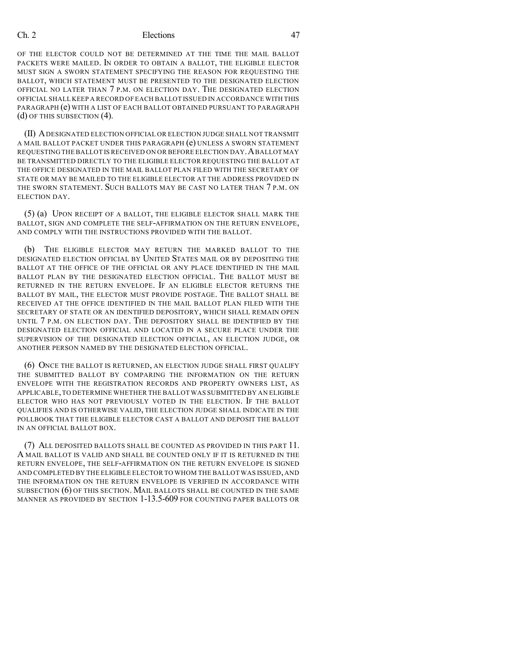OF THE ELECTOR COULD NOT BE DETERMINED AT THE TIME THE MAIL BALLOT PACKETS WERE MAILED. IN ORDER TO OBTAIN A BALLOT, THE ELIGIBLE ELECTOR MUST SIGN A SWORN STATEMENT SPECIFYING THE REASON FOR REQUESTING THE BALLOT, WHICH STATEMENT MUST BE PRESENTED TO THE DESIGNATED ELECTION OFFICIAL NO LATER THAN 7 P.M. ON ELECTION DAY. THE DESIGNATED ELECTION OFFICIAL SHALL KEEP A RECORD OF EACH BALLOT ISSUED IN ACCORDANCE WITH THIS PARAGRAPH (e) WITH A LIST OF EACH BALLOT OBTAINED PURSUANT TO PARAGRAPH (d) OF THIS SUBSECTION (4).

(II) ADESIGNATED ELECTION OFFICIAL OR ELECTION JUDGE SHALL NOT TRANSMIT A MAIL BALLOT PACKET UNDER THIS PARAGRAPH (e) UNLESS A SWORN STATEMENT REQUESTING THE BALLOT IS RECEIVED ON OR BEFORE ELECTION DAY.ABALLOT MAY BE TRANSMITTED DIRECTLY TO THE ELIGIBLE ELECTOR REQUESTING THE BALLOT AT THE OFFICE DESIGNATED IN THE MAIL BALLOT PLAN FILED WITH THE SECRETARY OF STATE OR MAY BE MAILED TO THE ELIGIBLE ELECTOR AT THE ADDRESS PROVIDED IN THE SWORN STATEMENT. SUCH BALLOTS MAY BE CAST NO LATER THAN 7 P.M. ON ELECTION DAY.

(5) (a) UPON RECEIPT OF A BALLOT, THE ELIGIBLE ELECTOR SHALL MARK THE BALLOT, SIGN AND COMPLETE THE SELF-AFFIRMATION ON THE RETURN ENVELOPE, AND COMPLY WITH THE INSTRUCTIONS PROVIDED WITH THE BALLOT.

(b) THE ELIGIBLE ELECTOR MAY RETURN THE MARKED BALLOT TO THE DESIGNATED ELECTION OFFICIAL BY UNITED STATES MAIL OR BY DEPOSITING THE BALLOT AT THE OFFICE OF THE OFFICIAL OR ANY PLACE IDENTIFIED IN THE MAIL BALLOT PLAN BY THE DESIGNATED ELECTION OFFICIAL. THE BALLOT MUST BE RETURNED IN THE RETURN ENVELOPE. IF AN ELIGIBLE ELECTOR RETURNS THE BALLOT BY MAIL, THE ELECTOR MUST PROVIDE POSTAGE. THE BALLOT SHALL BE RECEIVED AT THE OFFICE IDENTIFIED IN THE MAIL BALLOT PLAN FILED WITH THE SECRETARY OF STATE OR AN IDENTIFIED DEPOSITORY, WHICH SHALL REMAIN OPEN UNTIL 7 P.M. ON ELECTION DAY. THE DEPOSITORY SHALL BE IDENTIFIED BY THE DESIGNATED ELECTION OFFICIAL AND LOCATED IN A SECURE PLACE UNDER THE SUPERVISION OF THE DESIGNATED ELECTION OFFICIAL, AN ELECTION JUDGE, OR ANOTHER PERSON NAMED BY THE DESIGNATED ELECTION OFFICIAL.

(6) ONCE THE BALLOT IS RETURNED, AN ELECTION JUDGE SHALL FIRST QUALIFY THE SUBMITTED BALLOT BY COMPARING THE INFORMATION ON THE RETURN ENVELOPE WITH THE REGISTRATION RECORDS AND PROPERTY OWNERS LIST, AS APPLICABLE,TO DETERMINE WHETHER THE BALLOT WAS SUBMITTED BY AN ELIGIBLE ELECTOR WHO HAS NOT PREVIOUSLY VOTED IN THE ELECTION. IF THE BALLOT QUALIFIES AND IS OTHERWISE VALID, THE ELECTION JUDGE SHALL INDICATE IN THE POLLBOOK THAT THE ELIGIBLE ELECTOR CAST A BALLOT AND DEPOSIT THE BALLOT IN AN OFFICIAL BALLOT BOX.

(7) ALL DEPOSITED BALLOTS SHALL BE COUNTED AS PROVIDED IN THIS PART 11. A MAIL BALLOT IS VALID AND SHALL BE COUNTED ONLY IF IT IS RETURNED IN THE RETURN ENVELOPE, THE SELF-AFFIRMATION ON THE RETURN ENVELOPE IS SIGNED AND COMPLETED BY THE ELIGIBLE ELECTOR TO WHOM THE BALLOT WAS ISSUED,AND THE INFORMATION ON THE RETURN ENVELOPE IS VERIFIED IN ACCORDANCE WITH SUBSECTION (6) OF THIS SECTION. MAIL BALLOTS SHALL BE COUNTED IN THE SAME MANNER AS PROVIDED BY SECTION 1-13.5-609 FOR COUNTING PAPER BALLOTS OR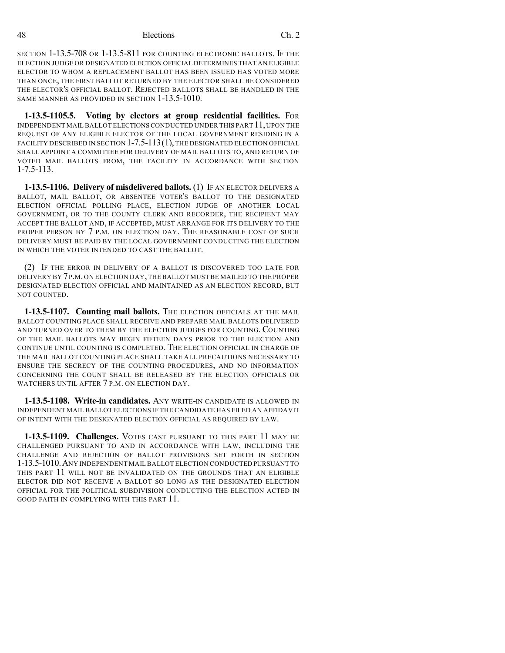SECTION 1-13.5-708 OR 1-13.5-811 FOR COUNTING ELECTRONIC BALLOTS. IF THE ELECTION JUDGE OR DESIGNATED ELECTION OFFICIAL DETERMINES THAT AN ELIGIBLE ELECTOR TO WHOM A REPLACEMENT BALLOT HAS BEEN ISSUED HAS VOTED MORE THAN ONCE, THE FIRST BALLOT RETURNED BY THE ELECTOR SHALL BE CONSIDERED THE ELECTOR'S OFFICIAL BALLOT. REJECTED BALLOTS SHALL BE HANDLED IN THE SAME MANNER AS PROVIDED IN SECTION 1-13.5-1010.

**1-13.5-1105.5. Voting by electors at group residential facilities.** FOR INDEPENDENT MAIL BALLOT ELECTIONS CONDUCTED UNDER THIS PART  $11$ , UPON THE REQUEST OF ANY ELIGIBLE ELECTOR OF THE LOCAL GOVERNMENT RESIDING IN A FACILITY DESCRIBED IN SECTION 1-7.5-113(1), THE DESIGNATED ELECTION OFFICIAL SHALL APPOINT A COMMITTEE FOR DELIVERY OF MAIL BALLOTS TO, AND RETURN OF VOTED MAIL BALLOTS FROM, THE FACILITY IN ACCORDANCE WITH SECTION 1-7.5-113.

**1-13.5-1106. Delivery of misdelivered ballots.** (1) IF AN ELECTOR DELIVERS A BALLOT, MAIL BALLOT, OR ABSENTEE VOTER'S BALLOT TO THE DESIGNATED ELECTION OFFICIAL POLLING PLACE, ELECTION JUDGE OF ANOTHER LOCAL GOVERNMENT, OR TO THE COUNTY CLERK AND RECORDER, THE RECIPIENT MAY ACCEPT THE BALLOT AND, IF ACCEPTED, MUST ARRANGE FOR ITS DELIVERY TO THE PROPER PERSON BY 7 P.M. ON ELECTION DAY. THE REASONABLE COST OF SUCH DELIVERY MUST BE PAID BY THE LOCAL GOVERNMENT CONDUCTING THE ELECTION IN WHICH THE VOTER INTENDED TO CAST THE BALLOT.

(2) IF THE ERROR IN DELIVERY OF A BALLOT IS DISCOVERED TOO LATE FOR DELIVERY BY 7P.M.ON ELECTION DAY,THE BALLOT MUST BE MAILED TO THE PROPER DESIGNATED ELECTION OFFICIAL AND MAINTAINED AS AN ELECTION RECORD, BUT NOT COUNTED.

**1-13.5-1107. Counting mail ballots.** THE ELECTION OFFICIALS AT THE MAIL BALLOT COUNTING PLACE SHALL RECEIVE AND PREPARE MAIL BALLOTS DELIVERED AND TURNED OVER TO THEM BY THE ELECTION JUDGES FOR COUNTING. COUNTING OF THE MAIL BALLOTS MAY BEGIN FIFTEEN DAYS PRIOR TO THE ELECTION AND CONTINUE UNTIL COUNTING IS COMPLETED. THE ELECTION OFFICIAL IN CHARGE OF THE MAIL BALLOT COUNTING PLACE SHALL TAKE ALL PRECAUTIONS NECESSARY TO ENSURE THE SECRECY OF THE COUNTING PROCEDURES, AND NO INFORMATION CONCERNING THE COUNT SHALL BE RELEASED BY THE ELECTION OFFICIALS OR WATCHERS UNTIL AFTER 7 P.M. ON ELECTION DAY.

**1-13.5-1108. Write-in candidates.** ANY WRITE-IN CANDIDATE IS ALLOWED IN INDEPENDENT MAIL BALLOT ELECTIONS IF THE CANDIDATE HAS FILED AN AFFIDAVIT OF INTENT WITH THE DESIGNATED ELECTION OFFICIAL AS REQUIRED BY LAW.

**1-13.5-1109. Challenges.** VOTES CAST PURSUANT TO THIS PART 11 MAY BE CHALLENGED PURSUANT TO AND IN ACCORDANCE WITH LAW, INCLUDING THE CHALLENGE AND REJECTION OF BALLOT PROVISIONS SET FORTH IN SECTION 1-13.5-1010.ANY INDEPENDENT MAIL BALLOT ELECTION CONDUCTED PURSUANT TO THIS PART 11 WILL NOT BE INVALIDATED ON THE GROUNDS THAT AN ELIGIBLE ELECTOR DID NOT RECEIVE A BALLOT SO LONG AS THE DESIGNATED ELECTION OFFICIAL FOR THE POLITICAL SUBDIVISION CONDUCTING THE ELECTION ACTED IN GOOD FAITH IN COMPLYING WITH THIS PART 11.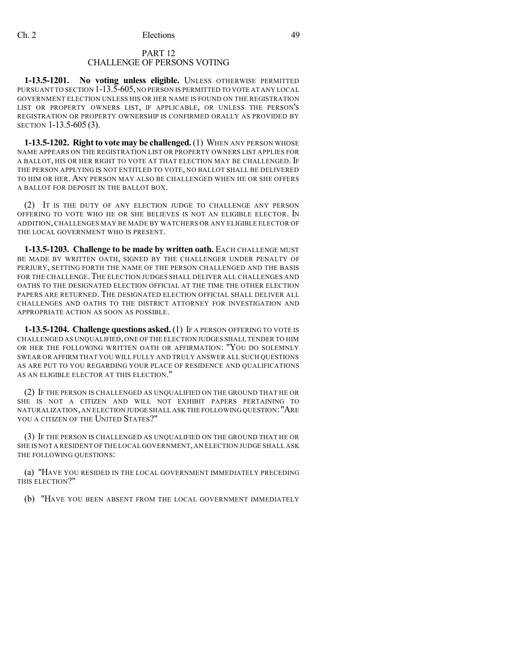## PART 12 CHALLENGE OF PERSONS VOTING

**1-13.5-1201. No voting unless eligible.** UNLESS OTHERWISE PERMITTED PURSUANT TO SECTION 1-13.5-605,NO PERSON IS PERMITTED TO VOTE AT ANY LOCAL GOVERNMENT ELECTION UNLESS HIS OR HER NAME IS FOUND ON THE REGISTRATION LIST OR PROPERTY OWNERS LIST, IF APPLICABLE, OR UNLESS THE PERSON'S REGISTRATION OR PROPERTY OWNERSHIP IS CONFIRMED ORALLY AS PROVIDED BY SECTION 1-13.5-605 (3).

**1-13.5-1202. Right to vote may be challenged.** (1) WHEN ANY PERSON WHOSE NAME APPEARS ON THE REGISTRATION LIST OR PROPERTY OWNERS LIST APPLIES FOR A BALLOT, HIS OR HER RIGHT TO VOTE AT THAT ELECTION MAY BE CHALLENGED. IF THE PERSON APPLYING IS NOT ENTITLED TO VOTE, NO BALLOT SHALL BE DELIVERED TO HIM OR HER. ANY PERSON MAY ALSO BE CHALLENGED WHEN HE OR SHE OFFERS A BALLOT FOR DEPOSIT IN THE BALLOT BOX.

(2) IT IS THE DUTY OF ANY ELECTION JUDGE TO CHALLENGE ANY PERSON OFFERING TO VOTE WHO HE OR SHE BELIEVES IS NOT AN ELIGIBLE ELECTOR. IN ADDITION, CHALLENGES MAY BE MADE BY WATCHERS OR ANY ELIGIBLE ELECTOR OF THE LOCAL GOVERNMENT WHO IS PRESENT.

**1-13.5-1203. Challenge to be made by written oath.** EACH CHALLENGE MUST BE MADE BY WRITTEN OATH, SIGNED BY THE CHALLENGER UNDER PENALTY OF PERJURY, SETTING FORTH THE NAME OF THE PERSON CHALLENGED AND THE BASIS FOR THE CHALLENGE. THE ELECTION JUDGES SHALL DELIVER ALL CHALLENGES AND OATHS TO THE DESIGNATED ELECTION OFFICIAL AT THE TIME THE OTHER ELECTION PAPERS ARE RETURNED. THE DESIGNATED ELECTION OFFICIAL SHALL DELIVER ALL CHALLENGES AND OATHS TO THE DISTRICT ATTORNEY FOR INVESTIGATION AND APPROPRIATE ACTION AS SOON AS POSSIBLE.

**1-13.5-1204. Challenge questions asked.** (1) IF A PERSON OFFERING TO VOTE IS CHALLENGED AS UNQUALIFIED,ONE OF THE ELECTION JUDGES SHALL TENDER TO HIM OR HER THE FOLLOWING WRITTEN OATH OR AFFIRMATION: "YOU DO SOLEMNLY SWEAR OR AFFIRM THAT YOU WILL FULLY AND TRULY ANSWER ALL SUCH QUESTIONS AS ARE PUT TO YOU REGARDING YOUR PLACE OF RESIDENCE AND QUALIFICATIONS AS AN ELIGIBLE ELECTOR AT THIS ELECTION."

(2) IF THE PERSON IS CHALLENGED AS UNQUALIFIED ON THE GROUND THAT HE OR SHE IS NOT A CITIZEN AND WILL NOT EXHIBIT PAPERS PERTAINING TO NATURALIZATION,AN ELECTION JUDGE SHALL ASK THE FOLLOWING QUESTION:"ARE YOU A CITIZEN OF THE UNITED STATES?"

(3) IF THE PERSON IS CHALLENGED AS UNQUALIFIED ON THE GROUND THAT HE OR SHE IS NOT A RESIDENT OF THE LOCAL GOVERNMENT,AN ELECTION JUDGE SHALL ASK THE FOLLOWING QUESTIONS:

(a) "HAVE YOU RESIDED IN THE LOCAL GOVERNMENT IMMEDIATELY PRECEDING THIS ELECTION?"

(b) "HAVE YOU BEEN ABSENT FROM THE LOCAL GOVERNMENT IMMEDIATELY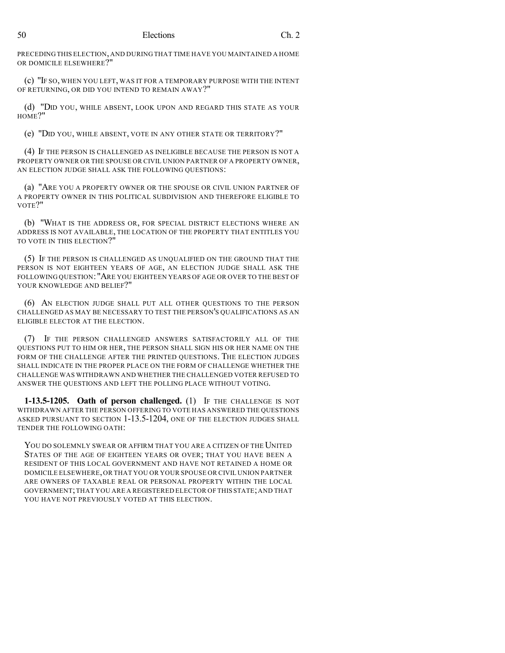PRECEDING THIS ELECTION, AND DURING THAT TIME HAVE YOU MAINTAINED A HOME OR DOMICILE ELSEWHERE?"

(c) "IF SO, WHEN YOU LEFT, WAS IT FOR A TEMPORARY PURPOSE WITH THE INTENT OF RETURNING, OR DID YOU INTEND TO REMAIN AWAY?"

(d) "DID YOU, WHILE ABSENT, LOOK UPON AND REGARD THIS STATE AS YOUR HOME?"

(e) "DID YOU, WHILE ABSENT, VOTE IN ANY OTHER STATE OR TERRITORY?"

(4) IF THE PERSON IS CHALLENGED AS INELIGIBLE BECAUSE THE PERSON IS NOT A PROPERTY OWNER OR THE SPOUSE OR CIVIL UNION PARTNER OF A PROPERTY OWNER, AN ELECTION JUDGE SHALL ASK THE FOLLOWING QUESTIONS:

(a) "ARE YOU A PROPERTY OWNER OR THE SPOUSE OR CIVIL UNION PARTNER OF A PROPERTY OWNER IN THIS POLITICAL SUBDIVISION AND THEREFORE ELIGIBLE TO VOTE?"

(b) "WHAT IS THE ADDRESS OR, FOR SPECIAL DISTRICT ELECTIONS WHERE AN ADDRESS IS NOT AVAILABLE, THE LOCATION OF THE PROPERTY THAT ENTITLES YOU TO VOTE IN THIS ELECTION?"

(5) IF THE PERSON IS CHALLENGED AS UNQUALIFIED ON THE GROUND THAT THE PERSON IS NOT EIGHTEEN YEARS OF AGE, AN ELECTION JUDGE SHALL ASK THE FOLLOWING QUESTION: "ARE YOU EIGHTEEN YEARS OF AGE OR OVER TO THE BEST OF YOUR KNOWLEDGE AND BELIEF?"

(6) AN ELECTION JUDGE SHALL PUT ALL OTHER QUESTIONS TO THE PERSON CHALLENGED AS MAY BE NECESSARY TO TEST THE PERSON'S QUALIFICATIONS AS AN ELIGIBLE ELECTOR AT THE ELECTION.

(7) IF THE PERSON CHALLENGED ANSWERS SATISFACTORILY ALL OF THE QUESTIONS PUT TO HIM OR HER, THE PERSON SHALL SIGN HIS OR HER NAME ON THE FORM OF THE CHALLENGE AFTER THE PRINTED QUESTIONS. THE ELECTION JUDGES SHALL INDICATE IN THE PROPER PLACE ON THE FORM OF CHALLENGE WHETHER THE CHALLENGE WAS WITHDRAWN AND WHETHER THE CHALLENGED VOTER REFUSED TO ANSWER THE QUESTIONS AND LEFT THE POLLING PLACE WITHOUT VOTING.

**1-13.5-1205. Oath of person challenged.** (1) IF THE CHALLENGE IS NOT WITHDRAWN AFTER THE PERSON OFFERING TO VOTE HAS ANSWERED THE QUESTIONS ASKED PURSUANT TO SECTION 1-13.5-1204, ONE OF THE ELECTION JUDGES SHALL TENDER THE FOLLOWING OATH:

YOU DO SOLEMNLY SWEAR OR AFFIRM THAT YOU ARE A CITIZEN OF THE UNITED STATES OF THE AGE OF EIGHTEEN YEARS OR OVER; THAT YOU HAVE BEEN A RESIDENT OF THIS LOCAL GOVERNMENT AND HAVE NOT RETAINED A HOME OR DOMICILE ELSEWHERE,OR THAT YOU OR YOUR SPOUSE OR CIVIL UNION PARTNER ARE OWNERS OF TAXABLE REAL OR PERSONAL PROPERTY WITHIN THE LOCAL GOVERNMENT;THAT YOU ARE A REGISTERED ELECTOR OF THIS STATE;AND THAT YOU HAVE NOT PREVIOUSLY VOTED AT THIS ELECTION.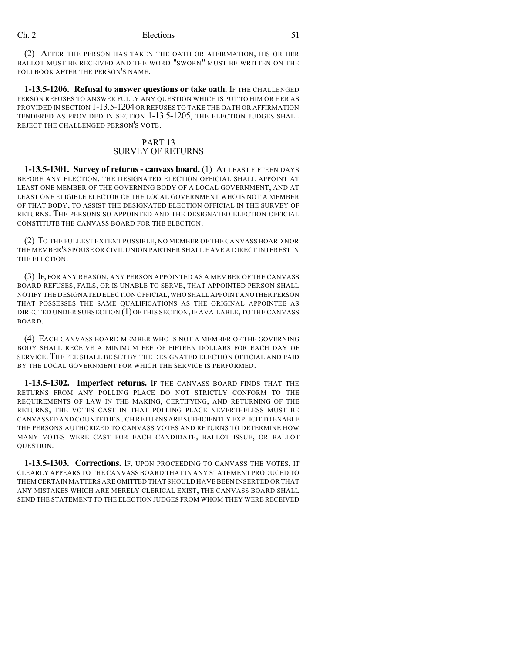(2) AFTER THE PERSON HAS TAKEN THE OATH OR AFFIRMATION, HIS OR HER BALLOT MUST BE RECEIVED AND THE WORD "SWORN" MUST BE WRITTEN ON THE POLLBOOK AFTER THE PERSON'S NAME.

**1-13.5-1206. Refusal to answer questions or take oath.** If THE CHALLENGED PERSON REFUSES TO ANSWER FULLY ANY QUESTION WHICH IS PUT TO HIM OR HER AS PROVIDED IN SECTION 1-13.5-1204OR REFUSES TO TAKE THE OATH OR AFFIRMATION TENDERED AS PROVIDED IN SECTION 1-13.5-1205, THE ELECTION JUDGES SHALL REJECT THE CHALLENGED PERSON'S VOTE.

## PART 13 SURVEY OF RETURNS

**1-13.5-1301. Survey of returns - canvass board.** (1) AT LEAST FIFTEEN DAYS BEFORE ANY ELECTION, THE DESIGNATED ELECTION OFFICIAL SHALL APPOINT AT LEAST ONE MEMBER OF THE GOVERNING BODY OF A LOCAL GOVERNMENT, AND AT LEAST ONE ELIGIBLE ELECTOR OF THE LOCAL GOVERNMENT WHO IS NOT A MEMBER OF THAT BODY, TO ASSIST THE DESIGNATED ELECTION OFFICIAL IN THE SURVEY OF RETURNS. THE PERSONS SO APPOINTED AND THE DESIGNATED ELECTION OFFICIAL CONSTITUTE THE CANVASS BOARD FOR THE ELECTION.

(2) TO THE FULLEST EXTENT POSSIBLE, NO MEMBER OF THE CANVASS BOARD NOR THE MEMBER'S SPOUSE OR CIVIL UNION PARTNER SHALL HAVE A DIRECT INTEREST IN THE ELECTION.

(3) IF, FOR ANY REASON, ANY PERSON APPOINTED AS A MEMBER OF THE CANVASS BOARD REFUSES, FAILS, OR IS UNABLE TO SERVE, THAT APPOINTED PERSON SHALL NOTIFY THE DESIGNATED ELECTION OFFICIAL,WHO SHALL APPOINT ANOTHER PERSON THAT POSSESSES THE SAME QUALIFICATIONS AS THE ORIGINAL APPOINTEE AS DIRECTED UNDER SUBSECTION (1) OF THIS SECTION, IF AVAILABLE, TO THE CANVASS BOARD.

(4) EACH CANVASS BOARD MEMBER WHO IS NOT A MEMBER OF THE GOVERNING BODY SHALL RECEIVE A MINIMUM FEE OF FIFTEEN DOLLARS FOR EACH DAY OF SERVICE. THE FEE SHALL BE SET BY THE DESIGNATED ELECTION OFFICIAL AND PAID BY THE LOCAL GOVERNMENT FOR WHICH THE SERVICE IS PERFORMED.

**1-13.5-1302. Imperfect returns.** IF THE CANVASS BOARD FINDS THAT THE RETURNS FROM ANY POLLING PLACE DO NOT STRICTLY CONFORM TO THE REQUIREMENTS OF LAW IN THE MAKING, CERTIFYING, AND RETURNING OF THE RETURNS, THE VOTES CAST IN THAT POLLING PLACE NEVERTHELESS MUST BE CANVASSED AND COUNTED IF SUCH RETURNS ARE SUFFICIENTLY EXPLICIT TO ENABLE THE PERSONS AUTHORIZED TO CANVASS VOTES AND RETURNS TO DETERMINE HOW MANY VOTES WERE CAST FOR EACH CANDIDATE, BALLOT ISSUE, OR BALLOT QUESTION.

**1-13.5-1303. Corrections.** IF, UPON PROCEEDING TO CANVASS THE VOTES, IT CLEARLY APPEARS TO THE CANVASS BOARD THAT IN ANY STATEMENT PRODUCED TO THEM CERTAIN MATTERS ARE OMITTED THAT SHOULD HAVE BEEN INSERTED OR THAT ANY MISTAKES WHICH ARE MERELY CLERICAL EXIST, THE CANVASS BOARD SHALL SEND THE STATEMENT TO THE ELECTION JUDGES FROM WHOM THEY WERE RECEIVED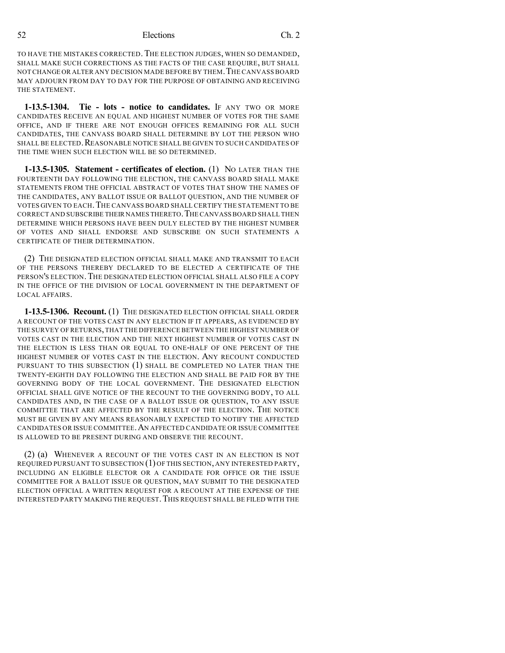TO HAVE THE MISTAKES CORRECTED. THE ELECTION JUDGES, WHEN SO DEMANDED, SHALL MAKE SUCH CORRECTIONS AS THE FACTS OF THE CASE REQUIRE, BUT SHALL NOT CHANGE OR ALTER ANY DECISION MADE BEFORE BY THEM.THE CANVASS BOARD MAY ADJOURN FROM DAY TO DAY FOR THE PURPOSE OF OBTAINING AND RECEIVING THE STATEMENT.

**1-13.5-1304. Tie - lots - notice to candidates.** IF ANY TWO OR MORE CANDIDATES RECEIVE AN EQUAL AND HIGHEST NUMBER OF VOTES FOR THE SAME OFFICE, AND IF THERE ARE NOT ENOUGH OFFICES REMAINING FOR ALL SUCH CANDIDATES, THE CANVASS BOARD SHALL DETERMINE BY LOT THE PERSON WHO SHALL BE ELECTED. REASONABLE NOTICE SHALL BE GIVEN TO SUCH CANDIDATES OF THE TIME WHEN SUCH ELECTION WILL BE SO DETERMINED.

**1-13.5-1305. Statement - certificates of election.** (1) NO LATER THAN THE FOURTEENTH DAY FOLLOWING THE ELECTION, THE CANVASS BOARD SHALL MAKE STATEMENTS FROM THE OFFICIAL ABSTRACT OF VOTES THAT SHOW THE NAMES OF THE CANDIDATES, ANY BALLOT ISSUE OR BALLOT QUESTION, AND THE NUMBER OF VOTES GIVEN TO EACH.THE CANVASS BOARD SHALL CERTIFY THE STATEMENT TO BE CORRECT AND SUBSCRIBE THEIR NAMES THERETO. THE CANVASS BOARD SHALL THEN DETERMINE WHICH PERSONS HAVE BEEN DULY ELECTED BY THE HIGHEST NUMBER OF VOTES AND SHALL ENDORSE AND SUBSCRIBE ON SUCH STATEMENTS A CERTIFICATE OF THEIR DETERMINATION.

(2) THE DESIGNATED ELECTION OFFICIAL SHALL MAKE AND TRANSMIT TO EACH OF THE PERSONS THEREBY DECLARED TO BE ELECTED A CERTIFICATE OF THE PERSON'S ELECTION. THE DESIGNATED ELECTION OFFICIAL SHALL ALSO FILE A COPY IN THE OFFICE OF THE DIVISION OF LOCAL GOVERNMENT IN THE DEPARTMENT OF LOCAL AFFAIRS.

**1-13.5-1306. Recount.** (1) THE DESIGNATED ELECTION OFFICIAL SHALL ORDER A RECOUNT OF THE VOTES CAST IN ANY ELECTION IF IT APPEARS, AS EVIDENCED BY THE SURVEY OF RETURNS,THAT THE DIFFERENCE BETWEEN THE HIGHEST NUMBER OF VOTES CAST IN THE ELECTION AND THE NEXT HIGHEST NUMBER OF VOTES CAST IN THE ELECTION IS LESS THAN OR EQUAL TO ONE-HALF OF ONE PERCENT OF THE HIGHEST NUMBER OF VOTES CAST IN THE ELECTION. ANY RECOUNT CONDUCTED PURSUANT TO THIS SUBSECTION (1) SHALL BE COMPLETED NO LATER THAN THE TWENTY-EIGHTH DAY FOLLOWING THE ELECTION AND SHALL BE PAID FOR BY THE GOVERNING BODY OF THE LOCAL GOVERNMENT. THE DESIGNATED ELECTION OFFICIAL SHALL GIVE NOTICE OF THE RECOUNT TO THE GOVERNING BODY, TO ALL CANDIDATES AND, IN THE CASE OF A BALLOT ISSUE OR QUESTION, TO ANY ISSUE COMMITTEE THAT ARE AFFECTED BY THE RESULT OF THE ELECTION. THE NOTICE MUST BE GIVEN BY ANY MEANS REASONABLY EXPECTED TO NOTIFY THE AFFECTED CANDIDATES OR ISSUE COMMITTEE.AN AFFECTED CANDIDATE OR ISSUE COMMITTEE IS ALLOWED TO BE PRESENT DURING AND OBSERVE THE RECOUNT.

(2) (a) WHENEVER A RECOUNT OF THE VOTES CAST IN AN ELECTION IS NOT REQUIRED PURSUANT TO SUBSECTION (1) OF THIS SECTION, ANY INTERESTED PARTY, INCLUDING AN ELIGIBLE ELECTOR OR A CANDIDATE FOR OFFICE OR THE ISSUE COMMITTEE FOR A BALLOT ISSUE OR QUESTION, MAY SUBMIT TO THE DESIGNATED ELECTION OFFICIAL A WRITTEN REQUEST FOR A RECOUNT AT THE EXPENSE OF THE INTERESTED PARTY MAKING THE REQUEST.THIS REQUEST SHALL BE FILED WITH THE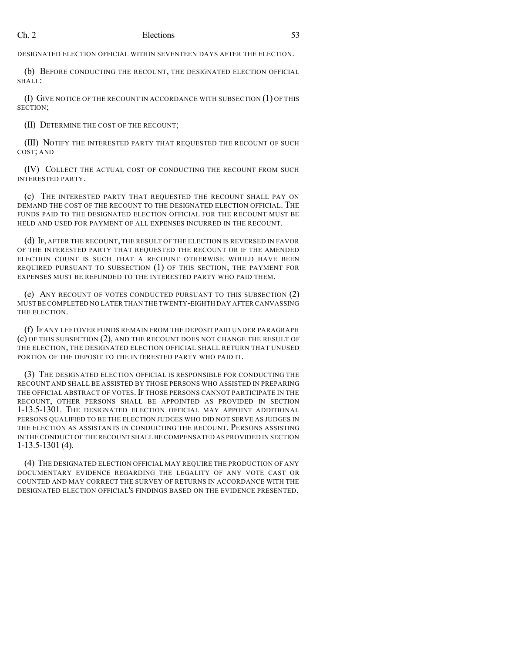DESIGNATED ELECTION OFFICIAL WITHIN SEVENTEEN DAYS AFTER THE ELECTION.

(b) BEFORE CONDUCTING THE RECOUNT, THE DESIGNATED ELECTION OFFICIAL SHALL:

(I) GIVE NOTICE OF THE RECOUNT IN ACCORDANCE WITH SUBSECTION (1) OF THIS SECTION;

(II) DETERMINE THE COST OF THE RECOUNT;

(III) NOTIFY THE INTERESTED PARTY THAT REQUESTED THE RECOUNT OF SUCH COST; AND

(IV) COLLECT THE ACTUAL COST OF CONDUCTING THE RECOUNT FROM SUCH INTERESTED PARTY.

(c) THE INTERESTED PARTY THAT REQUESTED THE RECOUNT SHALL PAY ON DEMAND THE COST OF THE RECOUNT TO THE DESIGNATED ELECTION OFFICIAL. THE FUNDS PAID TO THE DESIGNATED ELECTION OFFICIAL FOR THE RECOUNT MUST BE HELD AND USED FOR PAYMENT OF ALL EXPENSES INCURRED IN THE RECOUNT.

(d) IF, AFTER THE RECOUNT, THE RESULT OF THE ELECTION IS REVERSED IN FAVOR OF THE INTERESTED PARTY THAT REQUESTED THE RECOUNT OR IF THE AMENDED ELECTION COUNT IS SUCH THAT A RECOUNT OTHERWISE WOULD HAVE BEEN REQUIRED PURSUANT TO SUBSECTION (1) OF THIS SECTION, THE PAYMENT FOR EXPENSES MUST BE REFUNDED TO THE INTERESTED PARTY WHO PAID THEM.

(e) ANY RECOUNT OF VOTES CONDUCTED PURSUANT TO THIS SUBSECTION (2) MUST BE COMPLETED NO LATER THAN THE TWENTY-EIGHTH DAY AFTER CANVASSING THE ELECTION.

(f) IF ANY LEFTOVER FUNDS REMAIN FROM THE DEPOSIT PAID UNDER PARAGRAPH (c) OF THIS SUBSECTION (2), AND THE RECOUNT DOES NOT CHANGE THE RESULT OF THE ELECTION, THE DESIGNATED ELECTION OFFICIAL SHALL RETURN THAT UNUSED PORTION OF THE DEPOSIT TO THE INTERESTED PARTY WHO PAID IT.

(3) THE DESIGNATED ELECTION OFFICIAL IS RESPONSIBLE FOR CONDUCTING THE RECOUNT AND SHALL BE ASSISTED BY THOSE PERSONS WHO ASSISTED IN PREPARING THE OFFICIAL ABSTRACT OF VOTES. IF THOSE PERSONS CANNOT PARTICIPATE IN THE RECOUNT, OTHER PERSONS SHALL BE APPOINTED AS PROVIDED IN SECTION 1-13.5-1301. THE DESIGNATED ELECTION OFFICIAL MAY APPOINT ADDITIONAL PERSONS QUALIFIED TO BE THE ELECTION JUDGES WHO DID NOT SERVE AS JUDGES IN THE ELECTION AS ASSISTANTS IN CONDUCTING THE RECOUNT. PERSONS ASSISTING IN THE CONDUCT OFTHE RECOUNT SHALL BE COMPENSATED AS PROVIDED IN SECTION 1-13.5-1301 (4).

(4) THE DESIGNATED ELECTION OFFICIAL MAY REQUIRE THE PRODUCTION OF ANY DOCUMENTARY EVIDENCE REGARDING THE LEGALITY OF ANY VOTE CAST OR COUNTED AND MAY CORRECT THE SURVEY OF RETURNS IN ACCORDANCE WITH THE DESIGNATED ELECTION OFFICIAL'S FINDINGS BASED ON THE EVIDENCE PRESENTED.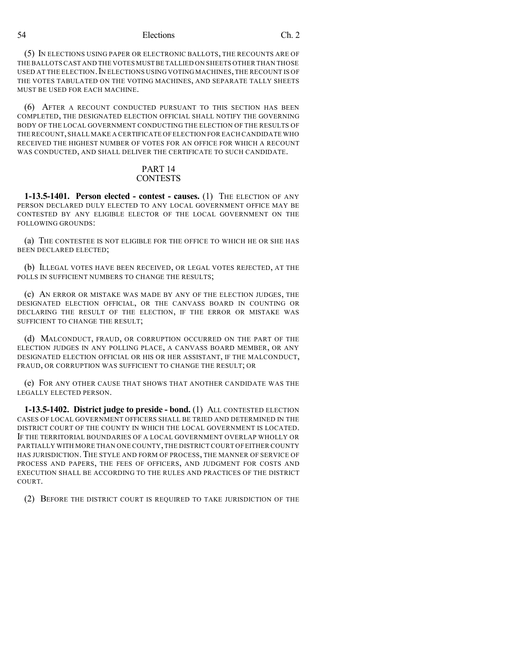(5) IN ELECTIONS USING PAPER OR ELECTRONIC BALLOTS, THE RECOUNTS ARE OF THE BALLOTS CAST AND THE VOTES MUST BE TALLIED ON SHEETS OTHER THAN THOSE USED AT THE ELECTION. IN ELECTIONS USING VOTING MACHINES, THE RECOUNT IS OF THE VOTES TABULATED ON THE VOTING MACHINES, AND SEPARATE TALLY SHEETS MUST BE USED FOR EACH MACHINE.

(6) AFTER A RECOUNT CONDUCTED PURSUANT TO THIS SECTION HAS BEEN COMPLETED, THE DESIGNATED ELECTION OFFICIAL SHALL NOTIFY THE GOVERNING BODY OF THE LOCAL GOVERNMENT CONDUCTING THE ELECTION OF THE RESULTS OF THE RECOUNT,SHALL MAKE A CERTIFICATE OF ELECTION FOR EACH CANDIDATE WHO RECEIVED THE HIGHEST NUMBER OF VOTES FOR AN OFFICE FOR WHICH A RECOUNT WAS CONDUCTED, AND SHALL DELIVER THE CERTIFICATE TO SUCH CANDIDATE.

#### PART 14 **CONTESTS**

**1-13.5-1401. Person elected - contest - causes.** (1) THE ELECTION OF ANY PERSON DECLARED DULY ELECTED TO ANY LOCAL GOVERNMENT OFFICE MAY BE CONTESTED BY ANY ELIGIBLE ELECTOR OF THE LOCAL GOVERNMENT ON THE FOLLOWING GROUNDS:

(a) THE CONTESTEE IS NOT ELIGIBLE FOR THE OFFICE TO WHICH HE OR SHE HAS BEEN DECLARED ELECTED;

(b) ILLEGAL VOTES HAVE BEEN RECEIVED, OR LEGAL VOTES REJECTED, AT THE POLLS IN SUFFICIENT NUMBERS TO CHANGE THE RESULTS;

(c) AN ERROR OR MISTAKE WAS MADE BY ANY OF THE ELECTION JUDGES, THE DESIGNATED ELECTION OFFICIAL, OR THE CANVASS BOARD IN COUNTING OR DECLARING THE RESULT OF THE ELECTION, IF THE ERROR OR MISTAKE WAS SUFFICIENT TO CHANGE THE RESULT;

(d) MALCONDUCT, FRAUD, OR CORRUPTION OCCURRED ON THE PART OF THE ELECTION JUDGES IN ANY POLLING PLACE, A CANVASS BOARD MEMBER, OR ANY DESIGNATED ELECTION OFFICIAL OR HIS OR HER ASSISTANT, IF THE MALCONDUCT, FRAUD, OR CORRUPTION WAS SUFFICIENT TO CHANGE THE RESULT; OR

(e) FOR ANY OTHER CAUSE THAT SHOWS THAT ANOTHER CANDIDATE WAS THE LEGALLY ELECTED PERSON.

**1-13.5-1402. District judge to preside - bond.** (1) ALL CONTESTED ELECTION CASES OF LOCAL GOVERNMENT OFFICERS SHALL BE TRIED AND DETERMINED IN THE DISTRICT COURT OF THE COUNTY IN WHICH THE LOCAL GOVERNMENT IS LOCATED. IF THE TERRITORIAL BOUNDARIES OF A LOCAL GOVERNMENT OVERLAP WHOLLY OR PARTIALLY WITH MORE THAN ONE COUNTY,THE DISTRICT COURT OF EITHER COUNTY HAS JURISDICTION. THE STYLE AND FORM OF PROCESS, THE MANNER OF SERVICE OF PROCESS AND PAPERS, THE FEES OF OFFICERS, AND JUDGMENT FOR COSTS AND EXECUTION SHALL BE ACCORDING TO THE RULES AND PRACTICES OF THE DISTRICT COURT.

(2) BEFORE THE DISTRICT COURT IS REQUIRED TO TAKE JURISDICTION OF THE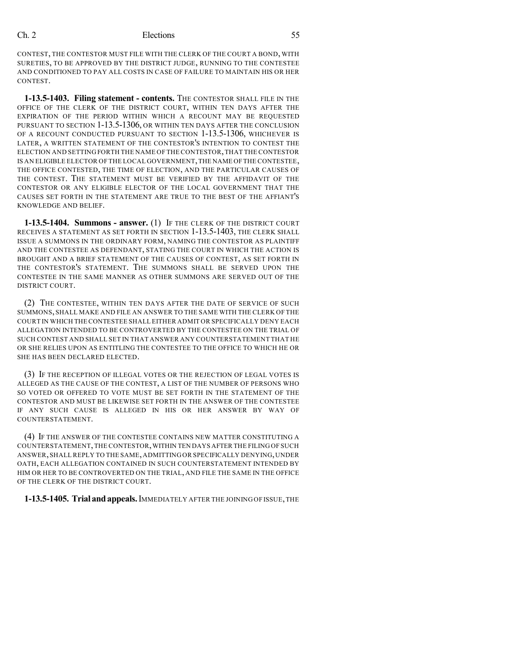CONTEST, THE CONTESTOR MUST FILE WITH THE CLERK OF THE COURT A BOND, WITH SURETIES, TO BE APPROVED BY THE DISTRICT JUDGE, RUNNING TO THE CONTESTEE AND CONDITIONED TO PAY ALL COSTS IN CASE OF FAILURE TO MAINTAIN HIS OR HER CONTEST.

**1-13.5-1403. Filing statement - contents.** THE CONTESTOR SHALL FILE IN THE OFFICE OF THE CLERK OF THE DISTRICT COURT, WITHIN TEN DAYS AFTER THE EXPIRATION OF THE PERIOD WITHIN WHICH A RECOUNT MAY BE REQUESTED PURSUANT TO SECTION 1-13.5-1306, OR WITHIN TEN DAYS AFTER THE CONCLUSION OF A RECOUNT CONDUCTED PURSUANT TO SECTION 1-13.5-1306, WHICHEVER IS LATER, A WRITTEN STATEMENT OF THE CONTESTOR'S INTENTION TO CONTEST THE ELECTION AND SETTING FORTH THE NAME OF THE CONTESTOR,THAT THE CONTESTOR IS AN ELIGIBLE ELECTOR OF THE LOCAL GOVERNMENT,THE NAME OFTHE CONTESTEE, THE OFFICE CONTESTED, THE TIME OF ELECTION, AND THE PARTICULAR CAUSES OF THE CONTEST. THE STATEMENT MUST BE VERIFIED BY THE AFFIDAVIT OF THE CONTESTOR OR ANY ELIGIBLE ELECTOR OF THE LOCAL GOVERNMENT THAT THE CAUSES SET FORTH IN THE STATEMENT ARE TRUE TO THE BEST OF THE AFFIANT'S KNOWLEDGE AND BELIEF.

**1-13.5-1404. Summons - answer.** (1) IF THE CLERK OF THE DISTRICT COURT RECEIVES A STATEMENT AS SET FORTH IN SECTION 1-13.5-1403, THE CLERK SHALL ISSUE A SUMMONS IN THE ORDINARY FORM, NAMING THE CONTESTOR AS PLAINTIFF AND THE CONTESTEE AS DEFENDANT, STATING THE COURT IN WHICH THE ACTION IS BROUGHT AND A BRIEF STATEMENT OF THE CAUSES OF CONTEST, AS SET FORTH IN THE CONTESTOR'S STATEMENT. THE SUMMONS SHALL BE SERVED UPON THE CONTESTEE IN THE SAME MANNER AS OTHER SUMMONS ARE SERVED OUT OF THE DISTRICT COURT.

(2) THE CONTESTEE, WITHIN TEN DAYS AFTER THE DATE OF SERVICE OF SUCH SUMMONS, SHALL MAKE AND FILE AN ANSWER TO THE SAME WITH THE CLERK OF THE COURT IN WHICH THE CONTESTEE SHALL EITHER ADMIT OR SPECIFICALLY DENY EACH ALLEGATION INTENDED TO BE CONTROVERTED BY THE CONTESTEE ON THE TRIAL OF SUCH CONTEST AND SHALL SET IN THAT ANSWER ANY COUNTERSTATEMENT THAT HE OR SHE RELIES UPON AS ENTITLING THE CONTESTEE TO THE OFFICE TO WHICH HE OR SHE HAS BEEN DECLARED ELECTED.

(3) IF THE RECEPTION OF ILLEGAL VOTES OR THE REJECTION OF LEGAL VOTES IS ALLEGED AS THE CAUSE OF THE CONTEST, A LIST OF THE NUMBER OF PERSONS WHO SO VOTED OR OFFERED TO VOTE MUST BE SET FORTH IN THE STATEMENT OF THE CONTESTOR AND MUST BE LIKEWISE SET FORTH IN THE ANSWER OF THE CONTESTEE IF ANY SUCH CAUSE IS ALLEGED IN HIS OR HER ANSWER BY WAY OF COUNTERSTATEMENT.

(4) IF THE ANSWER OF THE CONTESTEE CONTAINS NEW MATTER CONSTITUTING A COUNTERSTATEMENT,THE CONTESTOR,WITHIN TEN DAYS AFTER THE FILING OF SUCH ANSWER,SHALL REPLY TO THE SAME,ADMITTING OR SPECIFICALLY DENYING,UNDER OATH, EACH ALLEGATION CONTAINED IN SUCH COUNTERSTATEMENT INTENDED BY HIM OR HER TO BE CONTROVERTED ON THE TRIAL, AND FILE THE SAME IN THE OFFICE OF THE CLERK OF THE DISTRICT COURT.

**1-13.5-1405. Trial andappeals.**IMMEDIATELY AFTER THE JOINING OF ISSUE,THE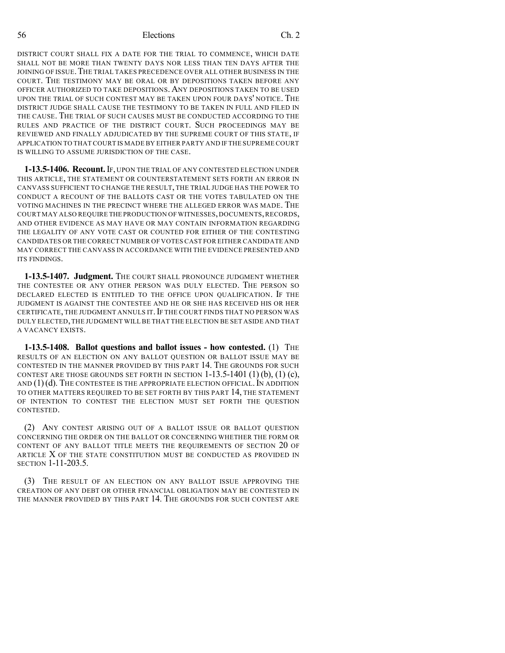DISTRICT COURT SHALL FIX A DATE FOR THE TRIAL TO COMMENCE, WHICH DATE SHALL NOT BE MORE THAN TWENTY DAYS NOR LESS THAN TEN DAYS AFTER THE JOINING OF ISSUE. THE TRIAL TAKES PRECEDENCE OVER ALL OTHER BUSINESS IN THE COURT. THE TESTIMONY MAY BE ORAL OR BY DEPOSITIONS TAKEN BEFORE ANY OFFICER AUTHORIZED TO TAKE DEPOSITIONS. ANY DEPOSITIONS TAKEN TO BE USED UPON THE TRIAL OF SUCH CONTEST MAY BE TAKEN UPON FOUR DAYS' NOTICE. THE DISTRICT JUDGE SHALL CAUSE THE TESTIMONY TO BE TAKEN IN FULL AND FILED IN THE CAUSE. THE TRIAL OF SUCH CAUSES MUST BE CONDUCTED ACCORDING TO THE RULES AND PRACTICE OF THE DISTRICT COURT. SUCH PROCEEDINGS MAY BE REVIEWED AND FINALLY ADJUDICATED BY THE SUPREME COURT OF THIS STATE, IF APPLICATION TO THAT COURT IS MADE BY EITHER PARTY AND IF THE SUPREME COURT IS WILLING TO ASSUME JURISDICTION OF THE CASE.

**1-13.5-1406. Recount.**IF, UPON THE TRIAL OF ANY CONTESTED ELECTION UNDER THIS ARTICLE, THE STATEMENT OR COUNTERSTATEMENT SETS FORTH AN ERROR IN CANVASS SUFFICIENT TO CHANGE THE RESULT, THE TRIAL JUDGE HAS THE POWER TO CONDUCT A RECOUNT OF THE BALLOTS CAST OR THE VOTES TABULATED ON THE VOTING MACHINES IN THE PRECINCT WHERE THE ALLEGED ERROR WAS MADE. THE COURT MAY ALSO REQUIRE THE PRODUCTION OF WITNESSES, DOCUMENTS, RECORDS, AND OTHER EVIDENCE AS MAY HAVE OR MAY CONTAIN INFORMATION REGARDING THE LEGALITY OF ANY VOTE CAST OR COUNTED FOR EITHER OF THE CONTESTING CANDIDATES OR THE CORRECT NUMBER OF VOTES CAST FOR EITHER CANDIDATE AND MAY CORRECT THE CANVASS IN ACCORDANCE WITH THE EVIDENCE PRESENTED AND ITS FINDINGS.

**1-13.5-1407. Judgment.** THE COURT SHALL PRONOUNCE JUDGMENT WHETHER THE CONTESTEE OR ANY OTHER PERSON WAS DULY ELECTED. THE PERSON SO DECLARED ELECTED IS ENTITLED TO THE OFFICE UPON QUALIFICATION. IF THE JUDGMENT IS AGAINST THE CONTESTEE AND HE OR SHE HAS RECEIVED HIS OR HER CERTIFICATE, THE JUDGMENT ANNULS IT. IF THE COURT FINDS THAT NO PERSON WAS DULY ELECTED,THE JUDGMENT WILL BE THAT THE ELECTION BE SET ASIDE AND THAT A VACANCY EXISTS.

**1-13.5-1408. Ballot questions and ballot issues - how contested.** (1) THE RESULTS OF AN ELECTION ON ANY BALLOT QUESTION OR BALLOT ISSUE MAY BE CONTESTED IN THE MANNER PROVIDED BY THIS PART 14. THE GROUNDS FOR SUCH CONTEST ARE THOSE GROUNDS SET FORTH IN SECTION  $1-13.5-1401$  (1) (b), (1) (c), AND  $(1)(d)$ . The contestee is the appropriate election official. In addition TO OTHER MATTERS REQUIRED TO BE SET FORTH BY THIS PART 14, THE STATEMENT OF INTENTION TO CONTEST THE ELECTION MUST SET FORTH THE QUESTION CONTESTED.

(2) ANY CONTEST ARISING OUT OF A BALLOT ISSUE OR BALLOT QUESTION CONCERNING THE ORDER ON THE BALLOT OR CONCERNING WHETHER THE FORM OR CONTENT OF ANY BALLOT TITLE MEETS THE REQUIREMENTS OF SECTION 20 OF ARTICLE X OF THE STATE CONSTITUTION MUST BE CONDUCTED AS PROVIDED IN SECTION 1-11-203.5.

(3) THE RESULT OF AN ELECTION ON ANY BALLOT ISSUE APPROVING THE CREATION OF ANY DEBT OR OTHER FINANCIAL OBLIGATION MAY BE CONTESTED IN THE MANNER PROVIDED BY THIS PART 14. THE GROUNDS FOR SUCH CONTEST ARE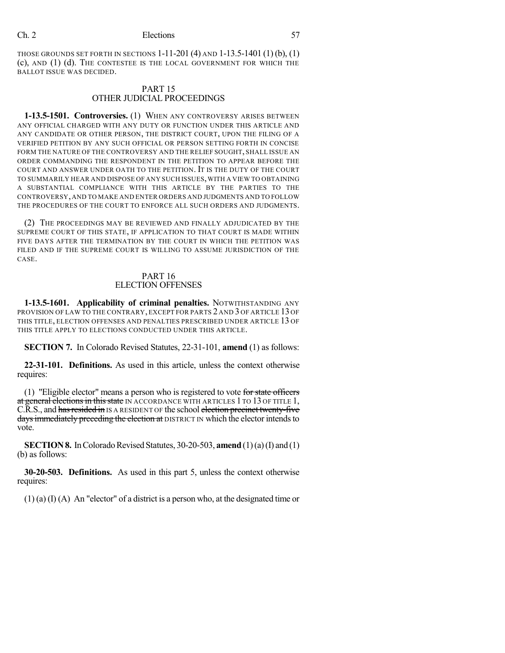THOSE GROUNDS SET FORTH IN SECTIONS 1-11-201 (4) AND 1-13.5-1401 (1) (b), (1) (c), AND (1) (d). THE CONTESTEE IS THE LOCAL GOVERNMENT FOR WHICH THE BALLOT ISSUE WAS DECIDED.

#### PART 15 OTHER JUDICIAL PROCEEDINGS

**1-13.5-1501. Controversies.** (1) WHEN ANY CONTROVERSY ARISES BETWEEN ANY OFFICIAL CHARGED WITH ANY DUTY OR FUNCTION UNDER THIS ARTICLE AND ANY CANDIDATE OR OTHER PERSON, THE DISTRICT COURT, UPON THE FILING OF A VERIFIED PETITION BY ANY SUCH OFFICIAL OR PERSON SETTING FORTH IN CONCISE FORM THE NATURE OF THE CONTROVERSY AND THE RELIEF SOUGHT, SHALL ISSUE AN ORDER COMMANDING THE RESPONDENT IN THE PETITION TO APPEAR BEFORE THE COURT AND ANSWER UNDER OATH TO THE PETITION. IT IS THE DUTY OF THE COURT TO SUMMARILY HEAR AND DISPOSE OF ANY SUCH ISSUES,WITH A VIEW TO OBTAINING A SUBSTANTIAL COMPLIANCE WITH THIS ARTICLE BY THE PARTIES TO THE CONTROVERSY,AND TO MAKE AND ENTER ORDERS AND JUDGMENTS AND TO FOLLOW THE PROCEDURES OF THE COURT TO ENFORCE ALL SUCH ORDERS AND JUDGMENTS.

(2) THE PROCEEDINGS MAY BE REVIEWED AND FINALLY ADJUDICATED BY THE SUPREME COURT OF THIS STATE, IF APPLICATION TO THAT COURT IS MADE WITHIN FIVE DAYS AFTER THE TERMINATION BY THE COURT IN WHICH THE PETITION WAS FILED AND IF THE SUPREME COURT IS WILLING TO ASSUME JURISDICTION OF THE CASE.

#### PART 16 ELECTION OFFENSES

**1-13.5-1601. Applicability of criminal penalties.** NOTWITHSTANDING ANY PROVISION OF LAW TO THE CONTRARY, EXCEPT FOR PARTS 2 AND 3 OF ARTICLE 13 OF THIS TITLE, ELECTION OFFENSES AND PENALTIES PRESCRIBED UNDER ARTICLE 13 OF THIS TITLE APPLY TO ELECTIONS CONDUCTED UNDER THIS ARTICLE.

**SECTION 7.** In Colorado Revised Statutes, 22-31-101, **amend** (1) as follows:

**22-31-101. Definitions.** As used in this article, unless the context otherwise requires:

(1) "Eligible elector" means a person who is registered to vote for state officers at general elections in this state IN ACCORDANCE WITH ARTICLES 1 TO 13 OF TITLE 1, C.R.S., and has resided in IS A RESIDENT OF the school election precinct twenty-five days immediately preceding the election at DISTRICT IN which the elector intends to vote.

**SECTION 8.** In Colorado Revised Statutes, 30-20-503, **amend** (1)(a)(I) and (1) (b) as follows:

**30-20-503. Definitions.** As used in this part 5, unless the context otherwise requires:

(1) (a) (I) (A) An "elector" of a district is a person who, at the designated time or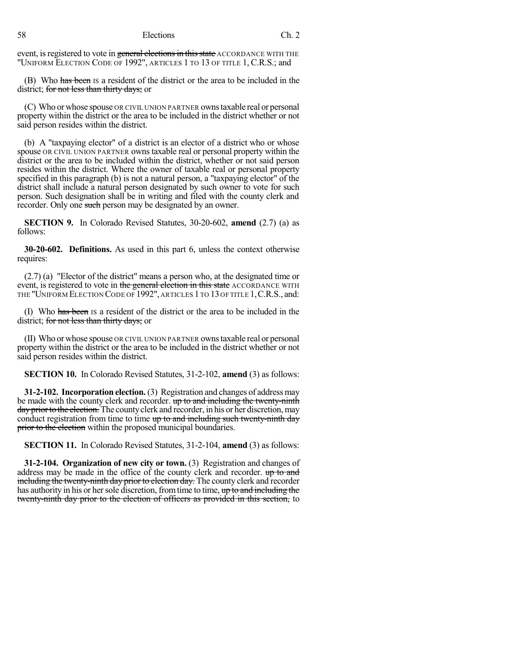event, is registered to vote in general elections in this state ACCORDANCE WITH THE "UNIFORM ELECTION CODE OF 1992", ARTICLES 1 TO 13 OF TITLE 1, C.R.S.; and

(B) Who has been IS a resident of the district or the area to be included in the district; for not less than thirty days; or

(C) Who or whose spouse OR CIVIL UNION PARTNER ownstaxable real or personal property within the district or the area to be included in the district whether or not said person resides within the district.

(b) A "taxpaying elector" of a district is an elector of a district who or whose spouse OR CIVIL UNION PARTNER owns taxable real or personal property within the district or the area to be included within the district, whether or not said person resides within the district. Where the owner of taxable real or personal property specified in this paragraph (b) is not a natural person, a "taxpaying elector" of the district shall include a natural person designated by such owner to vote for such person. Such designation shall be in writing and filed with the county clerk and recorder. Only one such person may be designated by an owner.

**SECTION 9.** In Colorado Revised Statutes, 30-20-602, **amend** (2.7) (a) as follows:

**30-20-602. Definitions.** As used in this part 6, unless the context otherwise requires:

(2.7) (a) "Elector of the district" means a person who, at the designated time or event, is registered to vote in the general election in this state ACCORDANCE WITH THE "UNIFORM ELECTION CODE OF 1992", ARTICLES 1 TO 13 OF TITLE 1,C.R.S., and:

(I) Who has been IS a resident of the district or the area to be included in the district; for not less than thirty days; or

(II) Who or whose spouse OR CIVIL UNION PARTNER ownstaxable real or personal property within the district or the area to be included in the district whether or not said person resides within the district.

**SECTION 10.** In Colorado Revised Statutes, 31-2-102, **amend** (3) as follows:

**31-2-102. Incorporation election.** (3) Registration and changes of addressmay be made with the county clerk and recorder. up to and including the twenty-ninth day prior to the election. The county clerk and recorder, in his or her discretion, may conduct registration from time to time up to and including such twenty-ninth day prior to the election within the proposed municipal boundaries.

**SECTION 11.** In Colorado Revised Statutes, 31-2-104, **amend** (3) as follows:

**31-2-104. Organization of new city or town.** (3) Registration and changes of address may be made in the office of the county clerk and recorder.  $\theta$  to and including the twenty-ninth day prior to election day. The county clerk and recorder has authority in his or her sole discretion, from time to time, up to and including the twenty-ninth day prior to the election of officers as provided in this section, to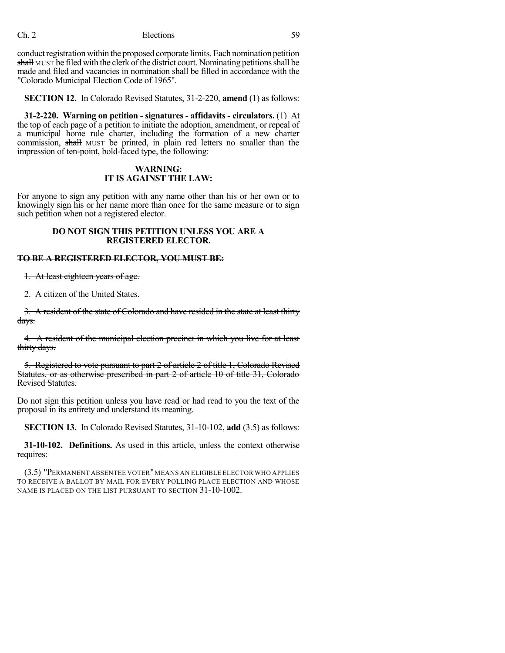conduct registration within the proposed corporate limits. Each nomination petition shall MUST be filed with the clerk of the district court. Nominating petitions shall be made and filed and vacancies in nomination shall be filled in accordance with the "Colorado Municipal Election Code of 1965".

**SECTION 12.** In Colorado Revised Statutes, 31-2-220, **amend** (1) as follows:

**31-2-220. Warning on petition - signatures - affidavits - circulators.** (1) At the top of each page of a petition to initiate the adoption, amendment, or repeal of a municipal home rule charter, including the formation of a new charter commission, shall MUST be printed, in plain red letters no smaller than the impression of ten-point, bold-faced type, the following:

#### **WARNING: IT IS AGAINST THE LAW:**

For anyone to sign any petition with any name other than his or her own or to knowingly sign his or her name more than once for the same measure or to sign such petition when not a registered elector.

## **DO NOT SIGN THIS PETITION UNLESS YOU ARE A REGISTERED ELECTOR.**

#### **TO BE A REGISTERED ELECTOR, YOU MUST BE:**

1. At least eighteen years of age.

2. A citizen of the United States.

3. A resident of the state of Colorado and have resided in the state at least thirty days.

4. A resident of the municipal election precinct in which you live for at least thirty days.

5. Registered to vote pursuant to part 2 of article 2 of title 1, Colorado Revised Statutes, or as otherwise prescribed in part 2 of article 10 of title 31, Colorado Revised Statutes.

Do not sign this petition unless you have read or had read to you the text of the proposal in its entirety and understand its meaning.

**SECTION 13.** In Colorado Revised Statutes, 31-10-102, **add** (3.5) as follows:

**31-10-102. Definitions.** As used in this article, unless the context otherwise requires:

(3.5) "PERMANENT ABSENTEE VOTER"MEANS AN ELIGIBLE ELECTOR WHO APPLIES TO RECEIVE A BALLOT BY MAIL FOR EVERY POLLING PLACE ELECTION AND WHOSE NAME IS PLACED ON THE LIST PURSUANT TO SECTION 31-10-1002.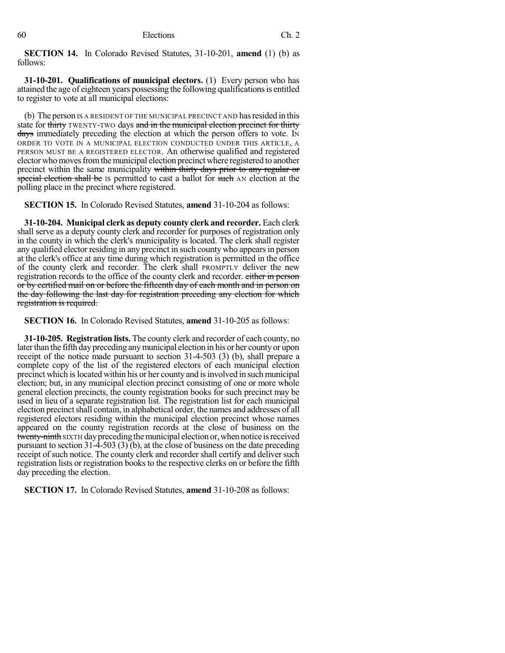**SECTION 14.** In Colorado Revised Statutes, 31-10-201, **amend** (1) (b) as follows:

**31-10-201. Qualifications of municipal electors.** (1) Every person who has attained the age of eighteen years possessing the following qualifications is entitled to register to vote at all municipal elections:

(b) The person IS A RESIDENT OF THE MUNICIPAL PRECINCT AND hasresided in this state for thirty TWENTY-TWO days and in the municipal election precinct for thirty days immediately preceding the election at which the person offers to vote. In ORDER TO VOTE IN A MUNICIPAL ELECTION CONDUCTED UNDER THIS ARTICLE, A PERSON MUST BE A REGISTERED ELECTOR. An otherwise qualified and registered elector whomovesfromthemunicipal election precinct where registered to another precinct within the same municipality within thirty days prior to any regular or special election shall be IS permitted to cast a ballot for such AN election at the polling place in the precinct where registered.

**SECTION 15.** In Colorado Revised Statutes, **amend** 31-10-204 as follows:

**31-10-204. Municipal clerk as deputy county clerk and recorder.** Each clerk shall serve as a deputy county clerk and recorder for purposes of registration only in the county in which the clerk's municipality is located. The clerk shall register any qualified elector residing in any precinct in such county who appearsin person at the clerk's office at any time during which registration is permitted in the office of the county clerk and recorder. The clerk shall PROMPTLY deliver the new registration records to the office of the county clerk and recorder. either in person or by certified mail on or before the fifteenth day of each month and in person on the day following the last day for registration preceding any election for which registration is required.

**SECTION 16.** In Colorado Revised Statutes, **amend** 31-10-205 as follows:

**31-10-205. Registration lists.** The county clerk and recorder of each county, no later than the fifth day preceding any municipal election in his or her county or upon receipt of the notice made pursuant to section 31-4-503 (3) (b), shall prepare a complete copy of the list of the registered electors of each municipal election precinct which islocated within his or her county and isinvolved in such municipal election; but, in any municipal election precinct consisting of one or more whole general election precincts, the county registration books for such precinct may be used in lieu of a separate registration list. The registration list for each municipal election precinct shall contain, in alphabetical order, the names and addresses of all registered electors residing within the municipal election precinct whose names appeared on the county registration records at the close of business on the twenty-ninth SIXTH day preceding the municipal election or, when notice is received pursuant to section 31-4-503 (3) (b), at the close of business on the date preceding receipt of such notice. The county clerk and recorder shall certify and deliver such registration lists or registration books to the respective clerks on or before the fifth day preceding the election.

**SECTION 17.** In Colorado Revised Statutes, **amend** 31-10-208 as follows: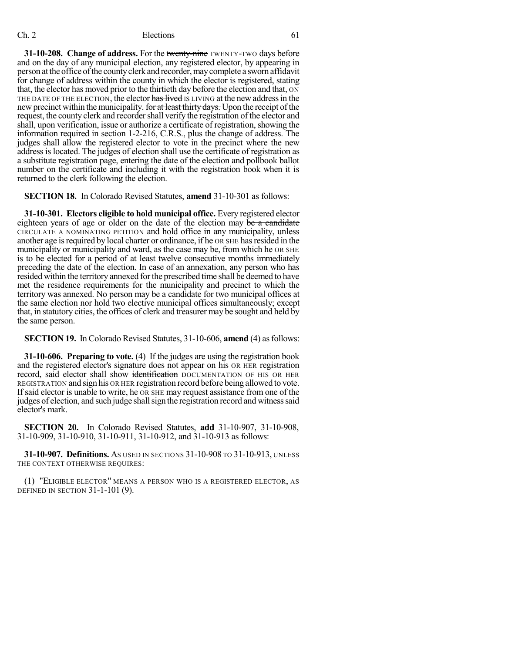**31-10-208. Change of address.** For the twenty-nine TWENTY-TWO days before and on the day of any municipal election, any registered elector, by appearing in person at the office of the county clerk and recorder, may complete a sworn affidavit for change of address within the county in which the elector is registered, stating that, the elector has moved prior to the thirtieth day before the election and that, ON THE DATE OF THE ELECTION, the elector has lived IS LIVING at the new address in the new precinct within the municipality. for at least thirty days. Upon the receipt of the request, the county clerk and recorder shall verify the registration of the elector and shall, upon verification, issue or authorize a certificate of registration, showing the information required in section 1-2-216, C.R.S., plus the change of address. The judges shall allow the registered elector to vote in the precinct where the new address is located. The judges of election shall use the certificate of registration as a substitute registration page, entering the date of the election and pollbook ballot number on the certificate and including it with the registration book when it is returned to the clerk following the election.

**SECTION 18.** In Colorado Revised Statutes, **amend** 31-10-301 as follows:

**31-10-301. Electors eligible to hold municipal office.** Every registered elector eighteen years of age or older on the date of the election may be a candidate CIRCULATE A NOMINATING PETITION and hold office in any municipality, unless another age is required by local charter or ordinance, if he OR SHE has resided in the municipality or municipality and ward, as the case may be, from which he OR SHE is to be elected for a period of at least twelve consecutive months immediately preceding the date of the election. In case of an annexation, any person who has resided within the territory annexed forthe prescribed time shall be deemed to have met the residence requirements for the municipality and precinct to which the territory was annexed. No person may be a candidate for two municipal offices at the same election nor hold two elective municipal offices simultaneously; except that, in statutory cities, the offices of clerk and treasurer may be sought and held by the same person.

**SECTION 19.** In Colorado Revised Statutes, 31-10-606, **amend** (4) as follows:

**31-10-606. Preparing to vote.** (4) If the judges are using the registration book and the registered elector's signature does not appear on his OR HER registration record, said elector shall show identification DOCUMENTATION OF HIS OR HER REGISTRATION and sign his OR HER registration record before being allowed to vote. If said elector is unable to write, he OR SHE may request assistance from one of the judges of election, and such judge shall sign the registration record and witness said elector's mark.

**SECTION 20.** In Colorado Revised Statutes, **add** 31-10-907, 31-10-908, 31-10-909, 31-10-910, 31-10-911, 31-10-912, and 31-10-913 as follows:

**31-10-907. Definitions.** AS USED IN SECTIONS 31-10-908 TO 31-10-913, UNLESS THE CONTEXT OTHERWISE REQUIRES:

(1) "ELIGIBLE ELECTOR" MEANS A PERSON WHO IS A REGISTERED ELECTOR, AS DEFINED IN SECTION 31-1-101 (9).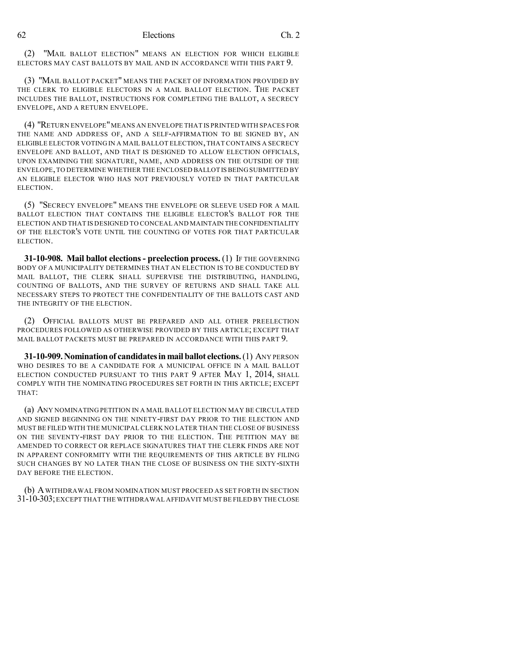(2) "MAIL BALLOT ELECTION" MEANS AN ELECTION FOR WHICH ELIGIBLE ELECTORS MAY CAST BALLOTS BY MAIL AND IN ACCORDANCE WITH THIS PART 9.

(3) "MAIL BALLOT PACKET" MEANS THE PACKET OF INFORMATION PROVIDED BY THE CLERK TO ELIGIBLE ELECTORS IN A MAIL BALLOT ELECTION. THE PACKET INCLUDES THE BALLOT, INSTRUCTIONS FOR COMPLETING THE BALLOT, A SECRECY ENVELOPE, AND A RETURN ENVELOPE.

(4) "RETURN ENVELOPE"MEANS AN ENVELOPE THAT IS PRINTED WITH SPACES FOR THE NAME AND ADDRESS OF, AND A SELF-AFFIRMATION TO BE SIGNED BY, AN ELIGIBLE ELECTOR VOTING IN A MAIL BALLOT ELECTION,THAT CONTAINS A SECRECY ENVELOPE AND BALLOT, AND THAT IS DESIGNED TO ALLOW ELECTION OFFICIALS, UPON EXAMINING THE SIGNATURE, NAME, AND ADDRESS ON THE OUTSIDE OF THE ENVELOPE,TO DETERMINE WHETHER THE ENCLOSED BALLOT ISBEINGSUBMITTED BY AN ELIGIBLE ELECTOR WHO HAS NOT PREVIOUSLY VOTED IN THAT PARTICULAR ELECTION.

(5) "SECRECY ENVELOPE" MEANS THE ENVELOPE OR SLEEVE USED FOR A MAIL BALLOT ELECTION THAT CONTAINS THE ELIGIBLE ELECTOR'S BALLOT FOR THE ELECTION AND THAT IS DESIGNED TO CONCEAL AND MAINTAIN THE CONFIDENTIALITY OF THE ELECTOR'S VOTE UNTIL THE COUNTING OF VOTES FOR THAT PARTICULAR ELECTION.

**31-10-908. Mail ballot elections - preelection process.** (1) IF THE GOVERNING BODY OF A MUNICIPALITY DETERMINES THAT AN ELECTION IS TO BE CONDUCTED BY MAIL BALLOT, THE CLERK SHALL SUPERVISE THE DISTRIBUTING, HANDLING, COUNTING OF BALLOTS, AND THE SURVEY OF RETURNS AND SHALL TAKE ALL NECESSARY STEPS TO PROTECT THE CONFIDENTIALITY OF THE BALLOTS CAST AND THE INTEGRITY OF THE ELECTION.

(2) OFFICIAL BALLOTS MUST BE PREPARED AND ALL OTHER PREELECTION PROCEDURES FOLLOWED AS OTHERWISE PROVIDED BY THIS ARTICLE; EXCEPT THAT MAIL BALLOT PACKETS MUST BE PREPARED IN ACCORDANCE WITH THIS PART 9.

**31-10-909.Nominationof candidatesinmailballot elections.**(1) ANY PERSON WHO DESIRES TO BE A CANDIDATE FOR A MUNICIPAL OFFICE IN A MAIL BALLOT ELECTION CONDUCTED PURSUANT TO THIS PART 9 AFTER MAY 1, 2014, SHALL COMPLY WITH THE NOMINATING PROCEDURES SET FORTH IN THIS ARTICLE; EXCEPT THAT:

(a) ANY NOMINATING PETITION IN A MAIL BALLOT ELECTION MAY BE CIRCULATED AND SIGNED BEGINNING ON THE NINETY-FIRST DAY PRIOR TO THE ELECTION AND MUST BE FILED WITH THE MUNICIPAL CLERK NO LATER THAN THE CLOSE OF BUSINESS ON THE SEVENTY-FIRST DAY PRIOR TO THE ELECTION. THE PETITION MAY BE AMENDED TO CORRECT OR REPLACE SIGNATURES THAT THE CLERK FINDS ARE NOT IN APPARENT CONFORMITY WITH THE REQUIREMENTS OF THIS ARTICLE BY FILING SUCH CHANGES BY NO LATER THAN THE CLOSE OF BUSINESS ON THE SIXTY-SIXTH DAY BEFORE THE ELECTION.

(b) AWITHDRAWAL FROM NOMINATION MUST PROCEED AS SET FORTH IN SECTION 31-10-303;EXCEPT THAT THE WITHDRAWAL AFFIDAVIT MUSTBE FILED BY THE CLOSE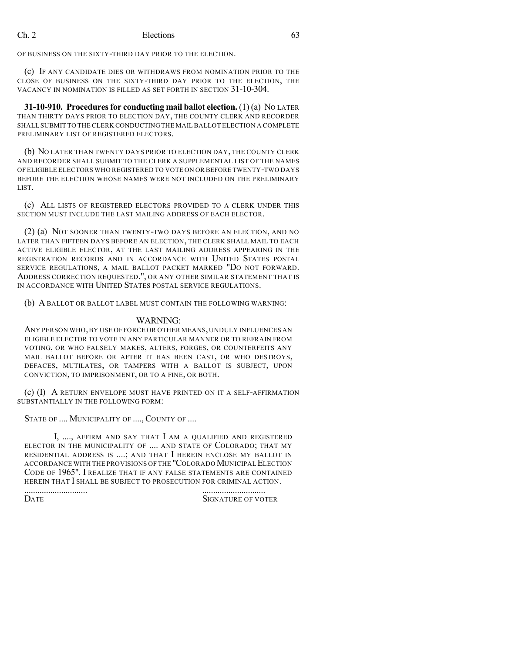OF BUSINESS ON THE SIXTY-THIRD DAY PRIOR TO THE ELECTION.

(c) IF ANY CANDIDATE DIES OR WITHDRAWS FROM NOMINATION PRIOR TO THE CLOSE OF BUSINESS ON THE SIXTY-THIRD DAY PRIOR TO THE ELECTION, THE VACANCY IN NOMINATION IS FILLED AS SET FORTH IN SECTION 31-10-304.

**31-10-910. Procedures for conducting mail ballot election. (1) (a) NO LATER** THAN THIRTY DAYS PRIOR TO ELECTION DAY, THE COUNTY CLERK AND RECORDER SHALL SUBMIT TO THE CLERK CONDUCTING THE MAIL BALLOT ELECTION A COMPLETE PRELIMINARY LIST OF REGISTERED ELECTORS.

(b) NO LATER THAN TWENTY DAYS PRIOR TO ELECTION DAY, THE COUNTY CLERK AND RECORDER SHALL SUBMIT TO THE CLERK A SUPPLEMENTAL LIST OF THE NAMES OF ELIGIBLE ELECTORS WHO REGISTERED TO VOTE ON OR BEFORE TWENTY-TWO DAYS BEFORE THE ELECTION WHOSE NAMES WERE NOT INCLUDED ON THE PRELIMINARY LIST.

(c) ALL LISTS OF REGISTERED ELECTORS PROVIDED TO A CLERK UNDER THIS SECTION MUST INCLUDE THE LAST MAILING ADDRESS OF EACH ELECTOR.

(2) (a) NOT SOONER THAN TWENTY-TWO DAYS BEFORE AN ELECTION, AND NO LATER THAN FIFTEEN DAYS BEFORE AN ELECTION, THE CLERK SHALL MAIL TO EACH ACTIVE ELIGIBLE ELECTOR, AT THE LAST MAILING ADDRESS APPEARING IN THE REGISTRATION RECORDS AND IN ACCORDANCE WITH UNITED STATES POSTAL SERVICE REGULATIONS, A MAIL BALLOT PACKET MARKED "DO NOT FORWARD. ADDRESS CORRECTION REQUESTED.", OR ANY OTHER SIMILAR STATEMENT THAT IS IN ACCORDANCE WITH UNITED STATES POSTAL SERVICE REGULATIONS.

(b) A BALLOT OR BALLOT LABEL MUST CONTAIN THE FOLLOWING WARNING:

#### WARNING:

ANY PERSON WHO,BY USE OF FORCE OR OTHER MEANS,UNDULY INFLUENCES AN ELIGIBLE ELECTOR TO VOTE IN ANY PARTICULAR MANNER OR TO REFRAIN FROM VOTING, OR WHO FALSELY MAKES, ALTERS, FORGES, OR COUNTERFEITS ANY MAIL BALLOT BEFORE OR AFTER IT HAS BEEN CAST, OR WHO DESTROYS, DEFACES, MUTILATES, OR TAMPERS WITH A BALLOT IS SUBJECT, UPON CONVICTION, TO IMPRISONMENT, OR TO A FINE, OR BOTH.

(c) (I) A RETURN ENVELOPE MUST HAVE PRINTED ON IT A SELF-AFFIRMATION SUBSTANTIALLY IN THE FOLLOWING FORM:

STATE OF .... MUNICIPALITY OF ...., COUNTY OF ....

I, ...., AFFIRM AND SAY THAT I AM A QUALIFIED AND REGISTERED ELECTOR IN THE MUNICIPALITY OF .... AND STATE OF COLORADO; THAT MY RESIDENTIAL ADDRESS IS ....; AND THAT I HEREIN ENCLOSE MY BALLOT IN ACCORDANCE WITH THE PROVISIONS OF THE "COLORADO MUNICIPAL ELECTION CODE OF 1965". I REALIZE THAT IF ANY FALSE STATEMENTS ARE CONTAINED HEREIN THAT I SHALL BE SUBJECT TO PROSECUTION FOR CRIMINAL ACTION.

............................. ............................. SIGNATURE OF VOTER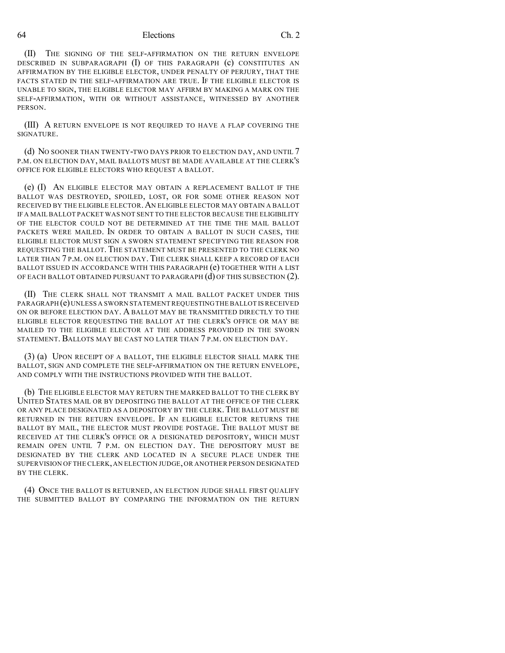(II) THE SIGNING OF THE SELF-AFFIRMATION ON THE RETURN ENVELOPE DESCRIBED IN SUBPARAGRAPH (I) OF THIS PARAGRAPH (c) CONSTITUTES AN AFFIRMATION BY THE ELIGIBLE ELECTOR, UNDER PENALTY OF PERJURY, THAT THE FACTS STATED IN THE SELF-AFFIRMATION ARE TRUE. IF THE ELIGIBLE ELECTOR IS UNABLE TO SIGN, THE ELIGIBLE ELECTOR MAY AFFIRM BY MAKING A MARK ON THE SELF-AFFIRMATION, WITH OR WITHOUT ASSISTANCE, WITNESSED BY ANOTHER PERSON.

(III) A RETURN ENVELOPE IS NOT REQUIRED TO HAVE A FLAP COVERING THE SIGNATURE.

(d) NO SOONER THAN TWENTY-TWO DAYS PRIOR TO ELECTION DAY, AND UNTIL 7 P.M. ON ELECTION DAY, MAIL BALLOTS MUST BE MADE AVAILABLE AT THE CLERK'S OFFICE FOR ELIGIBLE ELECTORS WHO REQUEST A BALLOT.

(e) (I) AN ELIGIBLE ELECTOR MAY OBTAIN A REPLACEMENT BALLOT IF THE BALLOT WAS DESTROYED, SPOILED, LOST, OR FOR SOME OTHER REASON NOT RECEIVED BY THE ELIGIBLE ELECTOR.AN ELIGIBLE ELECTOR MAY OBTAIN A BALLOT IF A MAIL BALLOT PACKET WAS NOT SENT TO THE ELECTOR BECAUSE THE ELIGIBILITY OF THE ELECTOR COULD NOT BE DETERMINED AT THE TIME THE MAIL BALLOT PACKETS WERE MAILED. IN ORDER TO OBTAIN A BALLOT IN SUCH CASES, THE ELIGIBLE ELECTOR MUST SIGN A SWORN STATEMENT SPECIFYING THE REASON FOR REQUESTING THE BALLOT. THE STATEMENT MUST BE PRESENTED TO THE CLERK NO LATER THAN 7 P.M. ON ELECTION DAY. THE CLERK SHALL KEEP A RECORD OF EACH BALLOT ISSUED IN ACCORDANCE WITH THIS PARAGRAPH (e) TOGETHER WITH A LIST OF EACH BALLOT OBTAINED PURSUANT TO PARAGRAPH (d) OF THIS SUBSECTION (2).

(II) THE CLERK SHALL NOT TRANSMIT A MAIL BALLOT PACKET UNDER THIS PARAGRAPH (e)UNLESS A SWORN STATEMENT REQUESTING THE BALLOT IS RECEIVED ON OR BEFORE ELECTION DAY. A BALLOT MAY BE TRANSMITTED DIRECTLY TO THE ELIGIBLE ELECTOR REQUESTING THE BALLOT AT THE CLERK'S OFFICE OR MAY BE MAILED TO THE ELIGIBLE ELECTOR AT THE ADDRESS PROVIDED IN THE SWORN STATEMENT. BALLOTS MAY BE CAST NO LATER THAN 7 P.M. ON ELECTION DAY.

(3) (a) UPON RECEIPT OF A BALLOT, THE ELIGIBLE ELECTOR SHALL MARK THE BALLOT, SIGN AND COMPLETE THE SELF-AFFIRMATION ON THE RETURN ENVELOPE, AND COMPLY WITH THE INSTRUCTIONS PROVIDED WITH THE BALLOT.

(b) THE ELIGIBLE ELECTOR MAY RETURN THE MARKED BALLOT TO THE CLERK BY UNITED STATES MAIL OR BY DEPOSITING THE BALLOT AT THE OFFICE OF THE CLERK OR ANY PLACE DESIGNATED AS A DEPOSITORY BY THE CLERK. THE BALLOT MUST BE RETURNED IN THE RETURN ENVELOPE. IF AN ELIGIBLE ELECTOR RETURNS THE BALLOT BY MAIL, THE ELECTOR MUST PROVIDE POSTAGE. THE BALLOT MUST BE RECEIVED AT THE CLERK'S OFFICE OR A DESIGNATED DEPOSITORY, WHICH MUST REMAIN OPEN UNTIL 7 P.M. ON ELECTION DAY. THE DEPOSITORY MUST BE DESIGNATED BY THE CLERK AND LOCATED IN A SECURE PLACE UNDER THE SUPERVISION OF THE CLERK,AN ELECTION JUDGE,OR ANOTHER PERSON DESIGNATED BY THE CLERK.

(4) ONCE THE BALLOT IS RETURNED, AN ELECTION JUDGE SHALL FIRST QUALIFY THE SUBMITTED BALLOT BY COMPARING THE INFORMATION ON THE RETURN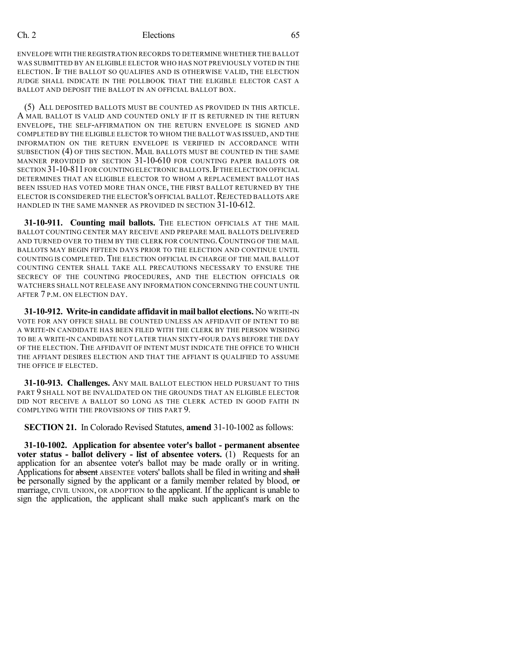ENVELOPE WITH THE REGISTRATION RECORDS TO DETERMINE WHETHER THE BALLOT WAS SUBMITTED BY AN ELIGIBLE ELECTOR WHO HAS NOT PREVIOUSLY VOTED IN THE ELECTION. IF THE BALLOT SO QUALIFIES AND IS OTHERWISE VALID, THE ELECTION JUDGE SHALL INDICATE IN THE POLLBOOK THAT THE ELIGIBLE ELECTOR CAST A BALLOT AND DEPOSIT THE BALLOT IN AN OFFICIAL BALLOT BOX.

(5) ALL DEPOSITED BALLOTS MUST BE COUNTED AS PROVIDED IN THIS ARTICLE. A MAIL BALLOT IS VALID AND COUNTED ONLY IF IT IS RETURNED IN THE RETURN ENVELOPE, THE SELF-AFFIRMATION ON THE RETURN ENVELOPE IS SIGNED AND COMPLETED BY THE ELIGIBLE ELECTOR TO WHOM THE BALLOT WAS ISSUED, AND THE INFORMATION ON THE RETURN ENVELOPE IS VERIFIED IN ACCORDANCE WITH SUBSECTION (4) OF THIS SECTION. MAIL BALLOTS MUST BE COUNTED IN THE SAME MANNER PROVIDED BY SECTION 31-10-610 FOR COUNTING PAPER BALLOTS OR SECTION 31-10-811 FOR COUNTING ELECTRONIC BALLOTS. IF THE ELECTION OFFICIAL DETERMINES THAT AN ELIGIBLE ELECTOR TO WHOM A REPLACEMENT BALLOT HAS BEEN ISSUED HAS VOTED MORE THAN ONCE, THE FIRST BALLOT RETURNED BY THE ELECTOR IS CONSIDERED THE ELECTOR'S OFFICIAL BALLOT. REJECTED BALLOTS ARE HANDLED IN THE SAME MANNER AS PROVIDED IN SECTION 31-10-612.

**31-10-911. Counting mail ballots.** THE ELECTION OFFICIALS AT THE MAIL BALLOT COUNTING CENTER MAY RECEIVE AND PREPARE MAIL BALLOTS DELIVERED AND TURNED OVER TO THEM BY THE CLERK FOR COUNTING.COUNTING OF THE MAIL BALLOTS MAY BEGIN FIFTEEN DAYS PRIOR TO THE ELECTION AND CONTINUE UNTIL COUNTING IS COMPLETED. THE ELECTION OFFICIAL IN CHARGE OF THE MAIL BALLOT COUNTING CENTER SHALL TAKE ALL PRECAUTIONS NECESSARY TO ENSURE THE SECRECY OF THE COUNTING PROCEDURES, AND THE ELECTION OFFICIALS OR WATCHERS SHALL NOT RELEASE ANY INFORMATION CONCERNING THE COUNT UNTIL AFTER 7 P.M. ON ELECTION DAY.

**31-10-912. Write-in candidate affidavitin mail ballot elections.** NO WRITE-IN VOTE FOR ANY OFFICE SHALL BE COUNTED UNLESS AN AFFIDAVIT OF INTENT TO BE A WRITE-IN CANDIDATE HAS BEEN FILED WITH THE CLERK BY THE PERSON WISHING TO BE A WRITE-IN CANDIDATE NOT LATER THAN SIXTY-FOUR DAYS BEFORE THE DAY OF THE ELECTION. THE AFFIDAVIT OF INTENT MUST INDICATE THE OFFICE TO WHICH THE AFFIANT DESIRES ELECTION AND THAT THE AFFIANT IS QUALIFIED TO ASSUME THE OFFICE IF ELECTED.

**31-10-913. Challenges.** ANY MAIL BALLOT ELECTION HELD PURSUANT TO THIS PART 9 SHALL NOT BE INVALIDATED ON THE GROUNDS THAT AN ELIGIBLE ELECTOR DID NOT RECEIVE A BALLOT SO LONG AS THE CLERK ACTED IN GOOD FAITH IN COMPLYING WITH THE PROVISIONS OF THIS PART 9.

**SECTION 21.** In Colorado Revised Statutes, **amend** 31-10-1002 as follows:

**31-10-1002. Application for absentee voter's ballot - permanent absentee voter status - ballot delivery - list of absentee voters.** (1) Requests for an application for an absentee voter's ballot may be made orally or in writing. Applications for absent ABSENTEE voters' ballots shall be filed in writing and shall be personally signed by the applicant or a family member related by blood, or marriage, CIVIL UNION, OR ADOPTION to the applicant. If the applicant is unable to sign the application, the applicant shall make such applicant's mark on the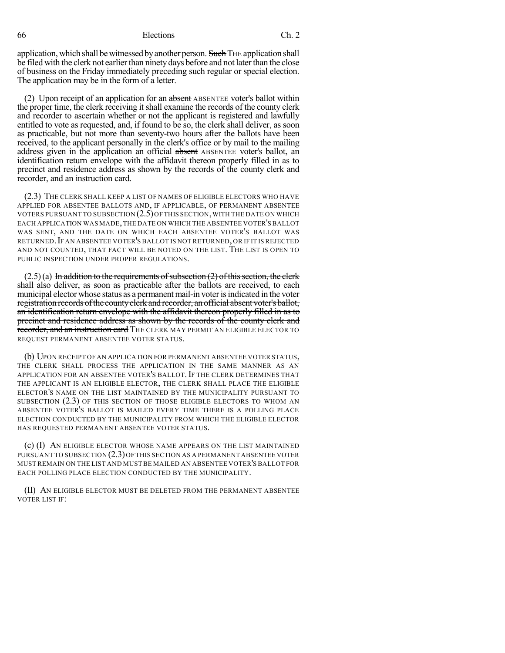application, which shall be witnessed by another person. Such THE application shall be filed with the clerk not earlier than ninety days before and not later than the close of business on the Friday immediately preceding such regular or special election. The application may be in the form of a letter.

(2) Upon receipt of an application for an absent ABSENTEE voter's ballot within the proper time, the clerk receiving it shall examine the records of the county clerk and recorder to ascertain whether or not the applicant is registered and lawfully entitled to vote as requested, and, if found to be so, the clerk shall deliver, as soon as practicable, but not more than seventy-two hours after the ballots have been received, to the applicant personally in the clerk's office or by mail to the mailing address given in the application an official absent ABSENTEE voter's ballot, an identification return envelope with the affidavit thereon properly filled in as to precinct and residence address as shown by the records of the county clerk and recorder, and an instruction card.

(2.3) THE CLERK SHALL KEEP A LIST OF NAMES OF ELIGIBLE ELECTORS WHO HAVE APPLIED FOR ABSENTEE BALLOTS AND, IF APPLICABLE, OF PERMANENT ABSENTEE VOTERS PURSUANT TO SUBSECTION (2.5) OF THIS SECTION, WITH THE DATE ON WHICH EACH APPLICATION WAS MADE,THE DATE ON WHICH THE ABSENTEE VOTER'S BALLOT WAS SENT, AND THE DATE ON WHICH EACH ABSENTEE VOTER'S BALLOT WAS RETURNED.IF AN ABSENTEE VOTER'S BALLOT IS NOT RETURNED, OR IF IT IS REJECTED AND NOT COUNTED, THAT FACT WILL BE NOTED ON THE LIST. THE LIST IS OPEN TO PUBLIC INSPECTION UNDER PROPER REGULATIONS.

 $(2.5)(a)$  In addition to the requirements of subsection  $(2)$  of this section, the clerk shall also deliver, as soon as practicable after the ballots are received, to each municipal elector whose status as a permanent mail-in voter is indicated in the voter registration records of the county elerk and recorder, an official absent voter's ballot, an identification return envelope with the affidavit thereon properly filled in as to precinct and residence address as shown by the records of the county clerk and recorder, and an instruction card THE CLERK MAY PERMIT AN ELIGIBLE ELECTOR TO REQUEST PERMANENT ABSENTEE VOTER STATUS.

(b) UPON RECEIPT OF AN APPLICATION FOR PERMANENT ABSENTEE VOTER STATUS, THE CLERK SHALL PROCESS THE APPLICATION IN THE SAME MANNER AS AN APPLICATION FOR AN ABSENTEE VOTER'S BALLOT. IF THE CLERK DETERMINES THAT THE APPLICANT IS AN ELIGIBLE ELECTOR, THE CLERK SHALL PLACE THE ELIGIBLE ELECTOR'S NAME ON THE LIST MAINTAINED BY THE MUNICIPALITY PURSUANT TO SUBSECTION  $(2.3)$  OF THIS SECTION OF THOSE ELIGIBLE ELECTORS TO WHOM AN ABSENTEE VOTER'S BALLOT IS MAILED EVERY TIME THERE IS A POLLING PLACE ELECTION CONDUCTED BY THE MUNICIPALITY FROM WHICH THE ELIGIBLE ELECTOR HAS REQUESTED PERMANENT ABSENTEE VOTER STATUS.

(c) (I) AN ELIGIBLE ELECTOR WHOSE NAME APPEARS ON THE LIST MAINTAINED PURSUANT TO SUBSECTION (2.3)OF THIS SECTION AS A PERMANENT ABSENTEE VOTER MUST REMAIN ON THE LIST AND MUST BE MAILED AN ABSENTEE VOTER'S BALLOT FOR EACH POLLING PLACE ELECTION CONDUCTED BY THE MUNICIPALITY.

(II) AN ELIGIBLE ELECTOR MUST BE DELETED FROM THE PERMANENT ABSENTEE VOTER LIST IF: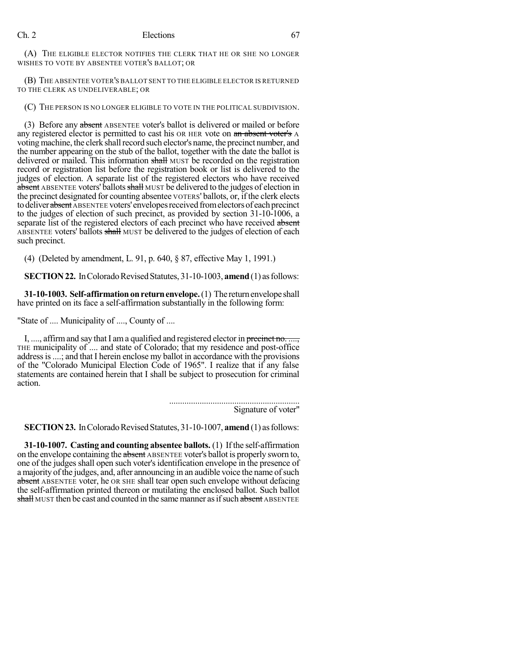(A) THE ELIGIBLE ELECTOR NOTIFIES THE CLERK THAT HE OR SHE NO LONGER WISHES TO VOTE BY ABSENTEE VOTER'S BALLOT; OR

(B) THE ABSENTEE VOTER'S BALLOT SENT TO THE ELIGIBLE ELECTOR IS RETURNED TO THE CLERK AS UNDELIVERABLE; OR

(C) THE PERSON IS NO LONGER ELIGIBLE TO VOTE IN THE POLITICAL SUBDIVISION.

(3) Before any absent ABSENTEE voter's ballot is delivered or mailed or before any registered elector is permitted to cast his OR HER vote on an absent voter's A voting machine, the clerk shall record such elector's name, the precinct number, and the number appearing on the stub of the ballot, together with the date the ballot is delivered or mailed. This information shall MUST be recorded on the registration record or registration list before the registration book or list is delivered to the judges of election. A separate list of the registered electors who have received absent ABSENTEE voters' ballots shall MUST be delivered to the judges of election in the precinct designated for counting absentee VOTERS' ballots, or, if the clerk elects to deliver absent ABSENTEE voters' envelopes received from electors of each precinct to the judges of election of such precinct, as provided by section 31-10-1006, a separate list of the registered electors of each precinct who have received absent ABSENTEE voters' ballots shall MUST be delivered to the judges of election of each such precinct.

(4) (Deleted by amendment, L. 91, p. 640, § 87, effective May 1, 1991.)

**SECTION 22.** In Colorado Revised Statutes, 31-10-1003, **amend** (1) as follows:

**31-10-1003. Self-affirmation on return envelope.** (1) The return envelope shall have printed on its face a self-affirmation substantially in the following form:

"State of .... Municipality of ...., County of ....

I, ..., affirm and say that I am a qualified and registered elector in precinct no. ..., THE municipality of .... and state of Colorado; that my residence and post-office address is ....; and that I herein enclose my ballot in accordance with the provisions of the "Colorado Municipal Election Code of 1965". I realize that if any false statements are contained herein that I shall be subject to prosecution for criminal action.

> ............................................................ Signature of voter"

**SECTION 23.** In Colorado Revised Statutes, 31-10-1007, **amend** (1) as follows:

**31-10-1007. Casting and counting absentee ballots.** (1) If the self-affirmation on the envelope containing the absent ABSENTEE voter's ballot is properly sworn to, one of the judges shall open such voter's identification envelope in the presence of a majority of the judges, and, after announcing in an audible voice the name of such absent ABSENTEE voter, he OR SHE shall tear open such envelope without defacing the self-affirmation printed thereon or mutilating the enclosed ballot. Such ballot shall MUST then be cast and counted in the same manner as if such absent ABSENTEE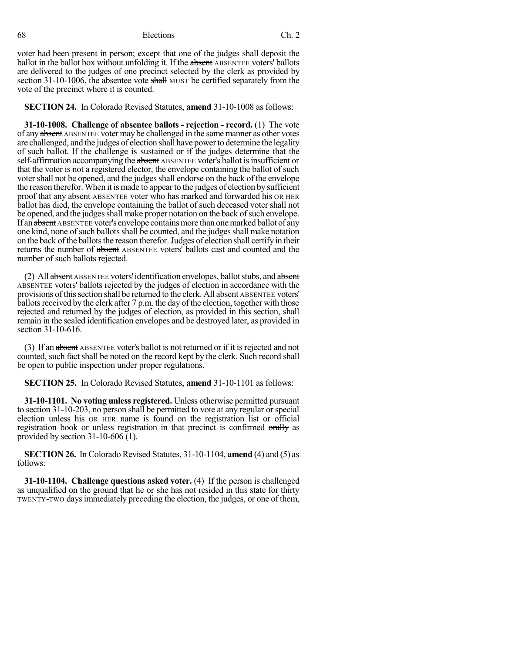voter had been present in person; except that one of the judges shall deposit the ballot in the ballot box without unfolding it. If the absent ABSENTEE voters' ballots are delivered to the judges of one precinct selected by the clerk as provided by section 31-10-1006, the absentee vote shall MUST be certified separately from the vote of the precinct where it is counted.

**SECTION 24.** In Colorado Revised Statutes, **amend** 31-10-1008 as follows:

**31-10-1008. Challenge of absentee ballots - rejection - record.** (1) The vote of any absent ABSENTEE voter may be challenged in the same manner as other votes are challenged, and the judges of election shall have power to determine the legality of such ballot. If the challenge is sustained or if the judges determine that the self-affirmation accompanying the absent ABSENTEE voter's ballot is insufficient or that the voter is not a registered elector, the envelope containing the ballot of such votershall not be opened, and the judgesshall endorse on the back of the envelope the reason therefor. When it ismade to appear to the judges of election by sufficient proof that any absent ABSENTEE voter who has marked and forwarded his OR HER ballot has died, the envelope containing the ballot of such deceased voter shall not be opened, and the judges shall make proper notation on the back of such envelope. If an absent ABSENTEE voter's envelope contains more than one marked ballot of any one kind, none of such ballots shall be counted, and the judges shall make notation on the back of the ballots the reason therefor. Judges of election shall certify in their returns the number of absent ABSENTEE voters' ballots cast and counted and the number of such ballots rejected.

(2) All absent ABSENTEE voters' identification envelopes, ballot stubs, and absent ABSENTEE voters' ballots rejected by the judges of election in accordance with the provisions of this section shall be returned to the clerk. All absent ABSENTEE voters' ballots received by the clerk after  $7 p.m.$  the day of the election, together with those rejected and returned by the judges of election, as provided in this section, shall remain in the sealed identification envelopes and be destroyed later, as provided in section 31-10-616.

(3) If an absent ABSENTEE voter's ballot is not returned or if it isrejected and not counted, such fact shall be noted on the record kept by the clerk. Such record shall be open to public inspection under proper regulations.

**SECTION 25.** In Colorado Revised Statutes, **amend** 31-10-1101 as follows:

**31-10-1101. No voting unless registered.** Unless otherwise permitted pursuant to section 31-10-203, no person shall be permitted to vote at any regular or special election unless his OR HER name is found on the registration list or official registration book or unless registration in that precinct is confirmed orally as provided by section 31-10-606 (1).

**SECTION 26.** In Colorado Revised Statutes, 31-10-1104, **amend** (4) and (5) as follows:

**31-10-1104. Challenge questions asked voter.** (4) If the person is challenged as unqualified on the ground that he or she has not resided in this state for thirty TWENTY-TWO daysimmediately preceding the election, the judges, or one of them,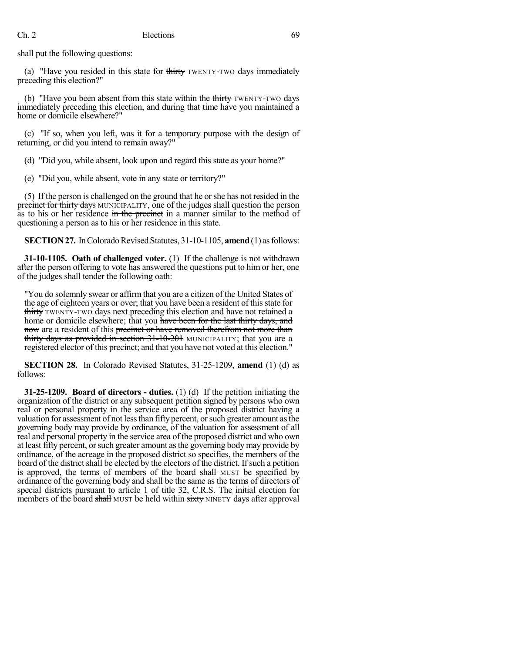shall put the following questions:

(a) "Have you resided in this state for  $\frac{1}{\text{Hint}}$  TWENTY-TWO days immediately preceding this election?"

(b) "Have you been absent from this state within the thirty TWENTY-TWO days immediately preceding this election, and during that time have you maintained a home or domicile elsewhere?"

(c) "If so, when you left, was it for a temporary purpose with the design of returning, or did you intend to remain away?"

(d) "Did you, while absent, look upon and regard this state as your home?"

(e) "Did you, while absent, vote in any state or territory?"

(5) If the person is challenged on the ground that he orshe has not resided in the precinct for thirty days MUNICIPALITY, one of the judges shall question the person as to his or her residence in the precinct in a manner similar to the method of questioning a person as to his or her residence in this state.

**SECTION 27.** In Colorado Revised Statutes, 31-10-1105, **amend** (1) as follows:

**31-10-1105. Oath of challenged voter.** (1) If the challenge is not withdrawn after the person offering to vote has answered the questions put to him or her, one of the judges shall tender the following oath:

"You do solemnly swear or affirm that you are a citizen of the United States of the age of eighteen years or over; that you have been a resident of this state for thirty TWENTY-TWO days next preceding this election and have not retained a home or domicile elsewhere; that you have been for the last thirty days, and now are a resident of this precinct or have removed therefrom not more than thirty days as provided in section 31-10-201 MUNICIPALITY; that you are a registered elector of this precinct; and that you have not voted at this election."

**SECTION 28.** In Colorado Revised Statutes, 31-25-1209, **amend** (1) (d) as follows:

**31-25-1209. Board of directors - duties.** (1) (d) If the petition initiating the organization of the district or any subsequent petition signed by persons who own real or personal property in the service area of the proposed district having a valuation for assessment of not lessthan fifty percent, orsuch greater amount asthe governing body may provide by ordinance, of the valuation for assessment of all real and personal property in the service area of the proposed district and who own at least fifty percent, orsuch greater amount asthe governing body may provide by ordinance, of the acreage in the proposed district so specifies, the members of the board of the district shall be elected by the electors of the district. If such a petition is approved, the terms of members of the board shall MUST be specified by ordinance of the governing body and shall be the same as the terms of directors of special districts pursuant to article 1 of title 32, C.R.S. The initial election for members of the board shall MUST be held within sixty NINETY days after approval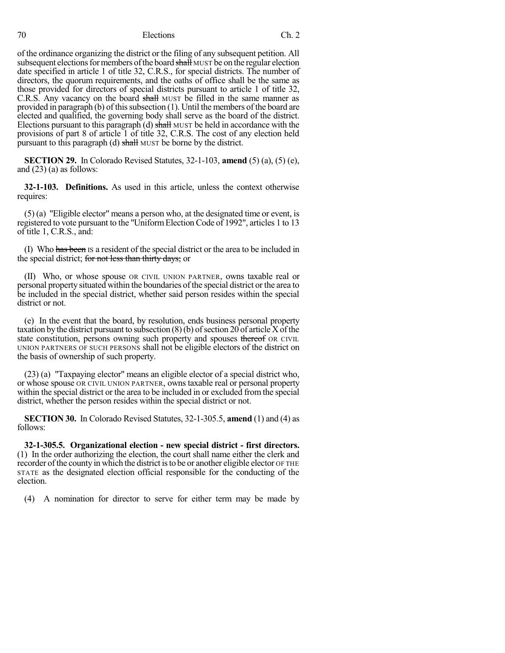of the ordinance organizing the district or the filing of any subsequent petition. All subsequent elections for members of the board shall MUST be on the regular election date specified in article 1 of title 32, C.R.S., for special districts. The number of directors, the quorum requirements, and the oaths of office shall be the same as those provided for directors of special districts pursuant to article 1 of title 32, C.R.S. Any vacancy on the board shall MUST be filled in the same manner as provided in paragraph (b) of this subsection  $(1)$ . Until the members of the board are elected and qualified, the governing body shall serve as the board of the district. Elections pursuant to this paragraph (d) shall MUST be held in accordance with the provisions of part 8 of article 1 of title 32, C.R.S. The cost of any election held pursuant to this paragraph (d) shall MUST be borne by the district.

**SECTION 29.** In Colorado Revised Statutes, 32-1-103, **amend** (5) (a), (5) (e), and  $(23)$  (a) as follows:

**32-1-103. Definitions.** As used in this article, unless the context otherwise requires:

(5) (a) "Eligible elector" means a person who, at the designated time or event, is registered to vote pursuant to the "UniformElectionCode of 1992", articles 1 to 13 of title 1, C.R.S., and:

(I) Who has been IS a resident of the special district or the area to be included in the special district; for not less than thirty days; or

(II) Who, or whose spouse OR CIVIL UNION PARTNER, owns taxable real or personal property situated within the boundaries ofthe special district or the area to be included in the special district, whether said person resides within the special district or not.

(e) In the event that the board, by resolution, ends business personal property taxation by the district pursuant to subsection  $(8)(b)$  of section 20 of article X of the state constitution, persons owning such property and spouses thereof OR CIVIL UNION PARTNERS OF SUCH PERSONS shall not be eligible electors of the district on the basis of ownership of such property.

(23) (a) "Taxpaying elector" means an eligible elector of a special district who, or whose spouse OR CIVIL UNION PARTNER, owns taxable real or personal property within the special district or the area to be included in or excluded from the special district, whether the person resides within the special district or not.

**SECTION 30.** In Colorado Revised Statutes, 32-1-305.5, **amend** (1) and (4) as follows:

**32-1-305.5. Organizational election - new special district - first directors.** (1) In the order authorizing the election, the court shall name either the clerk and recorder of the county in which the district is to be or another eligible elector OF THE STATE as the designated election official responsible for the conducting of the election.

(4) A nomination for director to serve for either term may be made by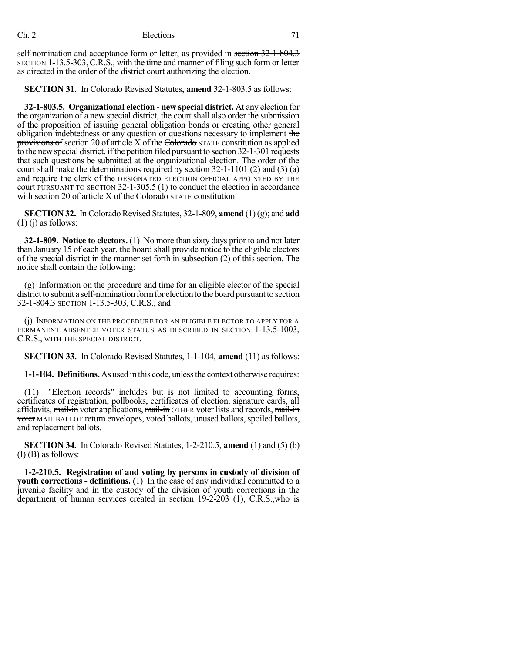self-nomination and acceptance form or letter, as provided in section 32-1-804.3 SECTION 1-13.5-303,C.R.S., with the time and manner of filing such form or letter as directed in the order of the district court authorizing the election.

**SECTION 31.** In Colorado Revised Statutes, **amend** 32-1-803.5 as follows:

**32-1-803.5. Organizational election - new special district.** At any election for the organization of a new special district, the court shall also order the submission of the proposition of issuing general obligation bonds or creating other general obligation indebtedness or any question or questions necessary to implement the provisions of section 20 of article X of the Colorado STATE constitution as applied to the new special district, if the petition filed pursuant to section 32-1-301 requests that such questions be submitted at the organizational election. The order of the court shall make the determinations required by section 32-1-1101 (2) and (3) (a) and require the clerk of the DESIGNATED ELECTION OFFICIAL APPOINTED BY THE court PURSUANT TO SECTION 32-1-305.5 (1) to conduct the election in accordance with section 20 of article X of the Colorado STATE constitution.

**SECTION 32.** In Colorado Revised Statutes, 32-1-809, **amend** (1)(g); and **add**  $(1)$  (j) as follows:

**32-1-809. Notice to electors.** (1) No more than sixty days prior to and not later than January 15 of each year, the board shall provide notice to the eligible electors of the special district in the manner set forth in subsection (2) of this section. The notice shall contain the following:

(g) Information on the procedure and time for an eligible elector of the special district to submit a self-nomination form for election to the board pursuant to section 32-1-804.3 SECTION 1-13.5-303, C.R.S.; and

(j) INFORMATION ON THE PROCEDURE FOR AN ELIGIBLE ELECTOR TO APPLY FOR A PERMANENT ABSENTEE VOTER STATUS AS DESCRIBED IN SECTION 1-13.5-1003, C.R.S., WITH THE SPECIAL DISTRICT.

**SECTION 33.** In Colorado Revised Statutes, 1-1-104, **amend** (11) as follows:

**1-1-104. Definitions.** As used in this code, unlessthe context otherwise requires:

(11) "Election records" includes but is not limited to accounting forms, certificates of registration, pollbooks, certificates of election, signature cards, all affidavits, mail-in voter applications, mail-in OTHER voter lists and records, mail-in voter MAIL BALLOT return envelopes, voted ballots, unused ballots, spoiled ballots, and replacement ballots.

**SECTION 34.** In Colorado Revised Statutes, 1-2-210.5, **amend** (1) and (5) (b) (I) (B) as follows:

**1-2-210.5. Registration of and voting by persons in custody of division of youth corrections - definitions.** (1) In the case of any individual committed to a juvenile facility and in the custody of the division of youth corrections in the department of human services created in section 19-2-203 (1), C.R.S.,who is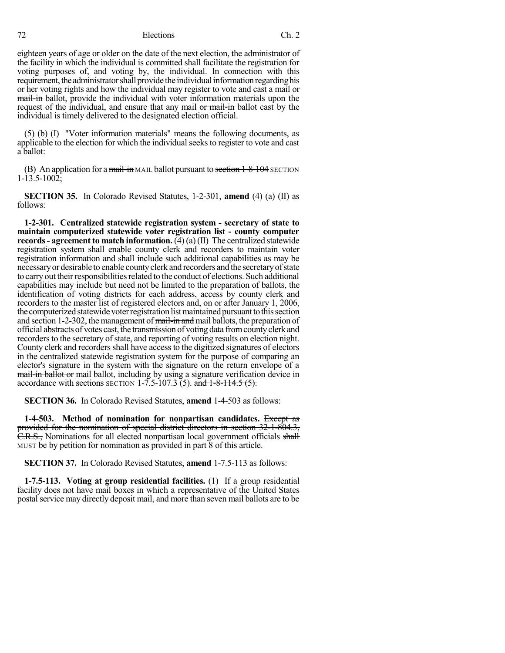eighteen years of age or older on the date of the next election, the administrator of the facility in which the individual is committed shall facilitate the registration for voting purposes of, and voting by, the individual. In connection with this requirement, the administrator shall provide the individual information regarding his or her voting rights and how the individual may register to vote and cast a mail or mail-in ballot, provide the individual with voter information materials upon the request of the individual, and ensure that any mail or mail-in ballot cast by the individual is timely delivered to the designated election official.

(5) (b) (I) "Voter information materials" means the following documents, as applicable to the election for which the individual seeks to register to vote and cast a ballot:

(B) An application for a mail-in MAIL ballot pursuant to section  $1-8-104$  SECTION 1-13.5-1002;

**SECTION 35.** In Colorado Revised Statutes, 1-2-301, **amend** (4) (a) (II) as follows:

**1-2-301. Centralized statewide registration system - secretary of state to maintain computerized statewide voter registration list - county computer records- agreement to match information.** (4) (a)(II) The centralized statewide registration system shall enable county clerk and recorders to maintain voter registration information and shall include such additional capabilities as may be necessaryor desirable to enable countyclerk and recorders and the secretaryofstate to carry out their responsibilities related to the conduct of elections. Such additional capabilities may include but need not be limited to the preparation of ballots, the identification of voting districts for each address, access by county clerk and recorders to the master list of registered electors and, on or after January 1, 2006, the computerized statewide voter registration list maintained pursuant to this section and section 1-2-302, the management of mail-in and mail ballots, the preparation of official abstracts of votes cast, the transmission of voting data from county clerk and recorders to the secretary of state, and reporting of voting results on election night. County clerk and recorders shall have access to the digitized signatures of electors in the centralized statewide registration system for the purpose of comparing an elector's signature in the system with the signature on the return envelope of a mail-in ballot or mail ballot, including by using a signature verification device in accordance with sections SECTION 1-7.5-107.3 (5). and  $1-8-114.5$  (5).

**SECTION 36.** In Colorado Revised Statutes, **amend** 1-4-503 as follows:

**1-4-503. Method of nomination for nonpartisan candidates.** Except as provided for the nomination of special district directors in section 32-1-804.3, C.R.S., Nominations for all elected nonpartisan local government officials shall MUST be by petition for nomination as provided in part 8 of this article.

**SECTION 37.** In Colorado Revised Statutes, **amend** 1-7.5-113 as follows:

**1-7.5-113. Voting at group residential facilities.** (1) If a group residential facility does not have mail boxes in which a representative of the United States postal service may directly deposit mail, and more than seven mail ballots are to be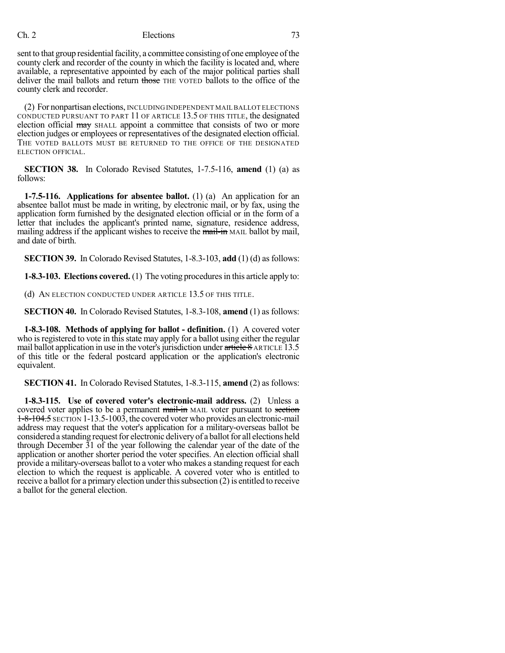sent to that group residential facility, a committee consisting of one employee of the county clerk and recorder of the county in which the facility is located and, where available, a representative appointed by each of the major political parties shall deliver the mail ballots and return those THE VOTED ballots to the office of the county clerk and recorder.

(2) For nonpartisan elections, INCLUDING INDEPENDENT MAILBALLOT ELECTIONS CONDUCTED PURSUANT TO PART 11 OF ARTICLE 13.5 OF THIS TITLE, the designated election official may SHALL appoint a committee that consists of two or more election judges or employees or representatives of the designated election official. THE VOTED BALLOTS MUST BE RETURNED TO THE OFFICE OF THE DESIGNATED ELECTION OFFICIAL.

**SECTION 38.** In Colorado Revised Statutes, 1-7.5-116, **amend** (1) (a) as follows:

**1-7.5-116. Applications for absentee ballot.** (1) (a) An application for an absentee ballot must be made in writing, by electronic mail, or by fax, using the application form furnished by the designated election official or in the form of a letter that includes the applicant's printed name, signature, residence address, mailing address if the applicant wishes to receive the mail-in MAIL ballot by mail, and date of birth.

**SECTION 39.** In Colorado Revised Statutes, 1-8.3-103, **add** (1) (d) as follows:

**1-8.3-103. Elections covered.** (1) The voting proceduresin this article apply to:

(d) AN ELECTION CONDUCTED UNDER ARTICLE 13.5 OF THIS TITLE.

**SECTION 40.** In Colorado Revised Statutes, 1-8.3-108, **amend** (1) as follows:

**1-8.3-108. Methods of applying for ballot - definition.** (1) A covered voter who is registered to vote in this state may apply for a ballot using either the regular mail ballot application in use in the voter's jurisdiction under  $\frac{\text{article } 8 \text{ ARTICLE} 13.5}{\text{m}^2}$ of this title or the federal postcard application or the application's electronic equivalent.

**SECTION 41.** In Colorado Revised Statutes, 1-8.3-115, **amend** (2) as follows:

**1-8.3-115. Use of covered voter's electronic-mail address.** (2) Unless a covered voter applies to be a permanent mail-in MAIL voter pursuant to section 1-8-104.5 SECTION 1-13.5-1003, the covered voter who provides an electronic-mail address may request that the voter's application for a military-overseas ballot be considered a standing request for electronic delivery of a ballot for all elections held through December 31 of the year following the calendar year of the date of the application or another shorter period the voter specifies. An election official shall provide a military-overseas ballot to a voter who makes a standing request for each election to which the request is applicable. A covered voter who is entitled to receive a ballot for a primary election under this subsection (2) is entitled to receive a ballot for the general election.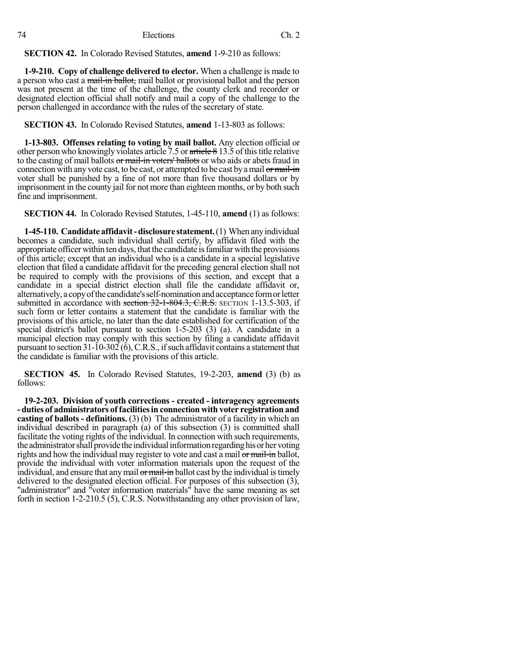**SECTION 42.** In Colorado Revised Statutes, **amend** 1-9-210 as follows:

**1-9-210. Copy of challenge delivered to elector.** When a challenge is made to a person who cast a mail-in ballot, mail ballot or provisional ballot and the person was not present at the time of the challenge, the county clerk and recorder or designated election official shall notify and mail a copy of the challenge to the person challenged in accordance with the rules of the secretary of state.

**SECTION 43.** In Colorado Revised Statutes, **amend** 1-13-803 as follows:

**1-13-803. Offenses relating to voting by mail ballot.** Any election official or other person who knowingly violates article 7.5 or  $\frac{arite}{e}$  8 13.5 of this title relative to the casting of mail ballots or mail-in voters' ballots or who aids or abets fraud in connection with any vote cast, to be cast, or attempted to be cast by a mail or mail-in voter shall be punished by a fine of not more than five thousand dollars or by imprisonment in the county jail for not more than eighteen months, or by both such fine and imprisonment.

**SECTION 44.** In Colorado Revised Statutes, 1-45-110, **amend** (1) as follows:

**1-45-110. Candidate affidavit-disclosure statement.**(1) When anyindividual becomes a candidate, such individual shall certify, by affidavit filed with the appropriate officer within ten days, that the candidate isfamiliarwith the provisions of this article; except that an individual who is a candidate in a special legislative election that filed a candidate affidavit for the preceding general election shall not be required to comply with the provisions of this section, and except that a candidate in a special district election shall file the candidate affidavit or, alternatively, a copy of the candidate's self-nomination and acceptance form or letter submitted in accordance with section 32-1-804.3, C.R.S. SECTION 1-13.5-303, if such form or letter contains a statement that the candidate is familiar with the provisions of this article, no later than the date established for certification of the special district's ballot pursuant to section 1-5-203 (3) (a). A candidate in a municipal election may comply with this section by filing a candidate affidavit pursuant to section  $31-10-302(6)$ , C.R.S., if such affidavit contains a statement that the candidate is familiar with the provisions of this article.

**SECTION 45.** In Colorado Revised Statutes, 19-2-203, **amend** (3) (b) as follows:

**19-2-203. Division of youth corrections - created - interagency agreements - duties of administrators offacilitiesin connection with voter registration and casting of ballots - definitions.** (3) (b) The administrator of a facility in which an individual described in paragraph (a) of this subsection (3) is committed shall facilitate the voting rights of the individual. In connection with such requirements, the administratorshall provide the individualinformationregardinghisor her voting rights and how the individual may register to vote and cast a mail or mail-in ballot, provide the individual with voter information materials upon the request of the individual, and ensure that any mail or mail-in ballot cast by the individual is timely delivered to the designated election official. For purposes of this subsection (3), "administrator" and "voter information materials" have the same meaning as set forth in section 1-2-210.5 (5), C.R.S. Notwithstanding any other provision of law,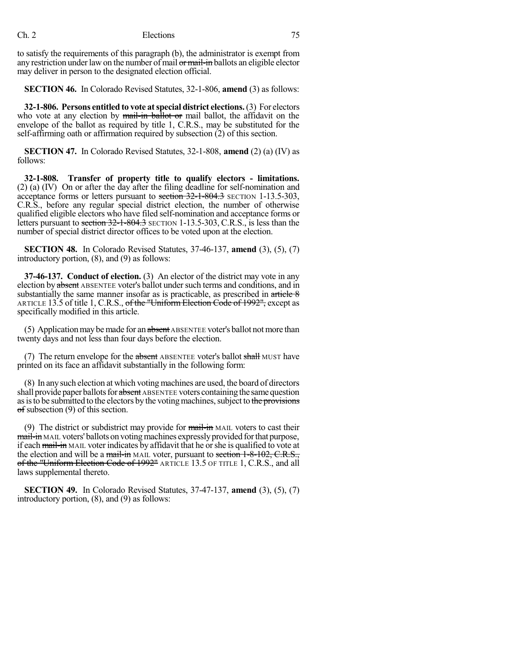## Ch. 2 Elections 75

to satisfy the requirements of this paragraph (b), the administrator is exempt from any restriction under law on the number of mail or mail-in ballots an eligible elector may deliver in person to the designated election official.

**SECTION 46.** In Colorado Revised Statutes, 32-1-806, **amend** (3) as follows:

**32-1-806. Persons entitled to vote atspecial district elections.**(3) For electors who vote at any election by  $\frac{1}{m}$ -in ballot or mail ballot, the affidavit on the envelope of the ballot as required by title 1, C.R.S., may be substituted for the self-affirming oath or affirmation required by subsection (2) of this section.

**SECTION 47.** In Colorado Revised Statutes, 32-1-808, **amend** (2) (a) (IV) as follows:

**32-1-808. Transfer of property title to qualify electors - limitations.** (2) (a) (IV) On or after the day after the filing deadline for self-nomination and acceptance forms or letters pursuant to section 32-1-804.3 SECTION 1-13.5-303, C.R.S., before any regular special district election, the number of otherwise qualified eligible electors who have filed self-nomination and acceptance forms or letters pursuant to section 32-1-804.3 SECTION 1-13.5-303, C.R.S., is less than the number of special district director offices to be voted upon at the election.

**SECTION 48.** In Colorado Revised Statutes, 37-46-137, **amend** (3), (5), (7) introductory portion, (8), and (9) as follows:

**37-46-137. Conduct of election.** (3) An elector of the district may vote in any election by absent ABSENTEE voter's ballot under such terms and conditions, and in substantially the same manner insofar as is practicable, as prescribed in  $\frac{\text{article } 8}{\text{article } 8}$ ARTICLE 13.5 of title 1, C.R.S., of the "Uniform Election Code of 1992", except as specifically modified in this article.

(5) Application may be made for an absent ABSENTEE voter's ballot not more than twenty days and not less than four days before the election.

(7) The return envelope for the absent ABSENTEE voter's ballot shall MUST have printed on its face an affidavit substantially in the following form:

(8) In any such election at which voting machines are used, the board of directors shall provide paper ballots for absent ABSENTEE voters containing the same question as is to be submitted to the electors by the voting machines, subject to the provisions of subsection (9) of this section.

(9) The district or subdistrict may provide for  $\frac{1}{\text{mail-in}}$  MAIL voters to cast their mail-in MAIL voters' ballots on voting machines expressly provided for that purpose, if each mail-in MAIL voter indicates by affidavit that he orshe is qualified to vote at the election and will be a mail-in MAIL voter, pursuant to section 1-8-102, C.R.S., of the "Uniform Election Code of 1992" ARTICLE 13.5 OF TITLE 1, C.R.S., and all laws supplemental thereto.

**SECTION 49.** In Colorado Revised Statutes, 37-47-137, **amend** (3), (5), (7) introductory portion, (8), and (9) as follows: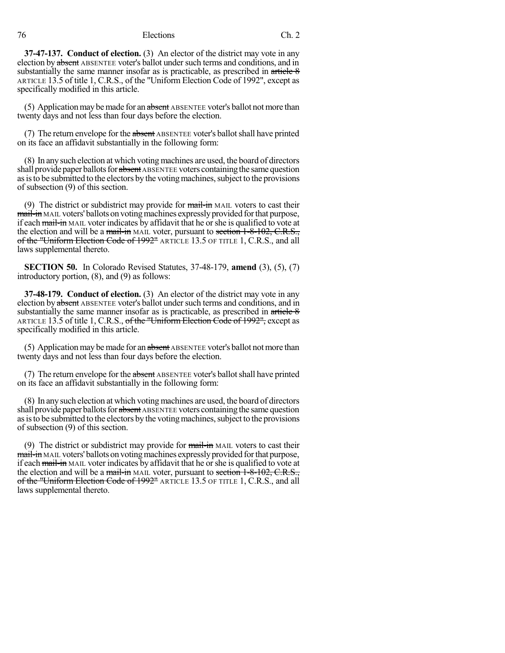76 Elections Ch. 2

**37-47-137. Conduct of election.** (3) An elector of the district may vote in any election by absent ABSENTEE voter's ballot under such terms and conditions, and in substantially the same manner insofar as is practicable, as prescribed in article 8 ARTICLE 13.5 of title 1, C.R.S., of the "Uniform Election Code of 1992", except as specifically modified in this article.

(5) Application may be made for an absent ABSENTEE voter's ballot not more than twenty days and not less than four days before the election.

(7) The return envelope for the absent ABSENTEE voter's ballot shall have printed on its face an affidavit substantially in the following form:

(8) In any such election at which voting machines are used, the board of directors shall provide paper ballots for absent ABSENTEE voters containing the same question as is to be submitted to the electors by the voting machines, subject to the provisions of subsection (9) of this section.

(9) The district or subdistrict may provide for  $\frac{1}{\text{mail-in}}$  MAIL voters to cast their mail-in MAIL voters' ballots on voting machines expressly provided for that purpose, if each mail-in MAIL voter indicates by affidavit that he or she is qualified to vote at the election and will be a mail-in MAIL voter, pursuant to section 1-8-102, C.R.S., of the "Uniform Election Code of 1992" ARTICLE 13.5 OF TITLE 1, C.R.S., and all laws supplemental thereto.

**SECTION 50.** In Colorado Revised Statutes, 37-48-179, **amend** (3), (5), (7) introductory portion, (8), and (9) as follows:

**37-48-179. Conduct of election.** (3) An elector of the district may vote in any election by absent ABSENTEE voter's ballot under such terms and conditions, and in substantially the same manner insofar as is practicable, as prescribed in  $\ar{t}\leftarrow 8$ ARTICLE 13.5 of title 1, C.R.S., of the "Uniform Election Code of 1992", except as specifically modified in this article.

(5) Application may be made for an absent ABSENTEE voter's ballot not more than twenty days and not less than four days before the election.

(7) The return envelope for the absent ABSENTEE voter's ballot shall have printed on its face an affidavit substantially in the following form:

(8) In any such election at which voting machines are used, the board of directors shall provide paper ballots for absent ABSENTEE voters containing the same question as is to be submitted to the electors by the voting machines, subject to the provisions of subsection (9) of this section.

(9) The district or subdistrict may provide for  $\frac{1}{\text{mail-in}}$  MAIL voters to cast their mail-in MAIL voters' ballots on voting machines expressly provided for that purpose, if each mail-in MAIL voter indicates by affidavit that he orshe is qualified to vote at the election and will be a mail-in MAIL voter, pursuant to section 1-8-102, C.R.S., of the "Uniform Election Code of 1992" ARTICLE 13.5 OF TITLE 1, C.R.S., and all laws supplemental thereto.